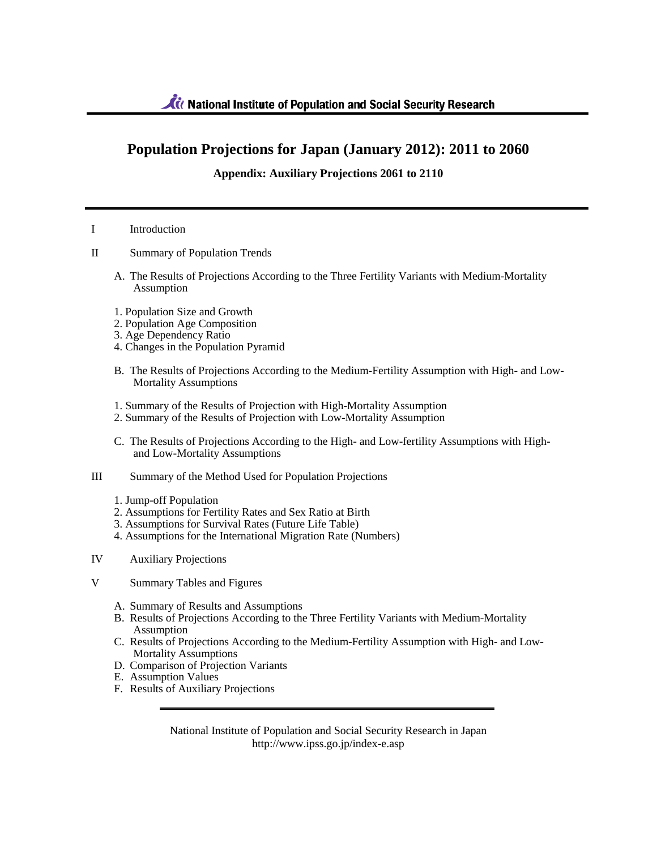# **Population Projections for Japan (January 2012): 2011 to 2060**

## **Appendix: Auxiliary Projections 2061 to 2110**

### I Introduction

- II Summary of Population Trends
	- A. The Results of Projections According to the Three Fertility Variants with Medium-Mortality Assumption
	- 1. Population Size and Growth
	- 2. Population Age Composition
	- 3. Age Dependency Ratio
	- 4. Changes in the Population Pyramid
	- B. The Results of Projections According to the Medium-Fertility Assumption with High- and Low-Mortality Assumptions
	- 1. Summary of the Results of Projection with High-Mortality Assumption
	- 2. Summary of the Results of Projection with Low-Mortality Assumption
	- C. The Results of Projections According to the High- and Low-fertility Assumptions with Highand Low-Mortality Assumptions
- III Summary of the Method Used for Population Projections
	- 1. Jump-off Population
	- 2. Assumptions for Fertility Rates and Sex Ratio at Birth
	- 3. Assumptions for Survival Rates (Future Life Table)
	- 4. Assumptions for the International Migration Rate (Numbers)
- IV Auxiliary Projections
- V Summary Tables and Figures
	- A. Summary of Results and Assumptions
	- B. Results of Projections According to the Three Fertility Variants with Medium-Mortality Assumption
	- C. Results of Projections According to the Medium-Fertility Assumption with High- and Low-Mortality Assumptions
	- D. Comparison of Projection Variants
	- E. Assumption Values
	- F. Results of Auxiliary Projections

National Institute of Population and Social Security Research in Japan http://www.ipss.go.jp/index-e.asp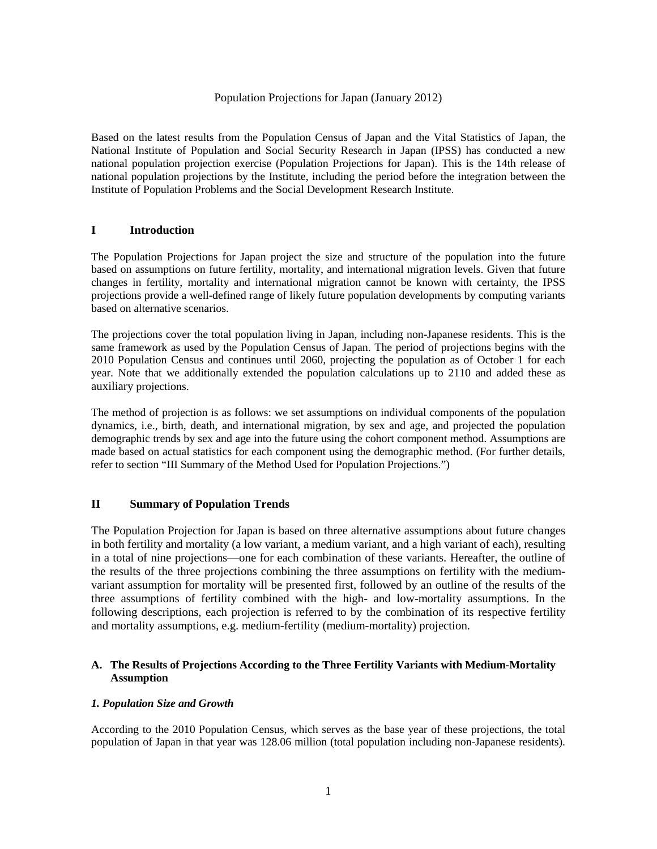### Population Projections for Japan (January 2012)

Based on the latest results from the Population Census of Japan and the Vital Statistics of Japan, the National Institute of Population and Social Security Research in Japan (IPSS) has conducted a new national population projection exercise (Population Projections for Japan). This is the 14th release of national population projections by the Institute, including the period before the integration between the Institute of Population Problems and the Social Development Research Institute.

## **I Introduction**

The Population Projections for Japan project the size and structure of the population into the future based on assumptions on future fertility, mortality, and international migration levels. Given that future changes in fertility, mortality and international migration cannot be known with certainty, the IPSS projections provide a well-defined range of likely future population developments by computing variants based on alternative scenarios.

The projections cover the total population living in Japan, including non-Japanese residents. This is the same framework as used by the Population Census of Japan. The period of projections begins with the 2010 Population Census and continues until 2060, projecting the population as of October 1 for each year. Note that we additionally extended the population calculations up to 2110 and added these as auxiliary projections.

The method of projection is as follows: we set assumptions on individual components of the population dynamics, i.e., birth, death, and international migration, by sex and age, and projected the population demographic trends by sex and age into the future using the cohort component method. Assumptions are made based on actual statistics for each component using the demographic method. (For further details, refer to section "III Summary of the Method Used for Population Projections.")

## **II Summary of Population Trends**

The Population Projection for Japan is based on three alternative assumptions about future changes in both fertility and mortality (a low variant, a medium variant, and a high variant of each), resulting in a total of nine projections—one for each combination of these variants. Hereafter, the outline of the results of the three projections combining the three assumptions on fertility with the mediumvariant assumption for mortality will be presented first, followed by an outline of the results of the three assumptions of fertility combined with the high- and low-mortality assumptions. In the following descriptions, each projection is referred to by the combination of its respective fertility and mortality assumptions, e.g. medium-fertility (medium-mortality) projection.

## **A. The Results of Projections According to the Three Fertility Variants with Medium-Mortality Assumption**

## *1. Population Size and Growth*

According to the 2010 Population Census, which serves as the base year of these projections, the total population of Japan in that year was 128.06 million (total population including non-Japanese residents).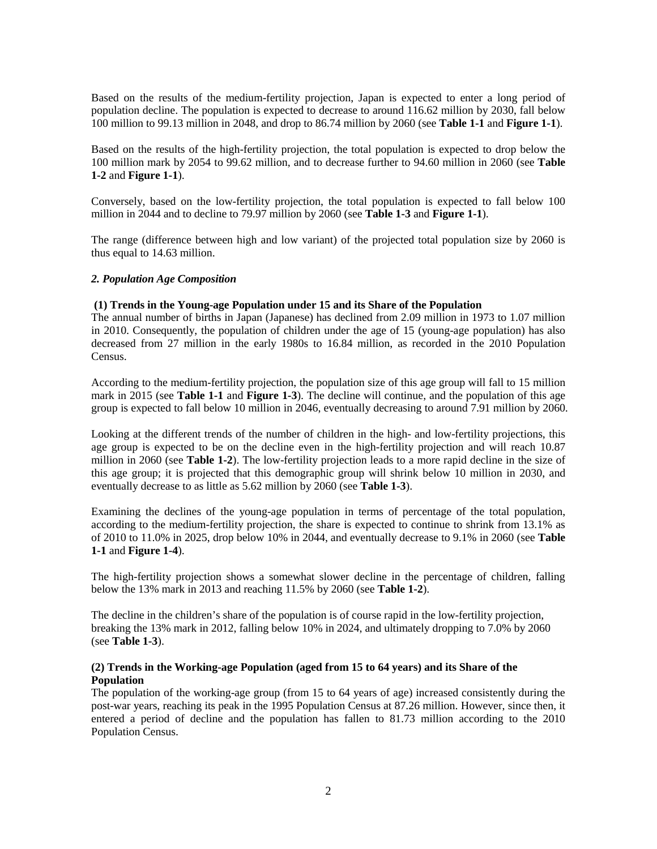Based on the results of the medium-fertility projection, Japan is expected to enter a long period of population decline. The population is expected to decrease to around 116.62 million by 2030, fall below 100 million to 99.13 million in 2048, and drop to 86.74 million by 2060 (see **Table 1-1** and **Figure 1-1**).

Based on the results of the high-fertility projection, the total population is expected to drop below the 100 million mark by 2054 to 99.62 million, and to decrease further to 94.60 million in 2060 (see **Table 1-2** and **Figure 1-1**).

Conversely, based on the low-fertility projection, the total population is expected to fall below 100 million in 2044 and to decline to 79.97 million by 2060 (see **Table 1-3** and **Figure 1-1**).

The range (difference between high and low variant) of the projected total population size by 2060 is thus equal to 14.63 million.

#### *2. Population Age Composition*

#### **(1) Trends in the Young-age Population under 15 and its Share of the Population**

The annual number of births in Japan (Japanese) has declined from 2.09 million in 1973 to 1.07 million in 2010. Consequently, the population of children under the age of 15 (young-age population) has also decreased from 27 million in the early 1980s to 16.84 million, as recorded in the 2010 Population Census.

According to the medium-fertility projection, the population size of this age group will fall to 15 million mark in 2015 (see **Table 1-1** and **Figure 1-3**). The decline will continue, and the population of this age group is expected to fall below 10 million in 2046, eventually decreasing to around 7.91 million by 2060.

Looking at the different trends of the number of children in the high- and low-fertility projections, this age group is expected to be on the decline even in the high-fertility projection and will reach 10.87 million in 2060 (see **Table 1-2**). The low-fertility projection leads to a more rapid decline in the size of this age group; it is projected that this demographic group will shrink below 10 million in 2030, and eventually decrease to as little as 5.62 million by 2060 (see **Table 1-3**).

Examining the declines of the young-age population in terms of percentage of the total population, according to the medium-fertility projection, the share is expected to continue to shrink from 13.1% as of 2010 to 11.0% in 2025, drop below 10% in 2044, and eventually decrease to 9.1% in 2060 (see **Table 1-1** and **Figure 1-4**).

The high-fertility projection shows a somewhat slower decline in the percentage of children, falling below the 13% mark in 2013 and reaching 11.5% by 2060 (see **Table 1-2**).

The decline in the children's share of the population is of course rapid in the low-fertility projection, breaking the 13% mark in 2012, falling below 10% in 2024, and ultimately dropping to 7.0% by 2060 (see **Table 1-3**).

#### **(2) Trends in the Working-age Population (aged from 15 to 64 years) and its Share of the Population**

The population of the working-age group (from 15 to 64 years of age) increased consistently during the post-war years, reaching its peak in the 1995 Population Census at 87.26 million. However, since then, it entered a period of decline and the population has fallen to 81.73 million according to the 2010 Population Census.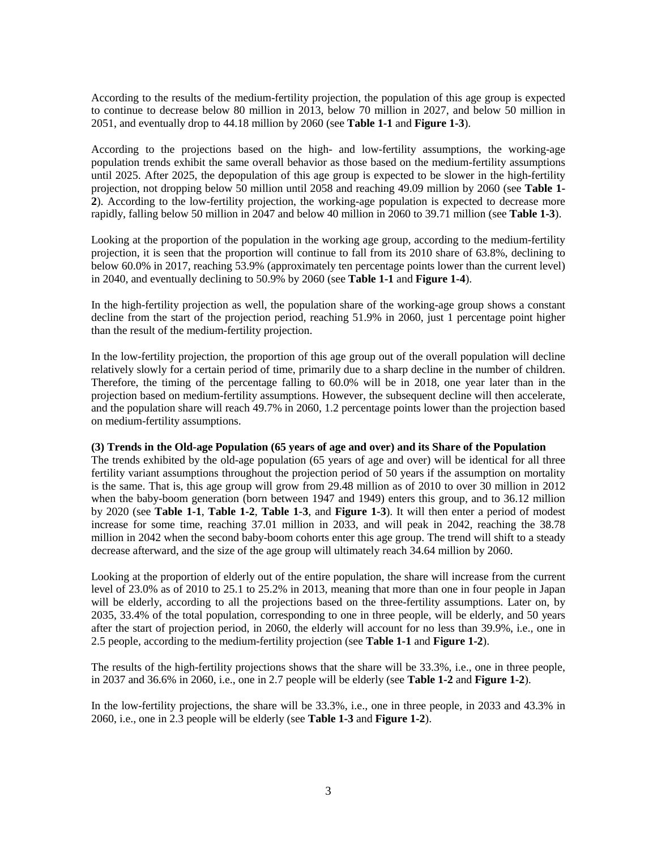According to the results of the medium-fertility projection, the population of this age group is expected to continue to decrease below 80 million in 2013, below 70 million in 2027, and below 50 million in 2051, and eventually drop to 44.18 million by 2060 (see **Table 1-1** and **Figure 1-3**).

According to the projections based on the high- and low-fertility assumptions, the working-age population trends exhibit the same overall behavior as those based on the medium-fertility assumptions until 2025. After 2025, the depopulation of this age group is expected to be slower in the high-fertility projection, not dropping below 50 million until 2058 and reaching 49.09 million by 2060 (see **Table 1- 2**). According to the low-fertility projection, the working-age population is expected to decrease more rapidly, falling below 50 million in 2047 and below 40 million in 2060 to 39.71 million (see **Table 1-3**).

Looking at the proportion of the population in the working age group, according to the medium-fertility projection, it is seen that the proportion will continue to fall from its 2010 share of 63.8%, declining to below 60.0% in 2017, reaching 53.9% (approximately ten percentage points lower than the current level) in 2040, and eventually declining to 50.9% by 2060 (see **Table 1-1** and **Figure 1-4**).

In the high-fertility projection as well, the population share of the working-age group shows a constant decline from the start of the projection period, reaching 51.9% in 2060, just 1 percentage point higher than the result of the medium-fertility projection.

In the low-fertility projection, the proportion of this age group out of the overall population will decline relatively slowly for a certain period of time, primarily due to a sharp decline in the number of children. Therefore, the timing of the percentage falling to 60.0% will be in 2018, one year later than in the projection based on medium-fertility assumptions. However, the subsequent decline will then accelerate, and the population share will reach 49.7% in 2060, 1.2 percentage points lower than the projection based on medium-fertility assumptions.

#### **(3) Trends in the Old-age Population (65 years of age and over) and its Share of the Population**

The trends exhibited by the old-age population (65 years of age and over) will be identical for all three fertility variant assumptions throughout the projection period of 50 years if the assumption on mortality is the same. That is, this age group will grow from 29.48 million as of 2010 to over 30 million in 2012 when the baby-boom generation (born between 1947 and 1949) enters this group, and to 36.12 million by 2020 (see **Table 1-1**, **Table 1-2**, **Table 1-3**, and **Figure 1-3**). It will then enter a period of modest increase for some time, reaching 37.01 million in 2033, and will peak in 2042, reaching the 38.78 million in 2042 when the second baby-boom cohorts enter this age group. The trend will shift to a steady decrease afterward, and the size of the age group will ultimately reach 34.64 million by 2060.

Looking at the proportion of elderly out of the entire population, the share will increase from the current level of 23.0% as of 2010 to 25.1 to 25.2% in 2013, meaning that more than one in four people in Japan will be elderly, according to all the projections based on the three-fertility assumptions. Later on, by 2035, 33.4% of the total population, corresponding to one in three people, will be elderly, and 50 years after the start of projection period, in 2060, the elderly will account for no less than 39.9%, i.e., one in 2.5 people, according to the medium-fertility projection (see **Table 1-1** and **Figure 1-2**).

The results of the high-fertility projections shows that the share will be 33.3%, i.e., one in three people, in 2037 and 36.6% in 2060, i.e., one in 2.7 people will be elderly (see **Table 1-2** and **Figure 1-2**).

In the low-fertility projections, the share will be 33.3%, i.e., one in three people, in 2033 and 43.3% in 2060, i.e., one in 2.3 people will be elderly (see **Table 1-3** and **Figure 1-2**).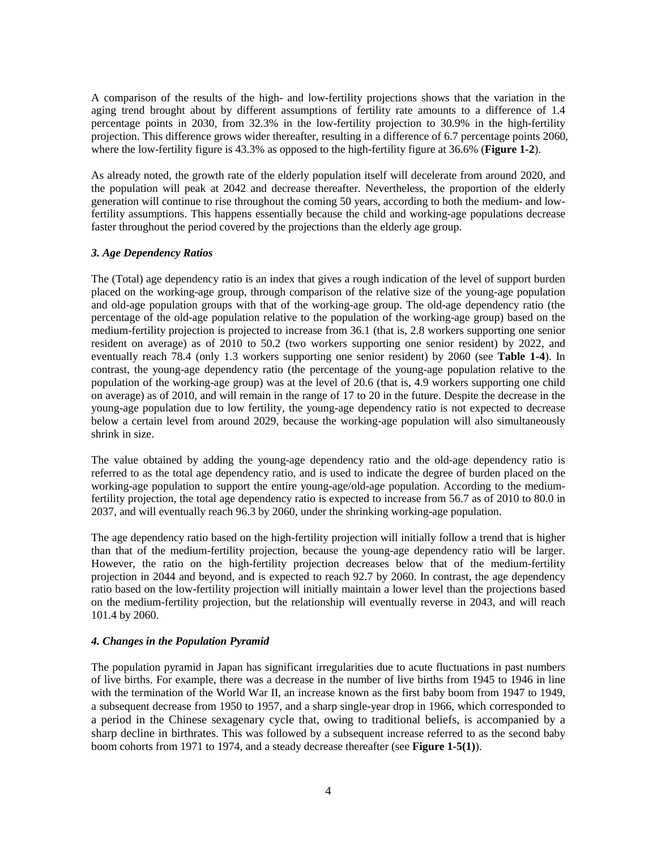A comparison of the results of the high- and low-fertility projections shows that the variation in the aging trend brought about by different assumptions of fertility rate amounts to a difference of 1.4 percentage points in 2030, from 32.3% in the low-fertility projection to 30.9% in the high-fertility projection. This difference grows wider thereafter, resulting in a difference of 6.7 percentage points 2060, where the low-fertility figure is 43.3% as opposed to the high-fertility figure at 36.6% (**Figure 1-2**).

As already noted, the growth rate of the elderly population itself will decelerate from around 2020, and the population will peak at 2042 and decrease thereafter. Nevertheless, the proportion of the elderly generation will continue to rise throughout the coming 50 years, according to both the medium- and lowfertility assumptions. This happens essentially because the child and working-age populations decrease faster throughout the period covered by the projections than the elderly age group.

#### *3. Age Dependency Ratios*

The (Total) age dependency ratio is an index that gives a rough indication of the level of support burden placed on the working-age group, through comparison of the relative size of the young-age population and old-age population groups with that of the working-age group. The old-age dependency ratio (the percentage of the old-age population relative to the population of the working-age group) based on the medium-fertility projection is projected to increase from 36.1 (that is, 2.8 workers supporting one senior resident on average) as of 2010 to 50.2 (two workers supporting one senior resident) by 2022, and eventually reach 78.4 (only 1.3 workers supporting one senior resident) by 2060 (see **Table 1-4**). In contrast, the young-age dependency ratio (the percentage of the young-age population relative to the population of the working-age group) was at the level of 20.6 (that is, 4.9 workers supporting one child on average) as of 2010, and will remain in the range of 17 to 20 in the future. Despite the decrease in the young-age population due to low fertility, the young-age dependency ratio is not expected to decrease below a certain level from around 2029, because the working-age population will also simultaneously shrink in size.

The value obtained by adding the young-age dependency ratio and the old-age dependency ratio is referred to as the total age dependency ratio, and is used to indicate the degree of burden placed on the working-age population to support the entire young-age/old-age population. According to the mediumfertility projection, the total age dependency ratio is expected to increase from 56.7 as of 2010 to 80.0 in 2037, and will eventually reach 96.3 by 2060, under the shrinking working-age population.

The age dependency ratio based on the high-fertility projection will initially follow a trend that is higher than that of the medium-fertility projection, because the young-age dependency ratio will be larger. However, the ratio on the high-fertility projection decreases below that of the medium-fertility projection in 2044 and beyond, and is expected to reach 92.7 by 2060. In contrast, the age dependency ratio based on the low-fertility projection will initially maintain a lower level than the projections based on the medium-fertility projection, but the relationship will eventually reverse in 2043, and will reach 101.4 by 2060.

#### *4. Changes in the Population Pyramid*

The population pyramid in Japan has significant irregularities due to acute fluctuations in past numbers of live births. For example, there was a decrease in the number of live births from 1945 to 1946 in line with the termination of the World War II, an increase known as the first baby boom from 1947 to 1949, a subsequent decrease from 1950 to 1957, and a sharp single-year drop in 1966, which corresponded to a period in the Chinese sexagenary cycle that, owing to traditional beliefs, is accompanied by a sharp decline in birthrates. This was followed by a subsequent increase referred to as the second baby boom cohorts from 1971 to 1974, and a steady decrease thereafter (see **Figure 1-5(1)**).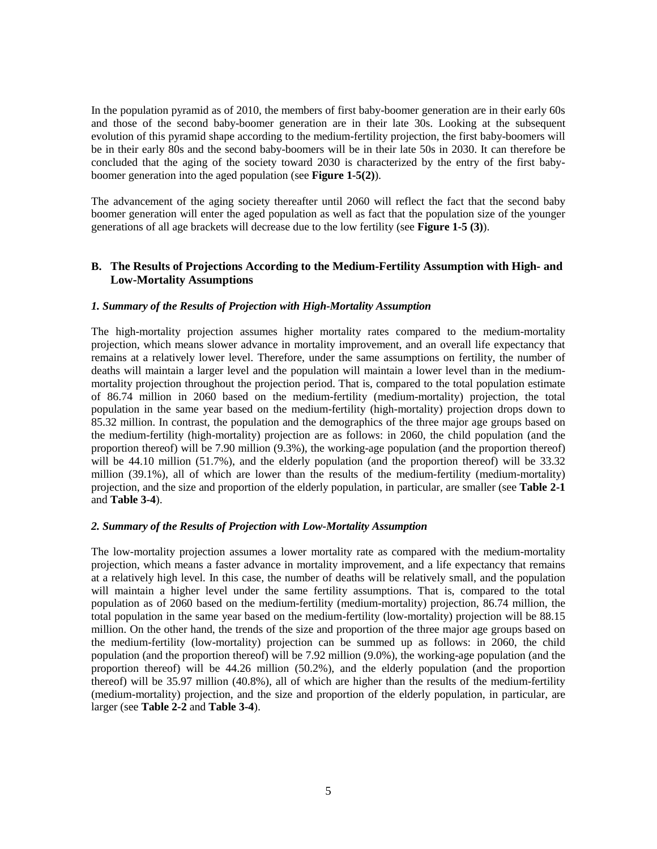In the population pyramid as of 2010, the members of first baby-boomer generation are in their early 60s and those of the second baby-boomer generation are in their late 30s. Looking at the subsequent evolution of this pyramid shape according to the medium-fertility projection, the first baby-boomers will be in their early 80s and the second baby-boomers will be in their late 50s in 2030. It can therefore be concluded that the aging of the society toward 2030 is characterized by the entry of the first babyboomer generation into the aged population (see **Figure 1-5(2)**).

The advancement of the aging society thereafter until 2060 will reflect the fact that the second baby boomer generation will enter the aged population as well as fact that the population size of the younger generations of all age brackets will decrease due to the low fertility (see **Figure 1-5 (3)**).

### **B. The Results of Projections According to the Medium-Fertility Assumption with High- and Low-Mortality Assumptions**

#### *1. Summary of the Results of Projection with High-Mortality Assumption*

The high-mortality projection assumes higher mortality rates compared to the medium-mortality projection, which means slower advance in mortality improvement, and an overall life expectancy that remains at a relatively lower level. Therefore, under the same assumptions on fertility, the number of deaths will maintain a larger level and the population will maintain a lower level than in the mediummortality projection throughout the projection period. That is, compared to the total population estimate of 86.74 million in 2060 based on the medium-fertility (medium-mortality) projection, the total population in the same year based on the medium-fertility (high-mortality) projection drops down to 85.32 million. In contrast, the population and the demographics of the three major age groups based on the medium-fertility (high-mortality) projection are as follows: in 2060, the child population (and the proportion thereof) will be 7.90 million (9.3%), the working-age population (and the proportion thereof) will be 44.10 million (51.7%), and the elderly population (and the proportion thereof) will be 33.32 million (39.1%), all of which are lower than the results of the medium-fertility (medium-mortality) projection, and the size and proportion of the elderly population, in particular, are smaller (see **Table 2-1**  and **Table 3-4**).

#### *2. Summary of the Results of Projection with Low-Mortality Assumption*

The low-mortality projection assumes a lower mortality rate as compared with the medium-mortality projection, which means a faster advance in mortality improvement, and a life expectancy that remains at a relatively high level. In this case, the number of deaths will be relatively small, and the population will maintain a higher level under the same fertility assumptions. That is, compared to the total population as of 2060 based on the medium-fertility (medium-mortality) projection, 86.74 million, the total population in the same year based on the medium-fertility (low-mortality) projection will be 88.15 million. On the other hand, the trends of the size and proportion of the three major age groups based on the medium-fertility (low-mortality) projection can be summed up as follows: in 2060, the child population (and the proportion thereof) will be 7.92 million (9.0%), the working-age population (and the proportion thereof) will be 44.26 million (50.2%), and the elderly population (and the proportion thereof) will be 35.97 million (40.8%), all of which are higher than the results of the medium-fertility (medium-mortality) projection, and the size and proportion of the elderly population, in particular, are larger (see **Table 2-2** and **Table 3-4**).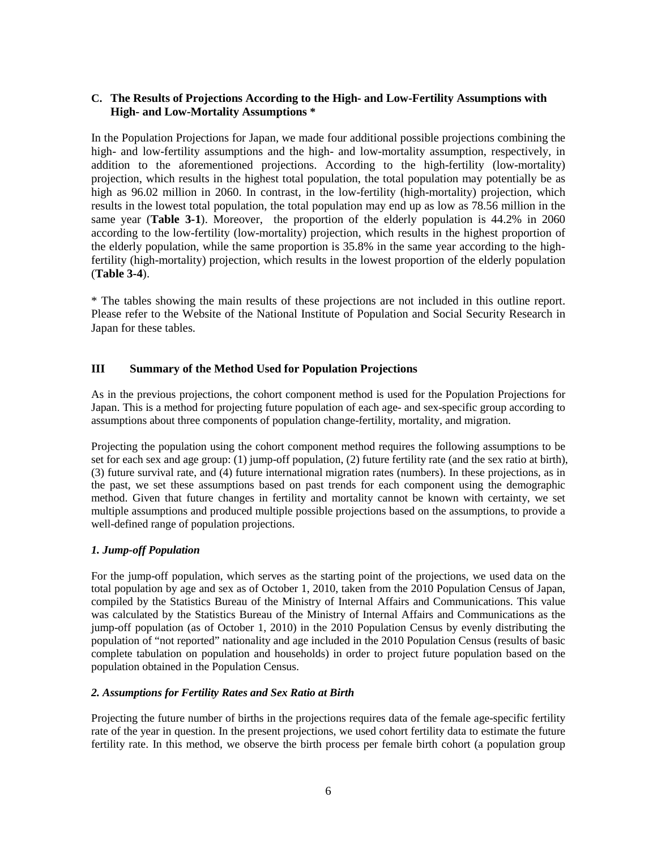## **C. The Results of Projections According to the High- and Low-Fertility Assumptions with High- and Low-Mortality Assumptions \***

In the Population Projections for Japan, we made four additional possible projections combining the high- and low-fertility assumptions and the high- and low-mortality assumption, respectively, in addition to the aforementioned projections. According to the high-fertility (low-mortality) projection, which results in the highest total population, the total population may potentially be as high as 96.02 million in 2060. In contrast, in the low-fertility (high-mortality) projection, which results in the lowest total population, the total population may end up as low as 78.56 million in the same year (**Table 3-1**). Moreover, the proportion of the elderly population is 44.2% in 2060 according to the low-fertility (low-mortality) projection, which results in the highest proportion of the elderly population, while the same proportion is 35.8% in the same year according to the highfertility (high-mortality) projection, which results in the lowest proportion of the elderly population (**Table 3-4**).

\* The tables showing the main results of these projections are not included in this outline report. Please refer to the Website of the National Institute of Population and Social Security Research in Japan for these tables.

## **III Summary of the Method Used for Population Projections**

As in the previous projections, the cohort component method is used for the Population Projections for Japan. This is a method for projecting future population of each age- and sex-specific group according to assumptions about three components of population change-fertility, mortality, and migration.

Projecting the population using the cohort component method requires the following assumptions to be set for each sex and age group: (1) jump-off population, (2) future fertility rate (and the sex ratio at birth), (3) future survival rate, and (4) future international migration rates (numbers). In these projections, as in the past, we set these assumptions based on past trends for each component using the demographic method. Given that future changes in fertility and mortality cannot be known with certainty, we set multiple assumptions and produced multiple possible projections based on the assumptions, to provide a well-defined range of population projections.

## *1. Jump-off Population*

For the jump-off population, which serves as the starting point of the projections, we used data on the total population by age and sex as of October 1, 2010, taken from the 2010 Population Census of Japan, compiled by the Statistics Bureau of the Ministry of Internal Affairs and Communications. This value was calculated by the Statistics Bureau of the Ministry of Internal Affairs and Communications as the jump-off population (as of October 1, 2010) in the 2010 Population Census by evenly distributing the population of "not reported" nationality and age included in the 2010 Population Census (results of basic complete tabulation on population and households) in order to project future population based on the population obtained in the Population Census.

## *2. Assumptions for Fertility Rates and Sex Ratio at Birth*

Projecting the future number of births in the projections requires data of the female age-specific fertility rate of the year in question. In the present projections, we used cohort fertility data to estimate the future fertility rate. In this method, we observe the birth process per female birth cohort (a population group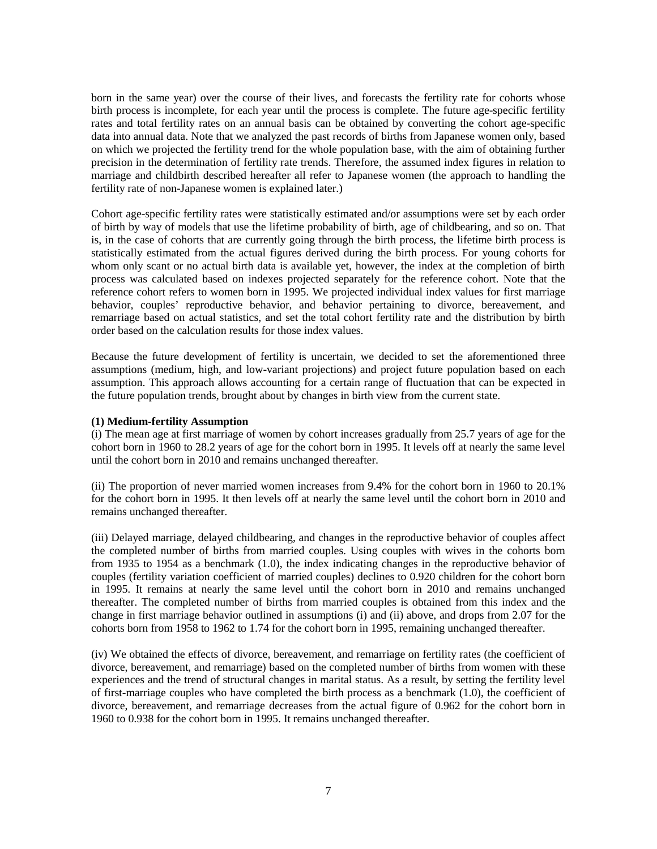born in the same year) over the course of their lives, and forecasts the fertility rate for cohorts whose birth process is incomplete, for each year until the process is complete. The future age-specific fertility rates and total fertility rates on an annual basis can be obtained by converting the cohort age-specific data into annual data. Note that we analyzed the past records of births from Japanese women only, based on which we projected the fertility trend for the whole population base, with the aim of obtaining further precision in the determination of fertility rate trends. Therefore, the assumed index figures in relation to marriage and childbirth described hereafter all refer to Japanese women (the approach to handling the fertility rate of non-Japanese women is explained later.)

Cohort age-specific fertility rates were statistically estimated and/or assumptions were set by each order of birth by way of models that use the lifetime probability of birth, age of childbearing, and so on. That is, in the case of cohorts that are currently going through the birth process, the lifetime birth process is statistically estimated from the actual figures derived during the birth process. For young cohorts for whom only scant or no actual birth data is available yet, however, the index at the completion of birth process was calculated based on indexes projected separately for the reference cohort. Note that the reference cohort refers to women born in 1995. We projected individual index values for first marriage behavior, couples' reproductive behavior, and behavior pertaining to divorce, bereavement, and remarriage based on actual statistics, and set the total cohort fertility rate and the distribution by birth order based on the calculation results for those index values.

Because the future development of fertility is uncertain, we decided to set the aforementioned three assumptions (medium, high, and low-variant projections) and project future population based on each assumption. This approach allows accounting for a certain range of fluctuation that can be expected in the future population trends, brought about by changes in birth view from the current state.

#### **(1) Medium-fertility Assumption**

(i) The mean age at first marriage of women by cohort increases gradually from 25.7 years of age for the cohort born in 1960 to 28.2 years of age for the cohort born in 1995. It levels off at nearly the same level until the cohort born in 2010 and remains unchanged thereafter.

(ii) The proportion of never married women increases from 9.4% for the cohort born in 1960 to 20.1% for the cohort born in 1995. It then levels off at nearly the same level until the cohort born in 2010 and remains unchanged thereafter.

(iii) Delayed marriage, delayed childbearing, and changes in the reproductive behavior of couples affect the completed number of births from married couples. Using couples with wives in the cohorts born from 1935 to 1954 as a benchmark (1.0), the index indicating changes in the reproductive behavior of couples (fertility variation coefficient of married couples) declines to 0.920 children for the cohort born in 1995. It remains at nearly the same level until the cohort born in 2010 and remains unchanged thereafter. The completed number of births from married couples is obtained from this index and the change in first marriage behavior outlined in assumptions (i) and (ii) above, and drops from 2.07 for the cohorts born from 1958 to 1962 to 1.74 for the cohort born in 1995, remaining unchanged thereafter.

(iv) We obtained the effects of divorce, bereavement, and remarriage on fertility rates (the coefficient of divorce, bereavement, and remarriage) based on the completed number of births from women with these experiences and the trend of structural changes in marital status. As a result, by setting the fertility level of first-marriage couples who have completed the birth process as a benchmark (1.0), the coefficient of divorce, bereavement, and remarriage decreases from the actual figure of 0.962 for the cohort born in 1960 to 0.938 for the cohort born in 1995. It remains unchanged thereafter.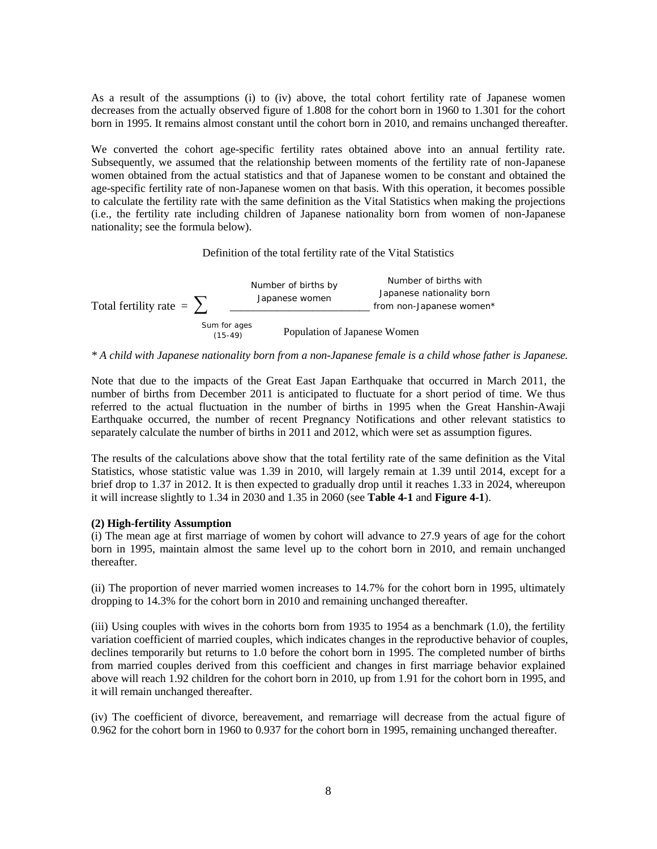As a result of the assumptions (i) to (iv) above, the total cohort fertility rate of Japanese women decreases from the actually observed figure of 1.808 for the cohort born in 1960 to 1.301 for the cohort born in 1995. It remains almost constant until the cohort born in 2010, and remains unchanged thereafter.

We converted the cohort age-specific fertility rates obtained above into an annual fertility rate. Subsequently, we assumed that the relationship between moments of the fertility rate of non-Japanese women obtained from the actual statistics and that of Japanese women to be constant and obtained the age-specific fertility rate of non-Japanese women on that basis. With this operation, it becomes possible to calculate the fertility rate with the same definition as the Vital Statistics when making the projections (i.e., the fertility rate including children of Japanese nationality born from women of non-Japanese nationality; see the formula below).

#### Definition of the total fertility rate of the Vital Statistics



*\* A child with Japanese nationality born from a non-Japanese female is a child whose father is Japanese.*

Note that due to the impacts of the Great East Japan Earthquake that occurred in March 2011, the number of births from December 2011 is anticipated to fluctuate for a short period of time. We thus referred to the actual fluctuation in the number of births in 1995 when the Great Hanshin-Awaji Earthquake occurred, the number of recent Pregnancy Notifications and other relevant statistics to separately calculate the number of births in 2011 and 2012, which were set as assumption figures.

The results of the calculations above show that the total fertility rate of the same definition as the Vital Statistics, whose statistic value was 1.39 in 2010, will largely remain at 1.39 until 2014, except for a brief drop to 1.37 in 2012. It is then expected to gradually drop until it reaches 1.33 in 2024, whereupon it will increase slightly to 1.34 in 2030 and 1.35 in 2060 (see **Table 4-1** and **Figure 4-1**).

#### **(2) High-fertility Assumption**

(i) The mean age at first marriage of women by cohort will advance to 27.9 years of age for the cohort born in 1995, maintain almost the same level up to the cohort born in 2010, and remain unchanged thereafter.

(ii) The proportion of never married women increases to 14.7% for the cohort born in 1995, ultimately dropping to 14.3% for the cohort born in 2010 and remaining unchanged thereafter.

(iii) Using couples with wives in the cohorts born from 1935 to 1954 as a benchmark (1.0), the fertility variation coefficient of married couples, which indicates changes in the reproductive behavior of couples, declines temporarily but returns to 1.0 before the cohort born in 1995. The completed number of births from married couples derived from this coefficient and changes in first marriage behavior explained above will reach 1.92 children for the cohort born in 2010, up from 1.91 for the cohort born in 1995, and it will remain unchanged thereafter.

(iv) The coefficient of divorce, bereavement, and remarriage will decrease from the actual figure of 0.962 for the cohort born in 1960 to 0.937 for the cohort born in 1995, remaining unchanged thereafter.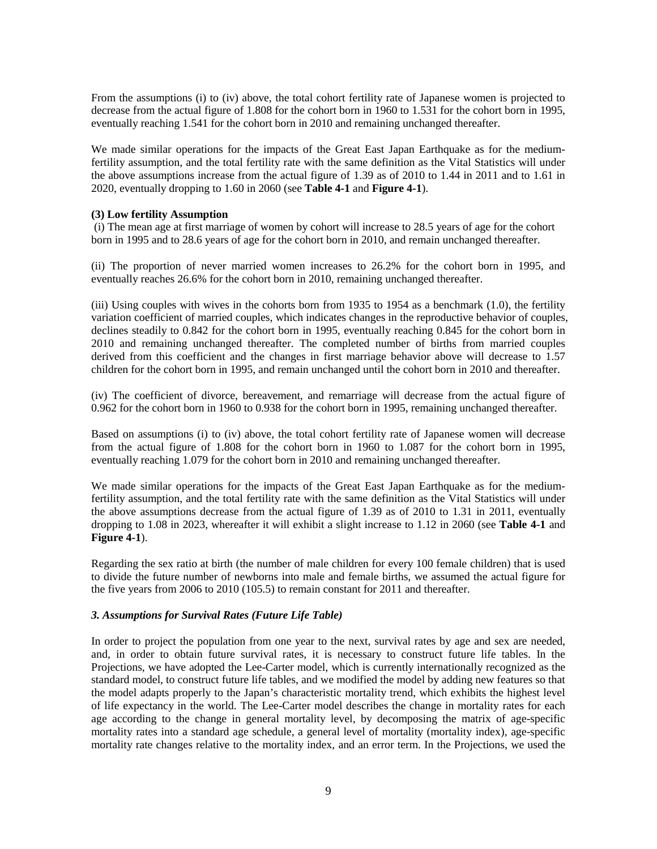From the assumptions (i) to (iv) above, the total cohort fertility rate of Japanese women is projected to decrease from the actual figure of 1.808 for the cohort born in 1960 to 1.531 for the cohort born in 1995, eventually reaching 1.541 for the cohort born in 2010 and remaining unchanged thereafter.

We made similar operations for the impacts of the Great East Japan Earthquake as for the mediumfertility assumption, and the total fertility rate with the same definition as the Vital Statistics will under the above assumptions increase from the actual figure of 1.39 as of 2010 to 1.44 in 2011 and to 1.61 in 2020, eventually dropping to 1.60 in 2060 (see **Table 4-1** and **Figure 4-1**).

#### **(3) Low fertility Assumption**

(i) The mean age at first marriage of women by cohort will increase to 28.5 years of age for the cohort born in 1995 and to 28.6 years of age for the cohort born in 2010, and remain unchanged thereafter.

(ii) The proportion of never married women increases to 26.2% for the cohort born in 1995, and eventually reaches 26.6% for the cohort born in 2010, remaining unchanged thereafter.

(iii) Using couples with wives in the cohorts born from 1935 to 1954 as a benchmark (1.0), the fertility variation coefficient of married couples, which indicates changes in the reproductive behavior of couples, declines steadily to 0.842 for the cohort born in 1995, eventually reaching 0.845 for the cohort born in 2010 and remaining unchanged thereafter. The completed number of births from married couples derived from this coefficient and the changes in first marriage behavior above will decrease to 1.57 children for the cohort born in 1995, and remain unchanged until the cohort born in 2010 and thereafter.

(iv) The coefficient of divorce, bereavement, and remarriage will decrease from the actual figure of 0.962 for the cohort born in 1960 to 0.938 for the cohort born in 1995, remaining unchanged thereafter.

Based on assumptions (i) to (iv) above, the total cohort fertility rate of Japanese women will decrease from the actual figure of 1.808 for the cohort born in 1960 to 1.087 for the cohort born in 1995, eventually reaching 1.079 for the cohort born in 2010 and remaining unchanged thereafter.

We made similar operations for the impacts of the Great East Japan Earthquake as for the mediumfertility assumption, and the total fertility rate with the same definition as the Vital Statistics will under the above assumptions decrease from the actual figure of 1.39 as of 2010 to 1.31 in 2011, eventually dropping to 1.08 in 2023, whereafter it will exhibit a slight increase to 1.12 in 2060 (see **Table 4-1** and **Figure 4-1**).

Regarding the sex ratio at birth (the number of male children for every 100 female children) that is used to divide the future number of newborns into male and female births, we assumed the actual figure for the five years from 2006 to 2010 (105.5) to remain constant for 2011 and thereafter.

#### *3. Assumptions for Survival Rates (Future Life Table)*

In order to project the population from one year to the next, survival rates by age and sex are needed, and, in order to obtain future survival rates, it is necessary to construct future life tables. In the Projections, we have adopted the Lee-Carter model, which is currently internationally recognized as the standard model, to construct future life tables, and we modified the model by adding new features so that the model adapts properly to the Japan's characteristic mortality trend, which exhibits the highest level of life expectancy in the world. The Lee-Carter model describes the change in mortality rates for each age according to the change in general mortality level, by decomposing the matrix of age-specific mortality rates into a standard age schedule, a general level of mortality (mortality index), age-specific mortality rate changes relative to the mortality index, and an error term. In the Projections, we used the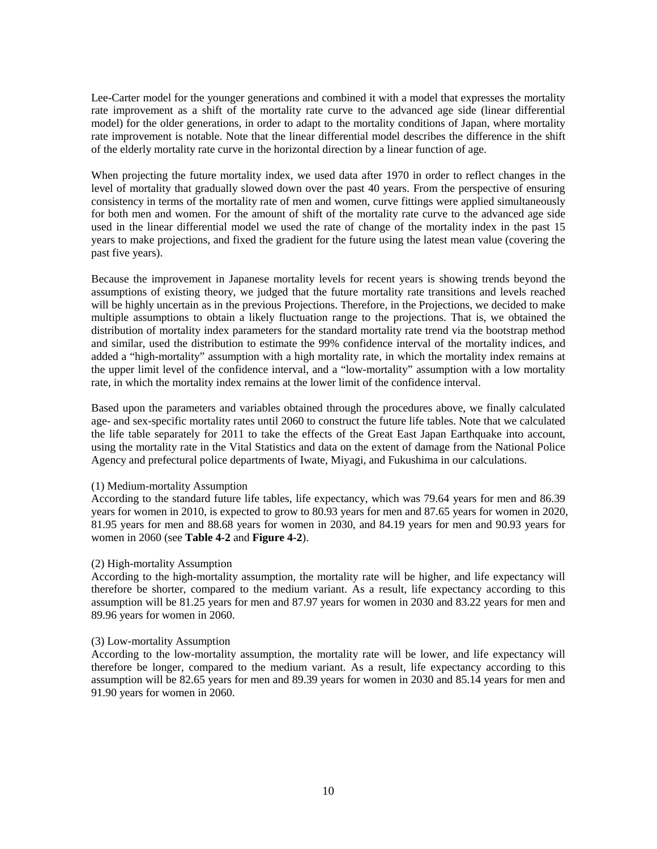Lee-Carter model for the younger generations and combined it with a model that expresses the mortality rate improvement as a shift of the mortality rate curve to the advanced age side (linear differential model) for the older generations, in order to adapt to the mortality conditions of Japan, where mortality rate improvement is notable. Note that the linear differential model describes the difference in the shift of the elderly mortality rate curve in the horizontal direction by a linear function of age.

When projecting the future mortality index, we used data after 1970 in order to reflect changes in the level of mortality that gradually slowed down over the past 40 years. From the perspective of ensuring consistency in terms of the mortality rate of men and women, curve fittings were applied simultaneously for both men and women. For the amount of shift of the mortality rate curve to the advanced age side used in the linear differential model we used the rate of change of the mortality index in the past 15 years to make projections, and fixed the gradient for the future using the latest mean value (covering the past five years).

Because the improvement in Japanese mortality levels for recent years is showing trends beyond the assumptions of existing theory, we judged that the future mortality rate transitions and levels reached will be highly uncertain as in the previous Projections. Therefore, in the Projections, we decided to make multiple assumptions to obtain a likely fluctuation range to the projections. That is, we obtained the distribution of mortality index parameters for the standard mortality rate trend via the bootstrap method and similar, used the distribution to estimate the 99% confidence interval of the mortality indices, and added a "high-mortality" assumption with a high mortality rate, in which the mortality index remains at the upper limit level of the confidence interval, and a "low-mortality" assumption with a low mortality rate, in which the mortality index remains at the lower limit of the confidence interval.

Based upon the parameters and variables obtained through the procedures above, we finally calculated age- and sex-specific mortality rates until 2060 to construct the future life tables. Note that we calculated the life table separately for 2011 to take the effects of the Great East Japan Earthquake into account, using the mortality rate in the Vital Statistics and data on the extent of damage from the National Police Agency and prefectural police departments of Iwate, Miyagi, and Fukushima in our calculations.

#### (1) Medium-mortality Assumption

According to the standard future life tables, life expectancy, which was 79.64 years for men and 86.39 years for women in 2010, is expected to grow to 80.93 years for men and 87.65 years for women in 2020, 81.95 years for men and 88.68 years for women in 2030, and 84.19 years for men and 90.93 years for women in 2060 (see **Table 4-2** and **Figure 4-2**).

#### (2) High-mortality Assumption

According to the high-mortality assumption, the mortality rate will be higher, and life expectancy will therefore be shorter, compared to the medium variant. As a result, life expectancy according to this assumption will be 81.25 years for men and 87.97 years for women in 2030 and 83.22 years for men and 89.96 years for women in 2060.

#### (3) Low-mortality Assumption

According to the low-mortality assumption, the mortality rate will be lower, and life expectancy will therefore be longer, compared to the medium variant. As a result, life expectancy according to this assumption will be 82.65 years for men and 89.39 years for women in 2030 and 85.14 years for men and 91.90 years for women in 2060.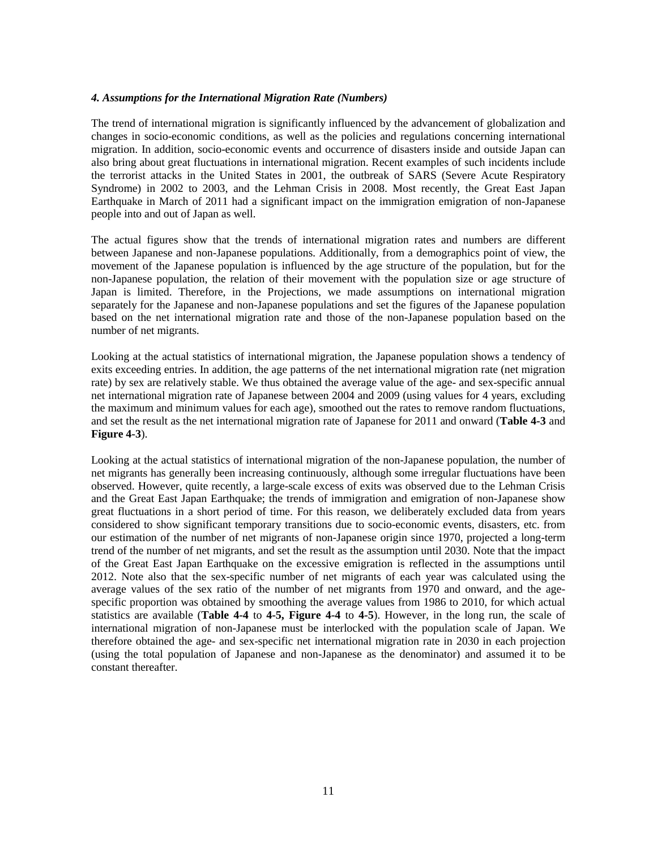#### *4. Assumptions for the International Migration Rate (Numbers)*

The trend of international migration is significantly influenced by the advancement of globalization and changes in socio-economic conditions, as well as the policies and regulations concerning international migration. In addition, socio-economic events and occurrence of disasters inside and outside Japan can also bring about great fluctuations in international migration. Recent examples of such incidents include the terrorist attacks in the United States in 2001, the outbreak of SARS (Severe Acute Respiratory Syndrome) in 2002 to 2003, and the Lehman Crisis in 2008. Most recently, the Great East Japan Earthquake in March of 2011 had a significant impact on the immigration emigration of non-Japanese people into and out of Japan as well.

The actual figures show that the trends of international migration rates and numbers are different between Japanese and non-Japanese populations. Additionally, from a demographics point of view, the movement of the Japanese population is influenced by the age structure of the population, but for the non-Japanese population, the relation of their movement with the population size or age structure of Japan is limited. Therefore, in the Projections, we made assumptions on international migration separately for the Japanese and non-Japanese populations and set the figures of the Japanese population based on the net international migration rate and those of the non-Japanese population based on the number of net migrants.

Looking at the actual statistics of international migration, the Japanese population shows a tendency of exits exceeding entries. In addition, the age patterns of the net international migration rate (net migration rate) by sex are relatively stable. We thus obtained the average value of the age- and sex-specific annual net international migration rate of Japanese between 2004 and 2009 (using values for 4 years, excluding the maximum and minimum values for each age), smoothed out the rates to remove random fluctuations, and set the result as the net international migration rate of Japanese for 2011 and onward (**Table 4-3** and **Figure 4-3**).

Looking at the actual statistics of international migration of the non-Japanese population, the number of net migrants has generally been increasing continuously, although some irregular fluctuations have been observed. However, quite recently, a large-scale excess of exits was observed due to the Lehman Crisis and the Great East Japan Earthquake; the trends of immigration and emigration of non-Japanese show great fluctuations in a short period of time. For this reason, we deliberately excluded data from years considered to show significant temporary transitions due to socio-economic events, disasters, etc. from our estimation of the number of net migrants of non-Japanese origin since 1970, projected a long-term trend of the number of net migrants, and set the result as the assumption until 2030. Note that the impact of the Great East Japan Earthquake on the excessive emigration is reflected in the assumptions until 2012. Note also that the sex-specific number of net migrants of each year was calculated using the average values of the sex ratio of the number of net migrants from 1970 and onward, and the agespecific proportion was obtained by smoothing the average values from 1986 to 2010, for which actual statistics are available (**Table 4-4** to **4-5, Figure 4-4** to **4-5**). However, in the long run, the scale of international migration of non-Japanese must be interlocked with the population scale of Japan. We therefore obtained the age- and sex-specific net international migration rate in 2030 in each projection (using the total population of Japanese and non-Japanese as the denominator) and assumed it to be constant thereafter.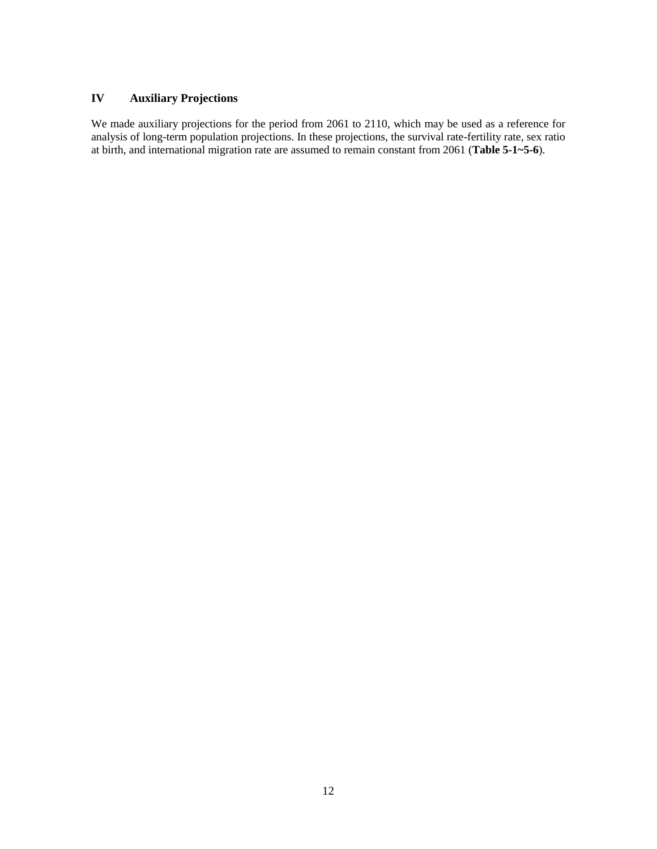## **IV Auxiliary Projections**

We made auxiliary projections for the period from 2061 to 2110, which may be used as a reference for analysis of long-term population projections. In these projections, the survival rate-fertility rate, sex ratio at birth, and international migration rate are assumed to remain constant from 2061 (**Table 5-1~5-6**).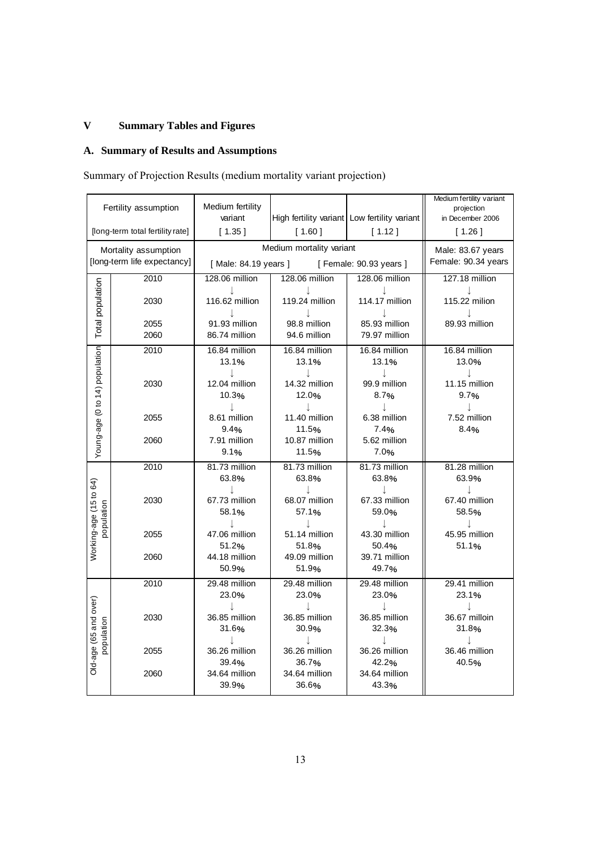# **V Summary Tables and Figures**

## **A. Summary of Results and Assumptions**

# Summary of Projection Results (medium mortality variant projection)

|                                | Fertility assumption                                | Medium fertility       |                                              |                         | Medium fertility variant                 |
|--------------------------------|-----------------------------------------------------|------------------------|----------------------------------------------|-------------------------|------------------------------------------|
|                                |                                                     | variant                | High fertility variant Low fertility variant |                         | projection<br>in December 2006           |
|                                | [long-term total fertility rate]                    | [1.35]                 | [1.60]                                       | [1.12]                  | [1.26]                                   |
|                                |                                                     |                        | Medium mortality variant                     |                         |                                          |
|                                | Mortality assumption<br>[long-term life expectancy] |                        |                                              |                         | Male: 83.67 years<br>Female: 90.34 years |
|                                |                                                     | [Male: 84.19 years ]   |                                              | [ Female: 90.93 years ] |                                          |
|                                | 2010                                                | 128.06 million         | 128.06 million                               | 128.06 million          | 127.18 million                           |
|                                | 2030                                                | 116.62 million         | 119.24 million                               | 114.17 million          | 115.22 milion                            |
| Total population               |                                                     |                        |                                              |                         |                                          |
|                                | 2055                                                | 91.93 million          | 98.8 million                                 | 85.93 million           | 89.93 million                            |
|                                | 2060                                                | 86.74 million          | 94.6 million                                 | 79.97 million           |                                          |
| Young-age (0 to 14) population | 2010                                                | 16.84 million          | 16.84 million                                | 16.84 million           | 16.84 million                            |
|                                |                                                     | 13.1%                  | 13.1%                                        | 13.1%                   | 13.0%                                    |
|                                | 2030                                                | J<br>12.04 million     | T<br>14.32 million                           | J.<br>99.9 million      | J<br>11.15 million                       |
|                                |                                                     | 10.3%                  | 12.0%                                        | 8.7%                    | 9.7%                                     |
|                                |                                                     |                        |                                              |                         | J                                        |
|                                | 2055                                                | 8.61 million           | 11.40 million                                | 6.38 million            | 7.52 million                             |
|                                |                                                     | 9.4%                   | 11.5%                                        | 7.4%                    | 8.4%                                     |
|                                | 2060                                                | 7.91 million           | 10.87 million                                | 5.62 million            |                                          |
|                                |                                                     | 9.1%                   | 11.5%                                        | 7.0%                    |                                          |
|                                | 2010                                                | 81.73 million          | 81.73 million                                | 81.73 million           | 81.28 million                            |
|                                |                                                     | 63.8%                  | 63.8%                                        | 63.8%                   | 63.9%                                    |
|                                |                                                     | J.                     |                                              | $\perp$                 | T                                        |
|                                | 2030                                                | 67.73 million<br>58.1% | 68.07 million<br>57.1%                       | 67.33 million<br>59.0%  | 67.40 million<br>58.5%                   |
| population                     |                                                     | J                      | J.                                           | J                       | J                                        |
| Working-age (15 to 64)         | 2055                                                | 47.06 million          | 51.14 million                                | 43.30 million           | 45.95 million                            |
|                                |                                                     | 51.2%                  | 51.8%                                        | 50.4%                   | 51.1%                                    |
|                                | 2060                                                | 44.18 million          | 49.09 million                                | 39.71 million           |                                          |
|                                |                                                     | 50.9%                  | 51.9%                                        | 49.7%                   |                                          |
|                                | 2010                                                | 29.48 million          | 29.48 million                                | 29.48 million           | 29.41 million                            |
|                                |                                                     | 23.0%                  | 23.0%                                        | 23.0%                   | 23.1%                                    |
|                                | 2030                                                | J.<br>36.85 million    | 36.85 million                                | 36.85 million           | J<br>36.67 milloin                       |
|                                |                                                     | 31.6%                  | 30.9%                                        | 32.3%                   | 31.8%                                    |
| population                     |                                                     |                        | J.                                           | J                       | J                                        |
|                                | 2055                                                | 36.26 million          | 36.26 million                                | 36.26 million           | 36.46 million                            |
| Old-age (65 and over)          |                                                     | 39.4%                  | 36.7%                                        | 42.2%                   | 40.5%                                    |
|                                | 2060                                                | 34.64 million          | 34.64 million                                | 34.64 million           |                                          |
|                                |                                                     | 39.9%                  | 36.6%                                        | 43.3%                   |                                          |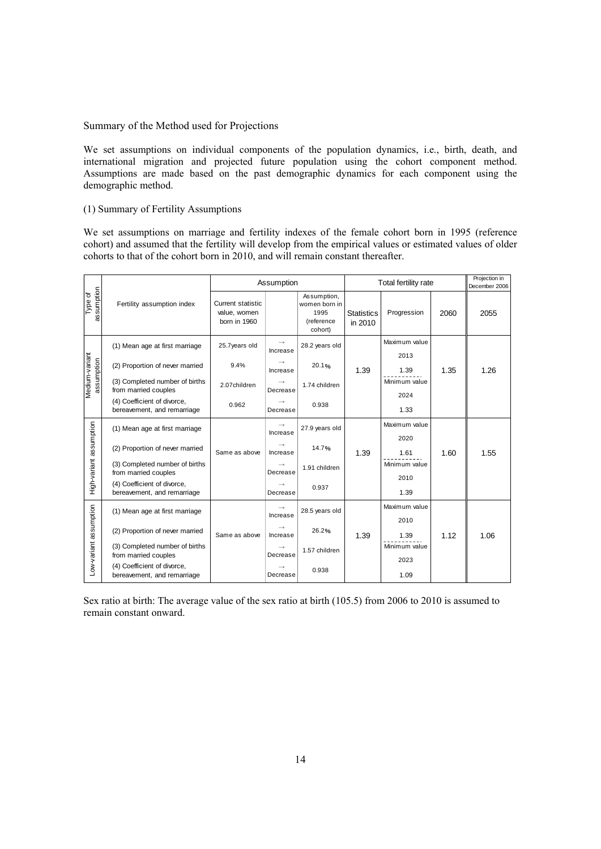Summary of the Method used for Projections

We set assumptions on individual components of the population dynamics, i.e., birth, death, and international migration and projected future population using the cohort component method. Assumptions are made based on the past demographic dynamics for each component using the demographic method.

#### (1) Summary of Fertility Assumptions

We set assumptions on marriage and fertility indexes of the female cohort born in 1995 (reference cohort) and assumed that the fertility will develop from the empirical values or estimated values of older cohorts to that of the cohort born in 2010, and will remain constant thereafter.

|                              |                                                            |                                                          | Assumption |                                                               |                              | Total fertility rate  |      | Projection in<br>December 2006 |
|------------------------------|------------------------------------------------------------|----------------------------------------------------------|------------|---------------------------------------------------------------|------------------------------|-----------------------|------|--------------------------------|
| assumption<br>Type of        | Fertility assumption index                                 | <b>Current statistic</b><br>value, women<br>born in 1960 |            | Assumption,<br>women born in<br>1995<br>(reference<br>cohort) | <b>Statistics</b><br>in 2010 | Progression           | 2060 | 2055                           |
|                              | (1) Mean age at first marriage                             | 25.7years old                                            | Increase   | 28.2 years old                                                |                              | Maximum value<br>2013 |      |                                |
| Medium-variant<br>assumption | (2) Proportion of never married                            | 9.4%                                                     | Increase   | 20.1%                                                         | 1.39                         | 1.39                  | 1.35 | 1.26                           |
|                              | (3) Completed number of births<br>from married couples     | 2.07children                                             | Decrease   | 1.74 children                                                 |                              | Minimum value<br>2024 |      |                                |
|                              | (4) Coefficient of divorce,<br>bereavement, and remarriage | 0.962                                                    | Decrease   | 0.938                                                         |                              | 1.33                  |      |                                |
|                              | (1) Mean age at first marriage                             |                                                          | Increase   | 27.9 years old                                                |                              | Maximum value         |      |                                |
| High-variant assumption      | (2) Proportion of never married                            | Same as above                                            | Increase   | 14.7%                                                         | 1.39                         | 2020<br>1.61          | 1.60 | 1.55                           |
|                              | (3) Completed number of births<br>from married couples     |                                                          | Decrease   | 1.91 children                                                 |                              | Minimum value         |      |                                |
|                              | (4) Coefficient of divorce,<br>bereavement, and remarriage |                                                          | Decrease   | 0.937                                                         |                              | 2010<br>1.39          |      |                                |
|                              | (1) Mean age at first marriage                             |                                                          |            | 28.5 years old                                                |                              | Maximum value         |      |                                |
|                              |                                                            |                                                          | Increase   |                                                               |                              | 2010                  |      |                                |
|                              | (2) Proportion of never married                            | Same as above                                            | Increase   | 26.2%                                                         | 1.39                         | 1.39                  | 1.12 | 1.06                           |
|                              | (3) Completed number of births<br>from married couples     |                                                          | Decrease   | 1.57 children                                                 |                              | Minimum value         |      |                                |
| Low-variant assumption       | (4) Coefficient of divorce,<br>bereavement, and remarriage |                                                          | Decrease   | 0.938                                                         |                              | 2023<br>1.09          |      |                                |

Sex ratio at birth: The average value of the sex ratio at birth (105.5) from 2006 to 2010 is assumed to remain constant onward.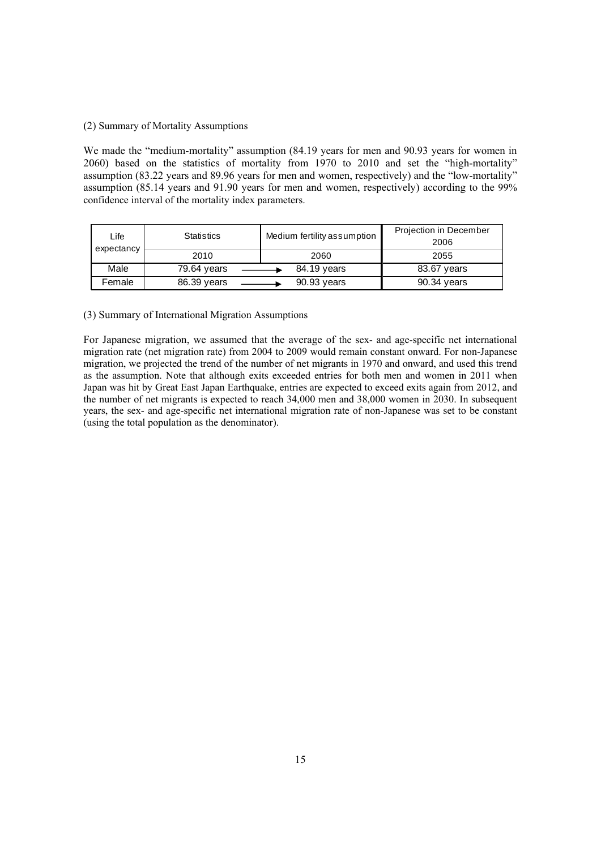#### (2) Summary of Mortality Assumptions

We made the "medium-mortality" assumption (84.19 years for men and 90.93 years for women in 2060) based on the statistics of mortality from 1970 to 2010 and set the "high-mortality" assumption (83.22 years and 89.96 years for men and women, respectively) and the "low-mortality" assumption (85.14 years and 91.90 years for men and women, respectively) according to the 99% confidence interval of the mortality index parameters.

| Life<br>expectancy | <b>Statistics</b> | Medium fertility assumption | Projection in December<br>2006 |
|--------------------|-------------------|-----------------------------|--------------------------------|
|                    | 2010              | 2060                        | 2055                           |
| Male               | 79.64 years       | 84.19 years                 | 83.67 years                    |
| Female             | 86.39 years       | 90.93 years                 | 90.34 years                    |

### (3) Summary of International Migration Assumptions

For Japanese migration, we assumed that the average of the sex- and age-specific net international migration rate (net migration rate) from 2004 to 2009 would remain constant onward. For non-Japanese migration, we projected the trend of the number of net migrants in 1970 and onward, and used this trend as the assumption. Note that although exits exceeded entries for both men and women in 2011 when Japan was hit by Great East Japan Earthquake, entries are expected to exceed exits again from 2012, and the number of net migrants is expected to reach 34,000 men and 38,000 women in 2030. In subsequent years, the sex- and age-specific net international migration rate of non-Japanese was set to be constant (using the total population as the denominator).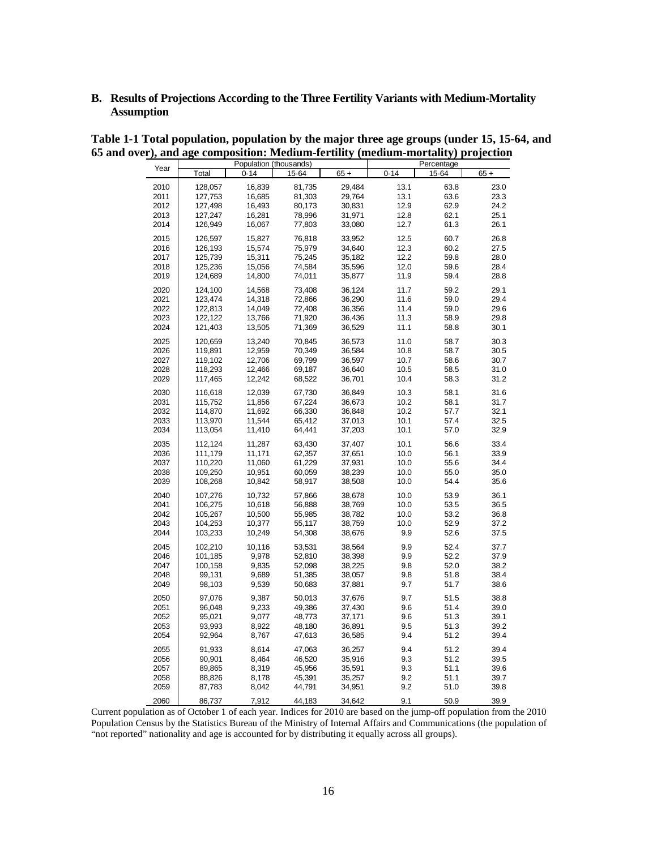### **B. Results of Projections According to the Three Fertility Variants with Medium-Mortality Assumption**

|              |         | Population (thousands) |        |        |            | Percentage   |              |
|--------------|---------|------------------------|--------|--------|------------|--------------|--------------|
| Year         | Total   | $0 - 14$               | 15-64  | $65 +$ | $0 - 14$   | 15-64        | $65 +$       |
| 2010         | 128,057 | 16,839                 | 81,735 | 29,484 | 13.1       | 63.8         | 23.0         |
| 2011         | 127,753 | 16,685                 | 81,303 | 29,764 | 13.1       | 63.6         | 23.3         |
| 2012         | 127,498 | 16,493                 | 80,173 | 30,831 | 12.9       | 62.9         | 24.2         |
| 2013         | 127,247 | 16,281                 | 78,996 | 31,971 | 12.8       | 62.1         | 25.1         |
| 2014         | 126,949 | 16,067                 | 77,803 | 33,080 | 12.7       | 61.3         | 26.1         |
| 2015         | 126,597 | 15,827                 | 76,818 | 33,952 | 12.5       | 60.7         | 26.8         |
| 2016         | 126,193 | 15,574                 | 75,979 | 34,640 | 12.3       | 60.2         | 27.5         |
| 2017         | 125,739 | 15,311                 | 75,245 | 35,182 | 12.2       | 59.8         | 28.0         |
| 2018         | 125,236 | 15,056                 | 74,584 | 35,596 | 12.0       | 59.6         | 28.4         |
| 2019         | 124,689 | 14,800                 | 74,011 | 35,877 | 11.9       | 59.4         | 28.8         |
| 2020         | 124,100 | 14,568                 | 73,408 | 36,124 | 11.7       | 59.2         | 29.1         |
| 2021         | 123,474 | 14,318                 | 72,866 | 36,290 | 11.6       | 59.0         | 29.4         |
| 2022         | 122,813 | 14,049                 | 72,408 | 36,356 | 11.4       | 59.0         | 29.6         |
| 2023         | 122,122 | 13,766                 | 71,920 | 36,436 | 11.3       | 58.9         | 29.8         |
| 2024         | 121,403 | 13,505                 | 71,369 | 36,529 | 11.1       | 58.8         | 30.1         |
| 2025         | 120,659 | 13,240                 | 70,845 | 36,573 | 11.0       | 58.7         | 30.3         |
| 2026         | 119,891 | 12,959                 | 70,349 | 36,584 | 10.8       | 58.7         | 30.5         |
| 2027         | 119,102 | 12,706                 | 69,799 | 36,597 | 10.7       | 58.6         | 30.7         |
| 2028         | 118,293 | 12,466                 | 69,187 | 36,640 | 10.5       | 58.5         | 31.0         |
| 2029         | 117,465 | 12,242                 | 68,522 | 36,701 | 10.4       | 58.3         | 31.2         |
| 2030         | 116,618 | 12,039                 | 67,730 | 36,849 | 10.3       | 58.1         | 31.6         |
| 2031         | 115,752 | 11,856                 | 67,224 | 36,673 | 10.2       | 58.1         | 31.7         |
| 2032         | 114,870 | 11,692                 | 66,330 | 36,848 | 10.2       | 57.7         | 32.1         |
| 2033         | 113,970 | 11,544                 | 65,412 | 37,013 | 10.1       | 57.4         | 32.5         |
| 2034         | 113,054 | 11,410                 | 64,441 | 37,203 | 10.1       | 57.0         | 32.9         |
| 2035         | 112,124 | 11,287                 | 63,430 | 37,407 | 10.1       | 56.6         | 33.4         |
| 2036         | 111.179 | 11.171                 | 62,357 | 37,651 | 10.0       | 56.1         | 33.9         |
| 2037         | 110,220 | 11,060                 | 61,229 | 37,931 | 10.0       | 55.6         | 34.4         |
| 2038         | 109,250 | 10,951                 | 60,059 | 38,239 | 10.0       | 55.0         | 35.0         |
| 2039         | 108,268 | 10,842                 | 58,917 | 38,508 | 10.0       | 54.4         | 35.6         |
| 2040         | 107,276 | 10,732                 | 57,866 | 38,678 | 10.0       | 53.9         | 36.1         |
| 2041         | 106,275 | 10,618                 | 56,888 | 38,769 | 10.0       | 53.5         | 36.5         |
| 2042         | 105,267 | 10,500                 | 55,985 | 38,782 | 10.0       | 53.2         | 36.8         |
| 2043         | 104,253 | 10,377                 | 55,117 | 38,759 | 10.0       | 52.9         | 37.2         |
| 2044         | 103,233 | 10,249                 | 54,308 | 38,676 | 9.9        | 52.6         | 37.5         |
| 2045         | 102,210 | 10,116                 | 53,531 | 38,564 | 9.9        | 52.4         | 37.7         |
| 2046         | 101,185 | 9,978                  | 52,810 | 38,398 | 9.9        | 52.2         | 37.9         |
| 2047         | 100,158 | 9,835                  | 52,098 | 38,225 | 9.8        | 52.0         | 38.2         |
| 2048         | 99,131  | 9,689                  | 51,385 | 38,057 | 9.8        | 51.8         | 38.4         |
| 2049         | 98,103  | 9,539                  | 50,683 | 37,881 | 9.7        | 51.7         | 38.6         |
| 2050         | 97,076  | 9,387                  | 50,013 | 37,676 | 9.7        | 51.5         | 38.8         |
| 2051         | 96,048  | 9,233                  | 49,386 | 37,430 | 9.6        | 51.4         | 39.0         |
| 2052         | 95,021  | 9,077                  | 48,773 | 37,171 | 9.6        | 51.3         | 39.1         |
| 2053         | 93,993  | 8,922                  | 48,180 | 36,891 | 9.5        | 51.3         | 39.2         |
| 2054         | 92,964  | 8,767                  | 47,613 | 36,585 | 9.4        | 51.2         | 39.4         |
| 2055         | 91,933  | 8,614                  | 47,063 | 36,257 | 9.4        | 51.2         | 39.4         |
| 2056         | 90,901  | 8,464                  | 46,520 | 35,916 | 9.3        | 51.2         | 39.5         |
| 2057         | 89,865  | 8,319                  | 45,956 | 35,591 | 9.3        | 51.1         | 39.6         |
| 2058<br>2059 | 88,826  | 8,178                  | 45,391 | 35,257 | 9.2<br>9.2 | 51.1<br>51.0 | 39.7<br>39.8 |
|              | 87,783  | 8,042                  | 44,791 | 34,951 |            |              |              |
| 2060         | 86,737  | 7,912                  | 44,183 | 34,642 | 9.1        | 50.9         | 39.9         |

**Table 1-1 Total population, population by the major three age groups (under 15, 15-64, and 65 and over), and age composition: Medium-fertility (medium-mortality) projection**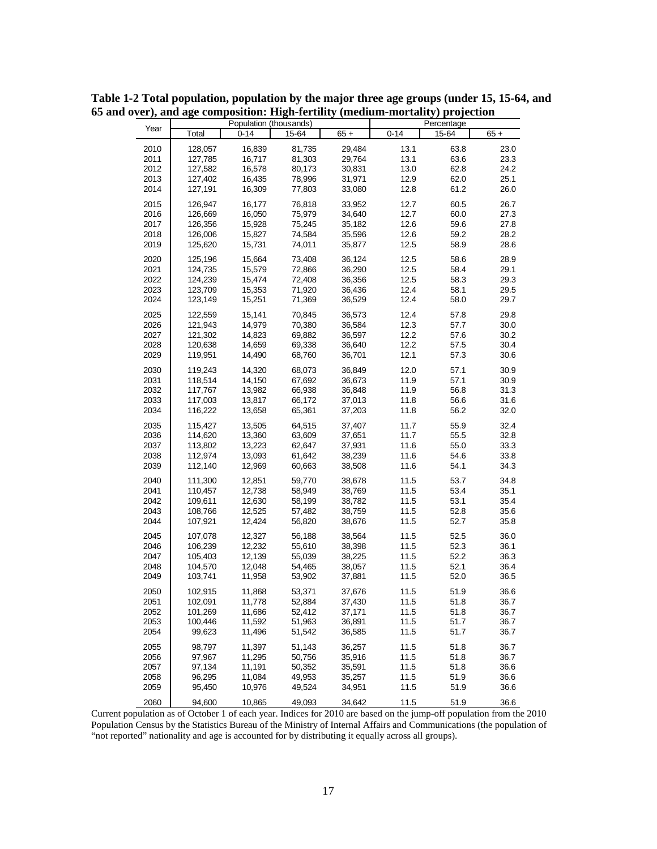|              |                    |                  | Population (thousands) |                  |              | Percentage   |              |
|--------------|--------------------|------------------|------------------------|------------------|--------------|--------------|--------------|
| Year         | Total              | $0 - 14$         | 15-64                  | $65 +$           | $0 - 14$     | 15-64        | $65 +$       |
| 2010         | 128,057            | 16,839           | 81,735                 | 29,484           | 13.1         | 63.8         | 23.0         |
| 2011         | 127,785            | 16,717           | 81,303                 | 29,764           | 13.1         | 63.6         | 23.3         |
| 2012         | 127,582            | 16,578           | 80,173                 | 30,831           | 13.0         | 62.8         | 24.2         |
| 2013         | 127,402            | 16,435           | 78,996                 | 31,971           | 12.9         | 62.0         | 25.1         |
| 2014         | 127,191            | 16,309           | 77,803                 | 33,080           | 12.8         | 61.2         | 26.0         |
| 2015         | 126,947            | 16,177           | 76,818                 | 33,952           | 12.7         | 60.5         | 26.7         |
| 2016         | 126,669            | 16,050           | 75,979                 | 34,640           | 12.7         | 60.0         | 27.3         |
| 2017         | 126,356            | 15,928           | 75,245                 | 35,182           | 12.6         | 59.6         | 27.8         |
| 2018         | 126,006            | 15,827           | 74,584                 | 35,596           | 12.6         | 59.2         | 28.2         |
| 2019         | 125,620            | 15,731           | 74,011                 | 35,877           | 12.5         | 58.9         | 28.6         |
| 2020         | 125,196            | 15,664           | 73,408                 | 36,124           | 12.5         | 58.6         | 28.9         |
| 2021         | 124,735            | 15,579           | 72,866                 | 36,290           | 12.5         | 58.4         | 29.1         |
| 2022         | 124,239            | 15,474           | 72,408                 | 36,356           | 12.5         | 58.3         | 29.3         |
| 2023         | 123,709            | 15,353           | 71,920                 | 36,436           | 12.4         | 58.1         | 29.5         |
| 2024         | 123,149            | 15,251           | 71,369                 | 36,529           | 12.4         | 58.0         | 29.7         |
| 2025         | 122,559            | 15,141           | 70,845                 | 36,573           | 12.4         | 57.8         | 29.8         |
| 2026         | 121,943            | 14,979           | 70,380                 | 36,584           | 12.3         | 57.7         | 30.0         |
| 2027         | 121,302            | 14,823           | 69,882                 | 36,597           | 12.2         | 57.6         | 30.2         |
| 2028         | 120,638            | 14,659           | 69,338                 | 36,640           | 12.2         | 57.5         | 30.4         |
| 2029         | 119,951            | 14,490           | 68,760                 | 36,701           | 12.1         | 57.3         | 30.6         |
| 2030         | 119,243            | 14,320           | 68,073                 | 36,849           | 12.0         | 57.1         | 30.9         |
| 2031         | 118,514            | 14,150           | 67,692                 | 36,673           | 11.9         | 57.1         | 30.9         |
| 2032         | 117,767            | 13,982           | 66,938                 | 36,848           | 11.9         | 56.8         | 31.3         |
| 2033         | 117,003            | 13,817           | 66,172                 | 37,013           | 11.8         | 56.6         | 31.6         |
| 2034         | 116,222            | 13,658           | 65,361                 | 37,203           | 11.8         | 56.2         | 32.0         |
| 2035         | 115,427            | 13,505           | 64,515                 | 37,407           | 11.7         | 55.9         | 32.4         |
| 2036         | 114,620            | 13,360           | 63,609                 | 37,651           | 11.7         | 55.5         | 32.8         |
| 2037         | 113,802            | 13,223           | 62,647                 | 37,931           | 11.6         | 55.0         | 33.3         |
| 2038<br>2039 | 112,974<br>112,140 | 13,093<br>12,969 | 61,642<br>60,663       | 38,239<br>38,508 | 11.6<br>11.6 | 54.6<br>54.1 | 33.8<br>34.3 |
|              |                    |                  |                        |                  |              |              |              |
| 2040         | 111,300            | 12,851           | 59,770                 | 38,678           | 11.5         | 53.7         | 34.8         |
| 2041         | 110,457            | 12,738           | 58,949                 | 38,769           | 11.5         | 53.4         | 35.1         |
| 2042<br>2043 | 109,611<br>108,766 | 12,630<br>12,525 | 58,199<br>57,482       | 38,782<br>38,759 | 11.5<br>11.5 | 53.1<br>52.8 | 35.4<br>35.6 |
| 2044         | 107,921            | 12,424           | 56,820                 | 38,676           | 11.5         | 52.7         | 35.8         |
| 2045         | 107,078            | 12,327           | 56,188                 | 38,564           | 11.5         | 52.5         | 36.0         |
| 2046         | 106,239            | 12,232           | 55,610                 | 38,398           | 11.5         | 52.3         | 36.1         |
| 2047         | 105,403            | 12,139           | 55,039                 | 38,225           | 11.5         | 52.2         | 36.3         |
| 2048         | 104,570            | 12,048           | 54,465                 | 38,057           | 11.5         | 52.1         | 36.4         |
| 2049         | 103,741            | 11,958           | 53,902                 | 37,881           | 11.5         | 52.0         | 36.5         |
| 2050         | 102,915            | 11,868           | 53,371                 | 37,676           | 11.5         | 51.9         | 36.6         |
| 2051         | 102,091            | 11,778           | 52,884                 | 37,430           | 11.5         | 51.8         | 36.7         |
| 2052         | 101,269            | 11,686           | 52,412                 | 37,171           | 11.5         | 51.8         | 36.7         |
| 2053         | 100,446            | 11,592           | 51,963                 | 36,891           | 11.5         | 51.7         | 36.7         |
| 2054         | 99,623             | 11,496           | 51,542                 | 36,585           | 11.5         | 51.7         | 36.7         |
| 2055         | 98,797             | 11,397           | 51,143                 | 36,257           | 11.5         | 51.8         | 36.7         |
| 2056         | 97,967             | 11,295           | 50,756                 | 35,916           | 11.5         | 51.8         | 36.7         |
| 2057         | 97,134             | 11,191           | 50,352                 | 35,591           | 11.5         | 51.8         | 36.6         |
| 2058         | 96,295             | 11,084           | 49,953                 | 35,257           | 11.5         | 51.9         | 36.6         |
| 2059         | 95,450             | 10,976           | 49,524                 | 34,951           | 11.5         | 51.9         | 36.6         |
| 2060         | 94,600             | 10,865           | 49,093                 | 34,642           | 11.5         | 51.9         | 36.6         |

**Table 1-2 Total population, population by the major three age groups (under 15, 15-64, and 65 and over), and age composition: High-fertility (medium-mortality) projection**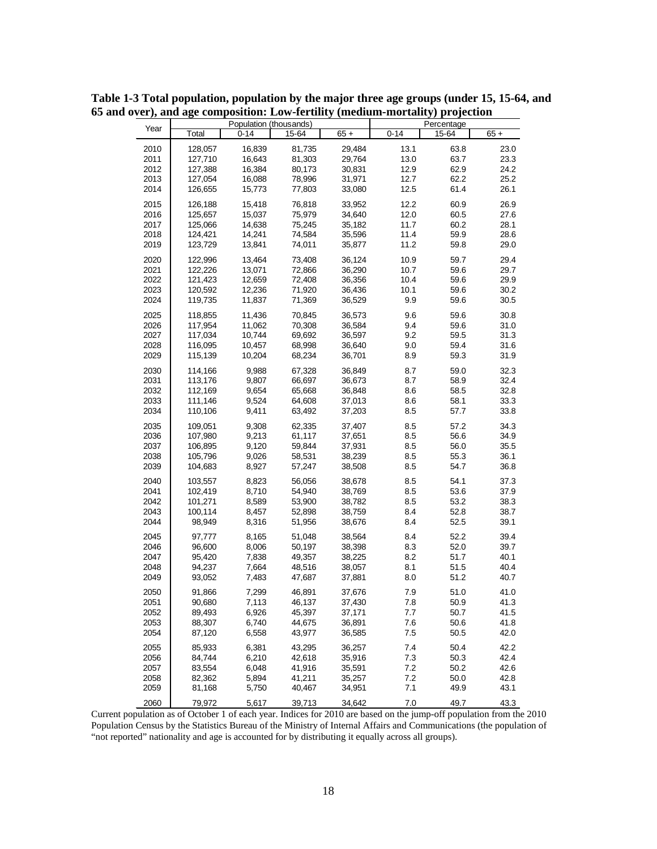|      |         |          | Population (thousands) |        |          | Percentage |        |
|------|---------|----------|------------------------|--------|----------|------------|--------|
| Year | Total   | $0 - 14$ | 15-64                  | $65 +$ | $0 - 14$ | 15-64      | $65 +$ |
| 2010 | 128,057 | 16,839   | 81,735                 | 29,484 | 13.1     | 63.8       | 23.0   |
| 2011 | 127,710 | 16,643   | 81,303                 | 29,764 | 13.0     | 63.7       | 23.3   |
| 2012 | 127,388 | 16,384   | 80,173                 | 30,831 | 12.9     | 62.9       | 24.2   |
| 2013 | 127,054 | 16,088   | 78,996                 | 31,971 | 12.7     | 62.2       | 25.2   |
| 2014 | 126,655 | 15,773   | 77,803                 | 33,080 | 12.5     | 61.4       | 26.1   |
| 2015 | 126,188 | 15,418   | 76,818                 | 33,952 | 12.2     | 60.9       | 26.9   |
| 2016 | 125,657 | 15,037   | 75,979                 | 34,640 | 12.0     | 60.5       | 27.6   |
| 2017 | 125,066 | 14,638   | 75,245                 | 35,182 | 11.7     | 60.2       | 28.1   |
| 2018 | 124,421 | 14,241   | 74,584                 | 35,596 | 11.4     | 59.9       | 28.6   |
| 2019 | 123,729 | 13,841   | 74,011                 | 35,877 | 11.2     | 59.8       | 29.0   |
| 2020 | 122,996 | 13,464   | 73,408                 | 36,124 | 10.9     | 59.7       | 29.4   |
| 2021 | 122,226 | 13,071   | 72,866                 | 36,290 | 10.7     | 59.6       | 29.7   |
| 2022 | 121,423 | 12,659   | 72,408                 | 36,356 | 10.4     | 59.6       | 29.9   |
| 2023 | 120,592 | 12,236   | 71,920                 | 36,436 | 10.1     | 59.6       | 30.2   |
| 2024 | 119,735 | 11,837   | 71,369                 | 36,529 | 9.9      | 59.6       | 30.5   |
| 2025 | 118,855 | 11,436   | 70,845                 | 36,573 | 9.6      | 59.6       | 30.8   |
| 2026 | 117,954 | 11,062   | 70,308                 | 36,584 | 9.4      | 59.6       | 31.0   |
| 2027 | 117,034 | 10,744   | 69,692                 | 36,597 | 9.2      | 59.5       | 31.3   |
| 2028 | 116,095 | 10,457   | 68,998                 | 36,640 | 9.0      | 59.4       | 31.6   |
| 2029 | 115,139 | 10,204   | 68,234                 | 36,701 | 8.9      | 59.3       | 31.9   |
| 2030 | 114,166 | 9,988    | 67,328                 | 36,849 | 8.7      | 59.0       | 32.3   |
| 2031 | 113,176 | 9,807    | 66,697                 | 36,673 | 8.7      | 58.9       | 32.4   |
| 2032 | 112,169 | 9,654    | 65,668                 | 36,848 | 8.6      | 58.5       | 32.8   |
| 2033 | 111,146 | 9,524    | 64,608                 | 37,013 | 8.6      | 58.1       | 33.3   |
| 2034 | 110,106 | 9,411    | 63,492                 | 37,203 | 8.5      | 57.7       | 33.8   |
| 2035 | 109,051 | 9,308    | 62,335                 | 37,407 | 8.5      | 57.2       | 34.3   |
| 2036 | 107,980 | 9,213    | 61,117                 | 37,651 | 8.5      | 56.6       | 34.9   |
| 2037 | 106,895 | 9,120    | 59,844                 | 37,931 | 8.5      | 56.0       | 35.5   |
| 2038 | 105,796 | 9,026    | 58,531                 | 38,239 | 8.5      | 55.3       | 36.1   |
| 2039 | 104,683 | 8,927    | 57,247                 | 38,508 | 8.5      | 54.7       | 36.8   |
| 2040 | 103,557 | 8,823    | 56,056                 | 38,678 | 8.5      | 54.1       | 37.3   |
| 2041 | 102,419 | 8,710    | 54,940                 | 38,769 | 8.5      | 53.6       | 37.9   |
| 2042 | 101,271 | 8,589    | 53,900                 | 38,782 | 8.5      | 53.2       | 38.3   |
| 2043 | 100,114 | 8,457    | 52,898                 | 38,759 | 8.4      | 52.8       | 38.7   |
| 2044 | 98,949  | 8,316    | 51,956                 | 38,676 | 8.4      | 52.5       | 39.1   |
| 2045 | 97,777  | 8,165    | 51,048                 | 38,564 | 8.4      | 52.2       | 39.4   |
| 2046 | 96,600  | 8,006    | 50,197                 | 38,398 | 8.3      | 52.0       | 39.7   |
| 2047 | 95,420  | 7,838    | 49,357                 | 38,225 | 8.2      | 51.7       | 40.1   |
| 2048 | 94,237  | 7,664    | 48,516                 | 38,057 | 8.1      | 51.5       | 40.4   |
| 2049 | 93,052  | 7,483    | 47,687                 | 37,881 | 8.0      | 51.2       | 40.7   |
| 2050 | 91.866  | 7,299    | 46,891                 | 37,676 | 7.9      | 51.0       | 41.0   |
| 2051 | 90,680  | 7,113    | 46,137                 | 37,430 | 7.8      | 50.9       | 41.3   |
| 2052 | 89,493  | 6,926    | 45,397                 | 37,171 | 7.7      | 50.7       | 41.5   |
| 2053 | 88,307  | 6,740    | 44,675                 | 36,891 | 7.6      | 50.6       | 41.8   |
| 2054 | 87,120  | 6,558    | 43,977                 | 36,585 | 7.5      | 50.5       | 42.0   |
| 2055 | 85,933  | 6,381    | 43,295                 | 36,257 | 7.4      | 50.4       | 42.2   |
| 2056 | 84,744  | 6,210    | 42,618                 | 35,916 | 7.3      | 50.3       | 42.4   |
| 2057 | 83,554  | 6,048    | 41,916                 | 35,591 | 7.2      | 50.2       | 42.6   |
| 2058 | 82,362  | 5,894    | 41,211                 | 35,257 | 7.2      | 50.0       | 42.8   |
| 2059 | 81,168  | 5,750    | 40,467                 | 34,951 | 7.1      | 49.9       | 43.1   |
| 2060 | 79,972  | 5,617    | 39,713                 | 34,642 | 7.0      | 49.7       | 43.3   |

**Table 1-3 Total population, population by the major three age groups (under 15, 15-64, and 65 and over), and age composition: Low-fertility (medium-mortality) projection**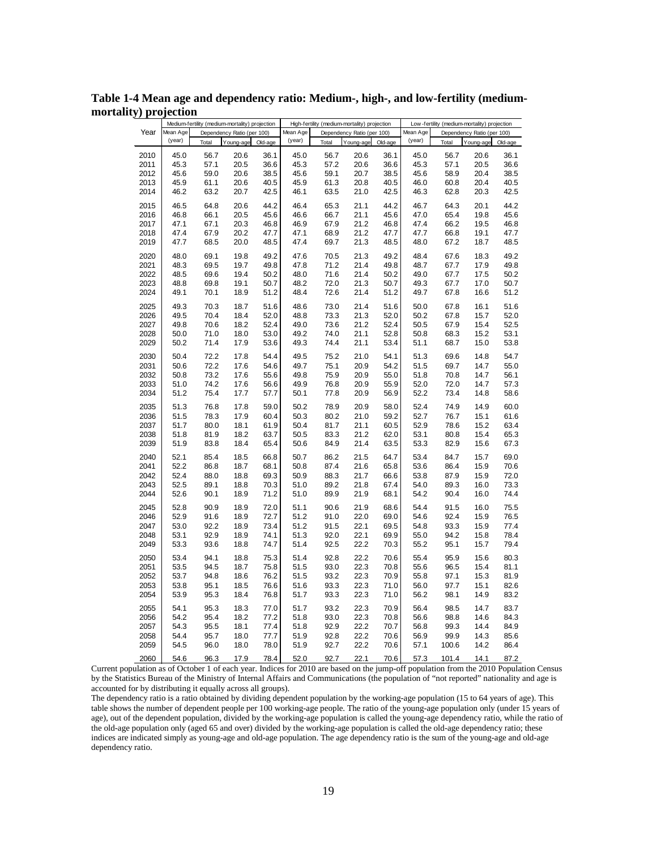|      |          |       | Medium-fertility (medium-mortality) projection |         |          |       | High-fertility (medium-mortality) projection |         |          |       | Low-fertility (medium-mortality) projection |         |
|------|----------|-------|------------------------------------------------|---------|----------|-------|----------------------------------------------|---------|----------|-------|---------------------------------------------|---------|
| Year | Mean Age |       | Dependency Ratio (per 100)                     |         | Mean Age |       | Dependency Ratio (per 100)                   |         | Mean Age |       | Dependency Ratio (per 100)                  |         |
|      | (year)   | Total | Young-age                                      | Old-age | (year)   | Total | Young-age                                    | Old-age | (year)   | Total | Young-age                                   | Old-age |
| 2010 | 45.0     | 56.7  | 20.6                                           | 36.1    | 45.0     | 56.7  | 20.6                                         | 36.1    | 45.0     | 56.7  | 20.6                                        | 36.1    |
| 2011 | 45.3     | 57.1  | 20.5                                           | 36.6    | 45.3     | 57.2  | 20.6                                         | 36.6    | 45.3     | 57.1  | 20.5                                        | 36.6    |
| 2012 | 45.6     | 59.0  | 20.6                                           | 38.5    | 45.6     | 59.1  | 20.7                                         | 38.5    | 45.6     | 58.9  | 20.4                                        | 38.5    |
| 2013 | 45.9     | 61.1  | 20.6                                           | 40.5    | 45.9     | 61.3  | 20.8                                         | 40.5    | 46.0     | 60.8  | 20.4                                        | 40.5    |
| 2014 | 46.2     | 63.2  | 20.7                                           | 42.5    | 46.1     | 63.5  | 21.0                                         | 42.5    | 46.3     | 62.8  | 20.3                                        | 42.5    |
|      |          |       |                                                |         |          |       |                                              |         |          |       |                                             |         |
| 2015 | 46.5     | 64.8  | 20.6                                           | 44.2    | 46.4     | 65.3  | 21.1                                         | 44.2    | 46.7     | 64.3  | 20.1                                        | 44.2    |
| 2016 | 46.8     | 66.1  | 20.5                                           | 45.6    | 46.6     | 66.7  | 21.1                                         | 45.6    | 47.0     | 65.4  | 19.8                                        | 45.6    |
| 2017 | 47.1     | 67.1  | 20.3                                           | 46.8    | 46.9     | 67.9  | 21.2                                         | 46.8    | 47.4     | 66.2  | 19.5                                        | 46.8    |
| 2018 | 47.4     | 67.9  | 20.2                                           | 47.7    | 47.1     | 68.9  | 21.2                                         | 47.7    | 47.7     | 66.8  | 19.1                                        | 47.7    |
| 2019 | 47.7     | 68.5  | 20.0                                           | 48.5    | 47.4     | 69.7  | 21.3                                         | 48.5    | 48.0     | 67.2  | 18.7                                        | 48.5    |
| 2020 | 48.0     | 69.1  | 19.8                                           | 49.2    | 47.6     | 70.5  | 21.3                                         | 49.2    | 48.4     | 67.6  | 18.3                                        | 49.2    |
| 2021 | 48.3     | 69.5  | 19.7                                           | 49.8    | 47.8     | 71.2  | 21.4                                         | 49.8    | 48.7     | 67.7  | 17.9                                        | 49.8    |
| 2022 | 48.5     | 69.6  | 19.4                                           | 50.2    | 48.0     | 71.6  | 21.4                                         | 50.2    | 49.0     | 67.7  | 17.5                                        | 50.2    |
| 2023 | 48.8     | 69.8  | 19.1                                           | 50.7    | 48.2     | 72.0  | 21.3                                         | 50.7    | 49.3     | 67.7  | 17.0                                        | 50.7    |
| 2024 | 49.1     | 70.1  | 18.9                                           | 51.2    | 48.4     | 72.6  | 21.4                                         | 51.2    | 49.7     | 67.8  | 16.6                                        | 51.2    |
| 2025 | 49.3     | 70.3  | 18.7                                           | 51.6    | 48.6     | 73.0  | 21.4                                         | 51.6    | 50.0     | 67.8  | 16.1                                        | 51.6    |
| 2026 | 49.5     | 70.4  | 18.4                                           | 52.0    | 48.8     | 73.3  | 21.3                                         | 52.0    | 50.2     | 67.8  | 15.7                                        | 52.0    |
| 2027 | 49.8     | 70.6  | 18.2                                           | 52.4    | 49.0     | 73.6  | 21.2                                         | 52.4    | 50.5     | 67.9  | 15.4                                        | 52.5    |
| 2028 | 50.0     | 71.0  | 18.0                                           | 53.0    | 49.2     | 74.0  | 21.1                                         | 52.8    | 50.8     | 68.3  | 15.2                                        | 53.1    |
| 2029 | 50.2     | 71.4  | 17.9                                           | 53.6    | 49.3     | 74.4  | 21.1                                         | 53.4    | 51.1     | 68.7  | 15.0                                        | 53.8    |
|      |          |       |                                                |         |          |       |                                              |         |          |       |                                             |         |
| 2030 | 50.4     | 72.2  | 17.8                                           | 54.4    | 49.5     | 75.2  | 21.0                                         | 54.1    | 51.3     | 69.6  | 14.8                                        | 54.7    |
| 2031 | 50.6     | 72.2  | 17.6                                           | 54.6    | 49.7     | 75.1  | 20.9                                         | 54.2    | 51.5     | 69.7  | 14.7                                        | 55.0    |
| 2032 | 50.8     | 73.2  | 17.6                                           | 55.6    | 49.8     | 75.9  | 20.9                                         | 55.0    | 51.8     | 70.8  | 14.7                                        | 56.1    |
| 2033 | 51.0     | 74.2  | 17.6                                           | 56.6    | 49.9     | 76.8  | 20.9                                         | 55.9    | 52.0     | 72.0  | 14.7                                        | 57.3    |
| 2034 | 51.2     | 75.4  | 17.7                                           | 57.7    | 50.1     | 77.8  | 20.9                                         | 56.9    | 52.2     | 73.4  | 14.8                                        | 58.6    |
| 2035 | 51.3     | 76.8  | 17.8                                           | 59.0    | 50.2     | 78.9  | 20.9                                         | 58.0    | 52.4     | 74.9  | 14.9                                        | 60.0    |
| 2036 | 51.5     | 78.3  | 17.9                                           | 60.4    | 50.3     | 80.2  | 21.0                                         | 59.2    | 52.7     | 76.7  | 15.1                                        | 61.6    |
| 2037 | 51.7     | 80.0  | 18.1                                           | 61.9    | 50.4     | 81.7  | 21.1                                         | 60.5    | 52.9     | 78.6  | 15.2                                        | 63.4    |
| 2038 | 51.8     | 81.9  | 18.2                                           | 63.7    | 50.5     | 83.3  | 21.2                                         | 62.0    | 53.1     | 80.8  | 15.4                                        | 65.3    |
| 2039 | 51.9     | 83.8  | 18.4                                           | 65.4    | 50.6     | 84.9  | 21.4                                         | 63.5    | 53.3     | 82.9  | 15.6                                        | 67.3    |
| 2040 | 52.1     | 85.4  | 18.5                                           | 66.8    | 50.7     | 86.2  | 21.5                                         | 64.7    | 53.4     | 84.7  | 15.7                                        | 69.0    |
| 2041 | 52.2     | 86.8  | 18.7                                           | 68.1    | 50.8     | 87.4  | 21.6                                         | 65.8    | 53.6     | 86.4  | 15.9                                        | 70.6    |
| 2042 | 52.4     | 88.0  | 18.8                                           | 69.3    | 50.9     | 88.3  | 21.7                                         | 66.6    | 53.8     | 87.9  | 15.9                                        | 72.0    |
| 2043 | 52.5     | 89.1  | 18.8                                           | 70.3    | 51.0     | 89.2  | 21.8                                         | 67.4    | 54.0     | 89.3  | 16.0                                        | 73.3    |
| 2044 | 52.6     | 90.1  | 18.9                                           | 71.2    | 51.0     | 89.9  | 21.9                                         | 68.1    | 54.2     | 90.4  | 16.0                                        | 74.4    |
| 2045 | 52.8     | 90.9  | 18.9                                           | 72.0    | 51.1     | 90.6  | 21.9                                         | 68.6    | 54.4     | 91.5  | 16.0                                        | 75.5    |
| 2046 | 52.9     | 91.6  | 18.9                                           | 72.7    | 51.2     | 91.0  | 22.0                                         | 69.0    | 54.6     | 92.4  | 15.9                                        | 76.5    |
| 2047 | 53.0     | 92.2  | 18.9                                           | 73.4    | 51.2     | 91.5  | 22.1                                         | 69.5    | 54.8     | 93.3  | 15.9                                        | 77.4    |
| 2048 | 53.1     | 92.9  | 18.9                                           | 74.1    | 51.3     | 92.0  | 22.1                                         | 69.9    | 55.0     | 94.2  | 15.8                                        | 78.4    |
| 2049 | 53.3     | 93.6  | 18.8                                           | 74.7    | 51.4     | 92.5  | 22.2                                         | 70.3    | 55.2     | 95.1  | 15.7                                        | 79.4    |
|      |          |       |                                                |         |          |       |                                              |         |          |       |                                             |         |
| 2050 | 53.4     | 94.1  | 18.8                                           | 75.3    | 51.4     | 92.8  | 22.2                                         | 70.6    | 55.4     | 95.9  | 15.6                                        | 80.3    |
| 2051 | 53.5     | 94.5  | 18.7                                           | 75.8    | 51.5     | 93.0  | 22.3                                         | 70.8    | 55.6     | 96.5  | 15.4                                        | 81.1    |
| 2052 | 53.7     | 94.8  | 18.6                                           | 76.2    | 51.5     | 93.2  | 22.3                                         | 70.9    | 55.8     | 97.1  | 15.3                                        | 81.9    |
| 2053 | 53.8     | 95.1  | 18.5                                           | 76.6    | 51.6     | 93.3  | 22.3                                         | 71.0    | 56.0     | 97.7  | 15.1                                        | 82.6    |
| 2054 | 53.9     | 95.3  | 18.4                                           | 76.8    | 51.7     | 93.3  | 22.3                                         | 71.0    | 56.2     | 98.1  | 14.9                                        | 83.2    |
| 2055 | 54.1     | 95.3  | 18.3                                           | 77.0    | 51.7     | 93.2  | 22.3                                         | 70.9    | 56.4     | 98.5  | 14.7                                        | 83.7    |
| 2056 | 54.2     | 95.4  | 18.2                                           | 77.2    | 51.8     | 93.0  | 22.3                                         | 70.8    | 56.6     | 98.8  | 14.6                                        | 84.3    |
| 2057 | 54.3     | 95.5  | 18.1                                           | 77.4    | 51.8     | 92.9  | 22.2                                         | 70.7    | 56.8     | 99.3  | 14.4                                        | 84.9    |
| 2058 | 54.4     | 95.7  | 18.0                                           | 77.7    | 51.9     | 92.8  | 22.2                                         | 70.6    | 56.9     | 99.9  | 14.3                                        | 85.6    |
| 2059 | 54.5     | 96.0  | 18.0                                           | 78.0    | 51.9     | 92.7  | 22.2                                         | 70.6    | 57.1     | 100.6 | 14.2                                        | 86.4    |
| 2060 | 54.6     | 96.3  | 17.9                                           | 78.4    | 52.0     | 92.7  | 22.1                                         | 70.6    | 57.3     | 101.4 | 14.1                                        | 87.2    |

**Table 1-4 Mean age and dependency ratio: Medium-, high-, and low-fertility (mediummortality) projection**

The dependency ratio is a ratio obtained by dividing dependent population by the working-age population (15 to 64 years of age). This table shows the number of dependent people per 100 working-age people. The ratio of the young-age population only (under 15 years of age), out of the dependent population, divided by the working-age population is called the young-age dependency ratio, while the ratio of the old-age population only (aged 65 and over) divided by the working-age population is called the old-age dependency ratio; these indices are indicated simply as young-age and old-age population. The age dependency ratio is the sum of the young-age and old-age dependency ratio.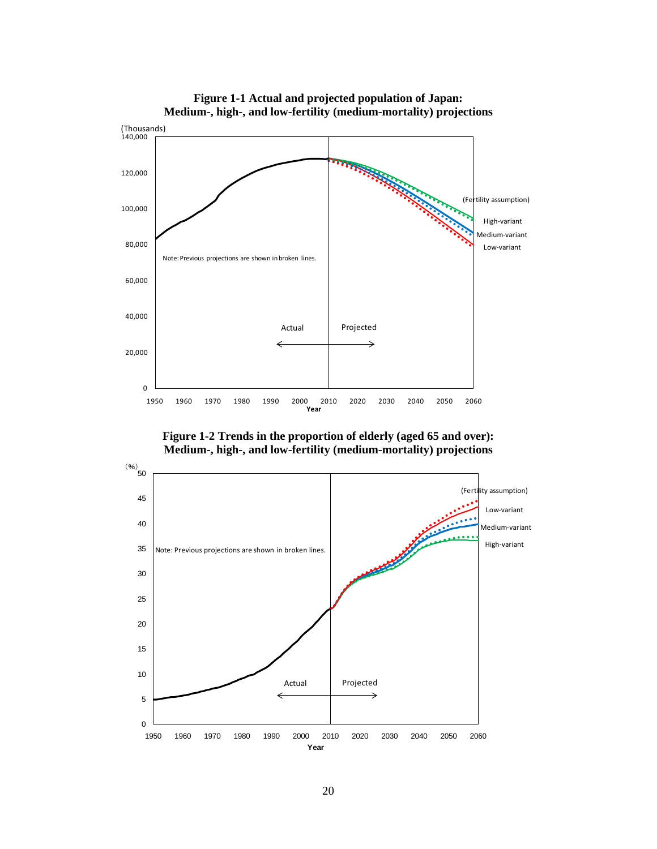

**Figure 1-1 Actual and projected population of Japan: Medium-, high-, and low-fertility (medium-mortality) projections**

**Figure 1-2 Trends in the proportion of elderly (aged 65 and over): Medium-, high-, and low-fertility (medium-mortality) projections**

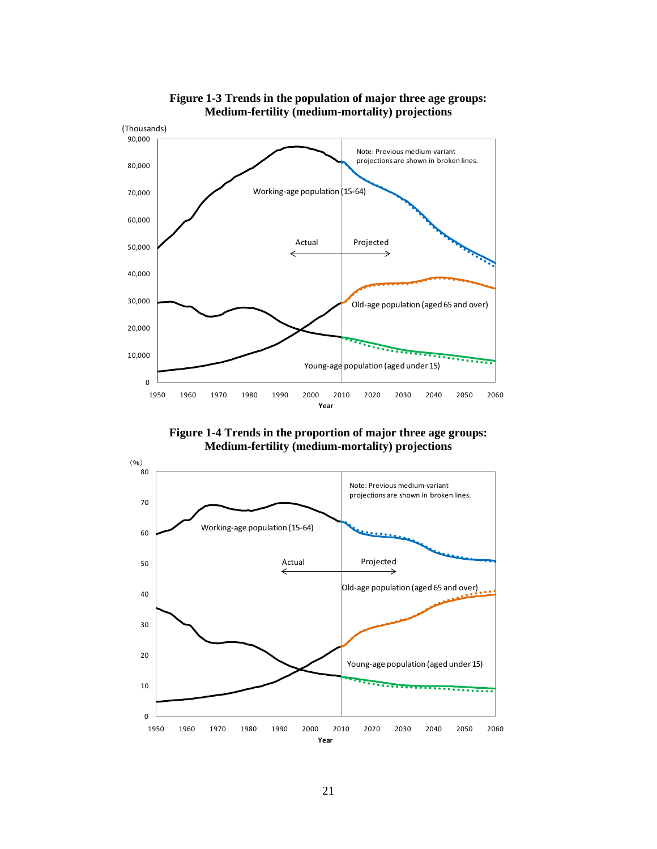

**Figure 1-3 Trends in the population of major three age groups: Medium-fertility (medium-mortality) projections**

**Figure 1-4 Trends in the proportion of major three age groups: Medium-fertility (medium-mortality) projections**

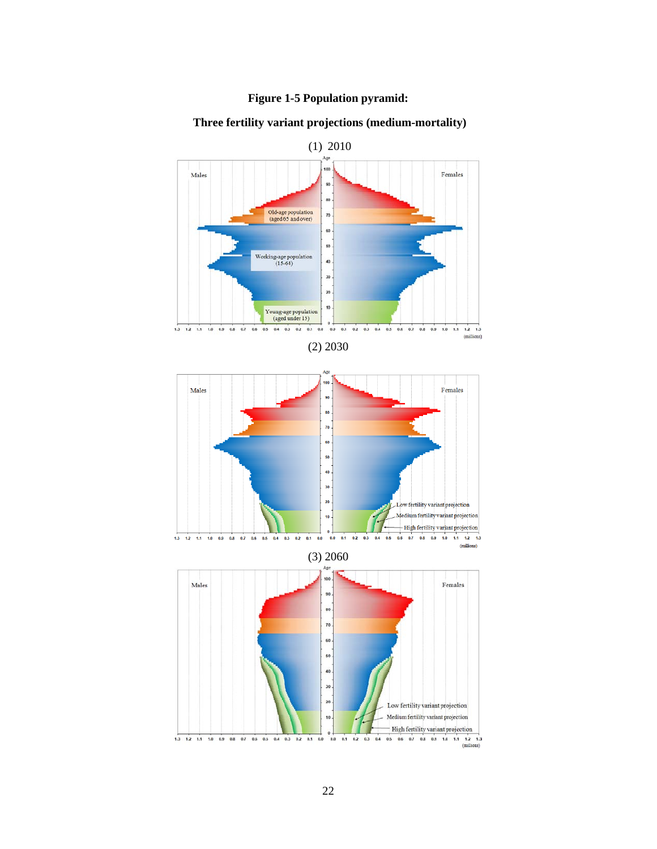



## **Three fertility variant projections (medium-mortality)**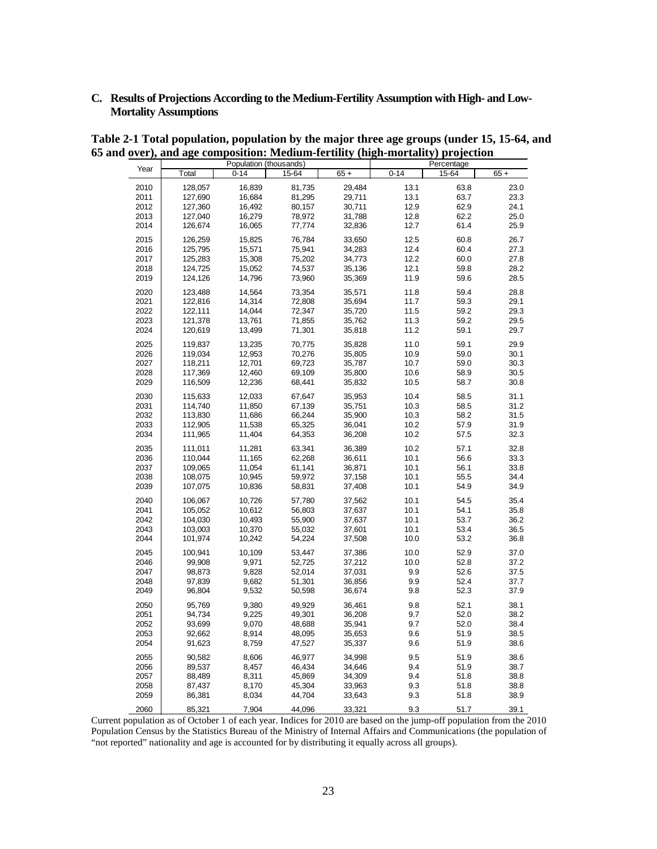## **C. Results of Projections According to the Medium-Fertility Assumption with High- and Low-Mortality Assumptions**

|              |                    | Population (thousands) |                  |                  |              | Percentage   |              |
|--------------|--------------------|------------------------|------------------|------------------|--------------|--------------|--------------|
| Year         | Total              | $0 - 14$               | 15-64            | $65 +$           | $0 - 14$     | 15-64        | $65 +$       |
| 2010         | 128,057            | 16,839                 | 81,735           | 29,484           | 13.1         | 63.8         | 23.0         |
| 2011         | 127,690            | 16,684                 | 81,295           | 29,711           | 13.1         | 63.7         | 23.3         |
| 2012         | 127,360            | 16,492                 | 80,157           | 30,711           | 12.9         | 62.9         | 24.1         |
| 2013         | 127.040            | 16,279                 | 78,972           | 31,788           | 12.8         | 62.2         | 25.0         |
| 2014         | 126,674            | 16,065                 | 77,774           | 32,836           | 12.7         | 61.4         | 25.9         |
| 2015         | 126,259            | 15,825                 | 76,784           | 33,650           | 12.5         | 60.8         | 26.7         |
| 2016         | 125.795            | 15.571                 | 75.941           | 34,283           | 12.4         | 60.4         | 27.3         |
| 2017         | 125,283            | 15,308                 | 75,202           | 34,773           | 12.2         | 60.0         | 27.8         |
| 2018         | 124,725            | 15,052                 | 74,537           | 35,136           | 12.1         | 59.8         | 28.2         |
| 2019         | 124,126            | 14,796                 | 73,960           | 35,369           | 11.9         | 59.6         | 28.5         |
| 2020         | 123,488            | 14,564                 | 73,354           | 35,571           | 11.8         | 59.4         | 28.8         |
| 2021         | 122,816            | 14,314                 | 72,808           | 35,694           | 11.7         | 59.3         | 29.1         |
| 2022         | 122,111            | 14,044                 | 72,347           | 35,720           | 11.5         | 59.2         | 29.3         |
| 2023         | 121,378            | 13,761                 | 71,855           | 35,762           | 11.3         | 59.2         | 29.5         |
| 2024         | 120,619            | 13,499                 | 71,301           | 35,818           | 11.2         | 59.1         | 29.7         |
| 2025         | 119,837            | 13,235                 | 70,775           | 35,828           | 11.0         | 59.1         | 29.9         |
| 2026         | 119,034            | 12,953                 | 70,276           | 35,805           | 10.9         | 59.0         | 30.1         |
| 2027         | 118,211            | 12,701                 | 69,723           | 35,787           | 10.7         | 59.0         | 30.3         |
| 2028         | 117,369            | 12,460                 | 69,109           | 35,800           | 10.6         | 58.9         | 30.5         |
| 2029         | 116,509            | 12,236                 | 68,441           | 35,832           | 10.5         | 58.7         | 30.8         |
| 2030         | 115.633            | 12,033                 | 67,647           | 35,953           | 10.4         | 58.5         | 31.1         |
| 2031         | 114,740            | 11,850                 | 67,139           | 35,751           | 10.3         | 58.5         | 31.2         |
| 2032         | 113,830            | 11,686                 | 66,244           | 35,900           | 10.3         | 58.2         | 31.5         |
| 2033         | 112,905            | 11,538                 | 65,325           | 36,041           | 10.2         | 57.9         | 31.9         |
| 2034         | 111,965            | 11,404                 | 64,353           | 36,208           | 10.2         | 57.5         | 32.3         |
| 2035         | 111,011            | 11,281                 | 63,341           | 36,389           | 10.2         | 57.1         | 32.8         |
| 2036<br>2037 | 110,044            | 11,165                 | 62,268           | 36,611           | 10.1<br>10.1 | 56.6<br>56.1 | 33.3<br>33.8 |
| 2038         | 109,065<br>108,075 | 11,054<br>10,945       | 61,141<br>59,972 | 36,871<br>37,158 | 10.1         | 55.5         | 34.4         |
| 2039         | 107,075            | 10,836                 | 58,831           | 37,408           | 10.1         | 54.9         | 34.9         |
| 2040         | 106.067            | 10,726                 | 57,780           | 37,562           | 10.1         | 54.5         | 35.4         |
| 2041         | 105,052            | 10,612                 | 56,803           | 37,637           | 10.1         | 54.1         | 35.8         |
| 2042         | 104,030            | 10,493                 | 55,900           | 37,637           | 10.1         | 53.7         | 36.2         |
| 2043         | 103,003            | 10,370                 | 55,032           | 37,601           | 10.1         | 53.4         | 36.5         |
| 2044         | 101,974            | 10,242                 | 54,224           | 37,508           | 10.0         | 53.2         | 36.8         |
| 2045         | 100,941            | 10,109                 | 53,447           | 37,386           | 10.0         | 52.9         | 37.0         |
| 2046         | 99,908             | 9,971                  | 52,725           | 37,212           | 10.0         | 52.8         | 37.2         |
| 2047         | 98,873             | 9,828                  | 52,014           | 37,031           | 9.9          | 52.6         | 37.5         |
| 2048         | 97,839             | 9,682                  | 51,301           | 36,856           | 9.9          | 52.4         | 37.7         |
| 2049         | 96,804             | 9,532                  | 50,598           | 36,674           | 9.8          | 52.3         | 37.9         |
| 2050         | 95,769             | 9,380                  | 49,929           | 36,461           | 9.8          | 52.1         | 38.1         |
| 2051         | 94,734             | 9,225                  | 49,301           | 36,208           | 9.7          | 52.0         | 38.2         |
| 2052         | 93,699             | 9,070                  | 48,688           | 35,941           | 9.7          | 52.0         | 38.4         |
| 2053<br>2054 | 92,662<br>91,623   | 8,914<br>8,759         | 48,095<br>47,527 | 35,653<br>35,337 | 9.6<br>9.6   | 51.9<br>51.9 | 38.5<br>38.6 |
| 2055         | 90,582             | 8,606                  | 46,977           | 34,998           | 9.5          | 51.9         | 38.6         |
| 2056         | 89,537             | 8,457                  | 46,434           | 34,646           | 9.4          | 51.9         | 38.7         |
| 2057         | 88,489             | 8,311                  | 45,869           | 34,309           | 9.4          | 51.8         | 38.8         |
| 2058         | 87,437             | 8,170                  | 45,304           | 33,963           | 9.3          | 51.8         | 38.8         |
| 2059         | 86,381             | 8,034                  | 44,704           | 33,643           | 9.3          | 51.8         | 38.9         |
| 2060         | 85,321             | 7,904                  | 44,096           | 33,321           | 9.3          | 51.7         | 39.1         |

**Table 2-1 Total population, population by the major three age groups (under 15, 15-64, and 65 and over), and age composition: Medium-fertility (high-mortality) projection**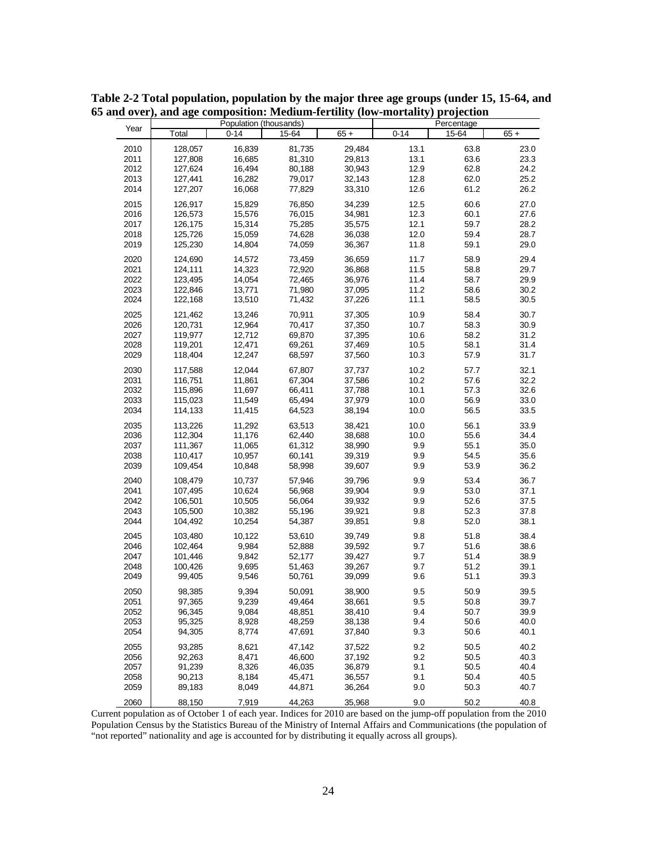|      |                    |          | Population (thousands) |        |          | Percentage |        |
|------|--------------------|----------|------------------------|--------|----------|------------|--------|
| Year | Total              | $0 - 14$ | 15-64                  | $65 +$ | $0 - 14$ | 15-64      | $65 +$ |
| 2010 | 128,057            | 16,839   | 81,735                 | 29,484 | 13.1     | 63.8       | 23.0   |
| 2011 | 127,808            | 16,685   | 81,310                 | 29,813 | 13.1     | 63.6       | 23.3   |
| 2012 | 127,624            | 16,494   | 80,188                 | 30,943 | 12.9     | 62.8       | 24.2   |
| 2013 | 127,441            | 16,282   | 79,017                 | 32,143 | 12.8     | 62.0       | 25.2   |
| 2014 | 127,207            | 16,068   | 77,829                 | 33,310 | 12.6     | 61.2       | 26.2   |
|      |                    |          |                        |        |          |            |        |
| 2015 | 126,917            | 15,829   | 76,850                 | 34,239 | 12.5     | 60.6       | 27.0   |
| 2016 | 126,573            | 15,576   | 76,015                 | 34,981 | 12.3     | 60.1       | 27.6   |
| 2017 | 126,175            | 15,314   | 75,285                 | 35,575 | 12.1     | 59.7       | 28.2   |
| 2018 | 125,726            | 15,059   | 74.628                 | 36,038 | 12.0     | 59.4       | 28.7   |
| 2019 | 125,230            | 14,804   | 74,059                 | 36,367 | 11.8     | 59.1       | 29.0   |
| 2020 | 124,690            | 14,572   | 73,459                 | 36,659 | 11.7     | 58.9       | 29.4   |
| 2021 | 124,111            | 14,323   | 72,920                 | 36,868 | 11.5     | 58.8       | 29.7   |
| 2022 | 123,495            | 14,054   | 72,465                 | 36,976 | 11.4     | 58.7       | 29.9   |
| 2023 | 122,846            | 13,771   | 71,980                 | 37,095 | 11.2     | 58.6       | 30.2   |
| 2024 | 122,168            | 13,510   | 71,432                 | 37,226 | 11.1     | 58.5       | 30.5   |
| 2025 |                    | 13,246   | 70,911                 | 37,305 | 10.9     | 58.4       | 30.7   |
| 2026 | 121,462            | 12,964   | 70,417                 | 37,350 | 10.7     | 58.3       | 30.9   |
| 2027 | 120,731<br>119,977 | 12,712   |                        |        | 10.6     | 58.2       | 31.2   |
| 2028 | 119,201            | 12,471   | 69,870<br>69,261       | 37,395 | 10.5     | 58.1       | 31.4   |
| 2029 |                    | 12,247   |                        | 37,469 | 10.3     | 57.9       | 31.7   |
|      | 118,404            |          | 68,597                 | 37,560 |          |            |        |
| 2030 | 117,588            | 12,044   | 67.807                 | 37,737 | 10.2     | 57.7       | 32.1   |
| 2031 | 116,751            | 11,861   | 67,304                 | 37,586 | 10.2     | 57.6       | 32.2   |
| 2032 | 115,896            | 11,697   | 66,411                 | 37,788 | 10.1     | 57.3       | 32.6   |
| 2033 | 115,023            | 11,549   | 65,494                 | 37,979 | 10.0     | 56.9       | 33.0   |
| 2034 | 114,133            | 11,415   | 64,523                 | 38,194 | 10.0     | 56.5       | 33.5   |
| 2035 | 113,226            | 11,292   | 63,513                 | 38,421 | 10.0     | 56.1       | 33.9   |
| 2036 | 112,304            | 11,176   | 62,440                 | 38,688 | 10.0     | 55.6       | 34.4   |
| 2037 | 111,367            | 11,065   | 61,312                 | 38,990 | 9.9      | 55.1       | 35.0   |
| 2038 | 110,417            | 10,957   | 60,141                 | 39,319 | 9.9      | 54.5       | 35.6   |
| 2039 | 109,454            | 10,848   | 58,998                 | 39,607 | 9.9      | 53.9       | 36.2   |
|      |                    |          |                        |        |          |            |        |
| 2040 | 108,479            | 10,737   | 57,946                 | 39,796 | 9.9      | 53.4       | 36.7   |
| 2041 | 107,495            | 10,624   | 56,968                 | 39,904 | 9.9      | 53.0       | 37.1   |
| 2042 | 106,501            | 10,505   | 56,064                 | 39,932 | 9.9      | 52.6       | 37.5   |
| 2043 | 105,500            | 10,382   | 55,196                 | 39,921 | 9.8      | 52.3       | 37.8   |
| 2044 | 104,492            | 10,254   | 54,387                 | 39,851 | 9.8      | 52.0       | 38.1   |
| 2045 | 103,480            | 10,122   | 53,610                 | 39,749 | 9.8      | 51.8       | 38.4   |
| 2046 | 102,464            | 9,984    | 52,888                 | 39,592 | 9.7      | 51.6       | 38.6   |
| 2047 | 101,446            | 9,842    | 52,177                 | 39,427 | 9.7      | 51.4       | 38.9   |
| 2048 | 100,426            | 9,695    | 51,463                 | 39,267 | 9.7      | 51.2       | 39.1   |
| 2049 | 99,405             | 9,546    | 50,761                 | 39,099 | 9.6      | 51.1       | 39.3   |
| 2050 | 98,385             | 9,394    | 50.091                 | 38,900 | 9.5      | 50.9       | 39.5   |
| 2051 | 97,365             | 9,239    | 49,464                 | 38,661 | 9.5      | 50.8       | 39.7   |
| 2052 | 96,345             | 9,084    | 48,851                 | 38,410 | 9.4      | 50.7       | 39.9   |
| 2053 | 95,325             | 8,928    | 48,259                 | 38,138 | 9.4      | 50.6       | 40.0   |
| 2054 | 94,305             | 8,774    | 47,691                 | 37,840 | 9.3      | 50.6       | 40.1   |
|      |                    |          |                        |        |          |            |        |
| 2055 | 93,285             | 8,621    | 47,142                 | 37,522 | 9.2      | 50.5       | 40.2   |
| 2056 | 92,263             | 8,471    | 46,600                 | 37,192 | 9.2      | 50.5       | 40.3   |
| 2057 | 91,239             | 8,326    | 46,035                 | 36,879 | 9.1      | 50.5       | 40.4   |
| 2058 | 90,213             | 8,184    | 45,471                 | 36,557 | 9.1      | 50.4       | 40.5   |
| 2059 | 89,183             | 8,049    | 44,871                 | 36,264 | 9.0      | 50.3       | 40.7   |
| 2060 | 88,150             | 7,919    | 44,263                 | 35,968 | 9.0      | 50.2       | 40.8   |

**Table 2-2 Total population, population by the major three age groups (under 15, 15-64, and 65 and over), and age composition: Medium-fertility (low-mortality) projection**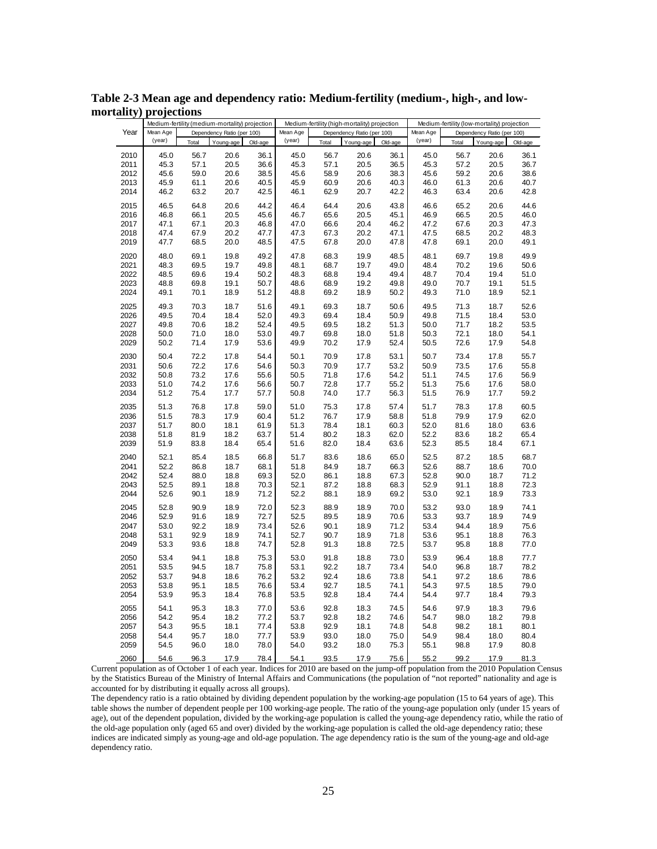|      |          |       | Medium-fertility (medium-mortality) projection |         |          |       | Medium-fertility (high-mortality) projection |         |          |       | Medium-fertility (low-mortality) projection |         |
|------|----------|-------|------------------------------------------------|---------|----------|-------|----------------------------------------------|---------|----------|-------|---------------------------------------------|---------|
| Year | Mean Age |       | Dependency Ratio (per 100)                     |         | Mean Age |       | Dependency Ratio (per 100)                   |         | Mean Age |       | Dependency Ratio (per 100)                  |         |
|      | (year)   | Total | Young-age                                      | Old-age | (year)   | Total | Young-age                                    | Old-age | (year)   | Total | Young-age                                   | Old-age |
| 2010 | 45.0     | 56.7  | 20.6                                           | 36.1    | 45.0     | 56.7  | 20.6                                         | 36.1    | 45.0     | 56.7  | 20.6                                        | 36.1    |
| 2011 | 45.3     | 57.1  | 20.5                                           | 36.6    | 45.3     | 57.1  | 20.5                                         | 36.5    | 45.3     | 57.2  | 20.5                                        | 36.7    |
| 2012 | 45.6     | 59.0  | 20.6                                           | 38.5    | 45.6     | 58.9  | 20.6                                         | 38.3    | 45.6     | 59.2  | 20.6                                        | 38.6    |
| 2013 | 45.9     | 61.1  | 20.6                                           | 40.5    | 45.9     | 60.9  | 20.6                                         | 40.3    | 46.0     | 61.3  | 20.6                                        | 40.7    |
| 2014 | 46.2     | 63.2  | 20.7                                           | 42.5    | 46.1     | 62.9  | 20.7                                         | 42.2    | 46.3     | 63.4  | 20.6                                        | 42.8    |
|      |          |       |                                                |         |          |       |                                              |         |          |       |                                             |         |
| 2015 | 46.5     | 64.8  | 20.6                                           | 44.2    | 46.4     | 64.4  | 20.6                                         | 43.8    | 46.6     | 65.2  | 20.6                                        | 44.6    |
| 2016 | 46.8     | 66.1  | 20.5                                           | 45.6    | 46.7     | 65.6  | 20.5                                         | 45.1    | 46.9     | 66.5  | 20.5                                        | 46.0    |
| 2017 | 47.1     | 67.1  | 20.3                                           | 46.8    | 47.0     | 66.6  | 20.4                                         | 46.2    | 47.2     | 67.6  | 20.3                                        | 47.3    |
| 2018 | 47.4     | 67.9  | 20.2                                           | 47.7    | 47.3     | 67.3  | 20.2                                         | 47.1    | 47.5     | 68.5  | 20.2                                        | 48.3    |
| 2019 | 47.7     | 68.5  | 20.0                                           | 48.5    | 47.5     | 67.8  | 20.0                                         | 47.8    | 47.8     | 69.1  | 20.0                                        | 49.1    |
| 2020 | 48.0     | 69.1  | 19.8                                           | 49.2    | 47.8     | 68.3  | 19.9                                         | 48.5    | 48.1     | 69.7  | 19.8                                        | 49.9    |
| 2021 | 48.3     | 69.5  | 19.7                                           | 49.8    | 48.1     | 68.7  | 19.7                                         | 49.0    | 48.4     | 70.2  | 19.6                                        | 50.6    |
| 2022 | 48.5     | 69.6  | 19.4                                           | 50.2    | 48.3     | 68.8  | 19.4                                         | 49.4    | 48.7     | 70.4  | 19.4                                        | 51.0    |
| 2023 | 48.8     | 69.8  | 19.1                                           | 50.7    | 48.6     | 68.9  | 19.2                                         | 49.8    | 49.0     | 70.7  | 19.1                                        | 51.5    |
| 2024 | 49.1     | 70.1  | 18.9                                           | 51.2    | 48.8     | 69.2  | 18.9                                         | 50.2    | 49.3     | 71.0  | 18.9                                        | 52.1    |
| 2025 | 49.3     | 70.3  | 18.7                                           | 51.6    | 49.1     | 69.3  | 18.7                                         | 50.6    | 49.5     | 71.3  | 18.7                                        | 52.6    |
| 2026 | 49.5     | 70.4  | 18.4                                           | 52.0    | 49.3     | 69.4  | 18.4                                         | 50.9    | 49.8     | 71.5  | 18.4                                        | 53.0    |
| 2027 | 49.8     | 70.6  | 18.2                                           | 52.4    | 49.5     | 69.5  | 18.2                                         | 51.3    | 50.0     | 71.7  | 18.2                                        | 53.5    |
| 2028 | 50.0     | 71.0  | 18.0                                           | 53.0    | 49.7     | 69.8  | 18.0                                         | 51.8    | 50.3     | 72.1  | 18.0                                        | 54.1    |
| 2029 | 50.2     | 71.4  | 17.9                                           | 53.6    | 49.9     | 70.2  | 17.9                                         | 52.4    | 50.5     | 72.6  | 17.9                                        | 54.8    |
|      |          |       |                                                |         |          |       |                                              |         |          |       |                                             |         |
| 2030 | 50.4     | 72.2  | 17.8                                           | 54.4    | 50.1     | 70.9  | 17.8                                         | 53.1    | 50.7     | 73.4  | 17.8                                        | 55.7    |
| 2031 | 50.6     | 72.2  | 17.6                                           | 54.6    | 50.3     | 70.9  | 17.7                                         | 53.2    | 50.9     | 73.5  | 17.6                                        | 55.8    |
| 2032 | 50.8     | 73.2  | 17.6                                           | 55.6    | 50.5     | 71.8  | 17.6                                         | 54.2    | 51.1     | 74.5  | 17.6                                        | 56.9    |
| 2033 | 51.0     | 74.2  | 17.6                                           | 56.6    | 50.7     | 72.8  | 17.7                                         | 55.2    | 51.3     | 75.6  | 17.6                                        | 58.0    |
| 2034 | 51.2     | 75.4  | 17.7                                           | 57.7    | 50.8     | 74.0  | 17.7                                         | 56.3    | 51.5     | 76.9  | 17.7                                        | 59.2    |
| 2035 | 51.3     | 76.8  | 17.8                                           | 59.0    | 51.0     | 75.3  | 17.8                                         | 57.4    | 51.7     | 78.3  | 17.8                                        | 60.5    |
| 2036 | 51.5     | 78.3  | 17.9                                           | 60.4    | 51.2     | 76.7  | 17.9                                         | 58.8    | 51.8     | 79.9  | 17.9                                        | 62.0    |
| 2037 | 51.7     | 80.0  | 18.1                                           | 61.9    | 51.3     | 78.4  | 18.1                                         | 60.3    | 52.0     | 81.6  | 18.0                                        | 63.6    |
| 2038 | 51.8     | 81.9  | 18.2                                           | 63.7    | 51.4     | 80.2  | 18.3                                         | 62.0    | 52.2     | 83.6  | 18.2                                        | 65.4    |
| 2039 | 51.9     | 83.8  | 18.4                                           | 65.4    | 51.6     | 82.0  | 18.4                                         | 63.6    | 52.3     | 85.5  | 18.4                                        | 67.1    |
| 2040 | 52.1     | 85.4  | 18.5                                           | 66.8    | 51.7     | 83.6  | 18.6                                         | 65.0    | 52.5     | 87.2  | 18.5                                        | 68.7    |
| 2041 | 52.2     | 86.8  | 18.7                                           | 68.1    | 51.8     | 84.9  | 18.7                                         | 66.3    | 52.6     | 88.7  | 18.6                                        | 70.0    |
| 2042 | 52.4     | 88.0  | 18.8                                           | 69.3    | 52.0     | 86.1  | 18.8                                         | 67.3    | 52.8     | 90.0  | 18.7                                        | 71.2    |
| 2043 | 52.5     | 89.1  | 18.8                                           | 70.3    | 52.1     | 87.2  | 18.8                                         | 68.3    | 52.9     | 91.1  | 18.8                                        | 72.3    |
| 2044 | 52.6     | 90.1  | 18.9                                           | 71.2    | 52.2     | 88.1  | 18.9                                         | 69.2    | 53.0     | 92.1  | 18.9                                        | 73.3    |
|      |          |       |                                                |         |          |       |                                              |         |          |       |                                             |         |
| 2045 | 52.8     | 90.9  | 18.9                                           | 72.0    | 52.3     | 88.9  | 18.9                                         | 70.0    | 53.2     | 93.0  | 18.9                                        | 74.1    |
| 2046 | 52.9     | 91.6  | 18.9                                           | 72.7    | 52.5     | 89.5  | 18.9                                         | 70.6    | 53.3     | 93.7  | 18.9                                        | 74.9    |
| 2047 | 53.0     | 92.2  | 18.9                                           | 73.4    | 52.6     | 90.1  | 18.9                                         | 71.2    | 53.4     | 94.4  | 18.9                                        | 75.6    |
| 2048 | 53.1     | 92.9  | 18.9                                           | 74.1    | 52.7     | 90.7  | 18.9                                         | 71.8    | 53.6     | 95.1  | 18.8                                        | 76.3    |
| 2049 | 53.3     | 93.6  | 18.8                                           | 74.7    | 52.8     | 91.3  | 18.8                                         | 72.5    | 53.7     | 95.8  | 18.8                                        | 77.0    |
| 2050 | 53.4     | 94.1  | 18.8                                           | 75.3    | 53.0     | 91.8  | 18.8                                         | 73.0    | 53.9     | 96.4  | 18.8                                        | 77.7    |
| 2051 | 53.5     | 94.5  | 18.7                                           | 75.8    | 53.1     | 92.2  | 18.7                                         | 73.4    | 54.0     | 96.8  | 18.7                                        | 78.2    |
| 2052 | 53.7     | 94.8  | 18.6                                           | 76.2    | 53.2     | 92.4  | 18.6                                         | 73.8    | 54.1     | 97.2  | 18.6                                        | 78.6    |
| 2053 | 53.8     | 95.1  | 18.5                                           | 76.6    | 53.4     | 92.7  | 18.5                                         | 74.1    | 54.3     | 97.5  | 18.5                                        | 79.0    |
| 2054 | 53.9     | 95.3  | 18.4                                           | 76.8    | 53.5     | 92.8  | 18.4                                         | 74.4    | 54.4     | 97.7  | 18.4                                        | 79.3    |
| 2055 | 54.1     | 95.3  | 18.3                                           | 77.0    | 53.6     | 92.8  | 18.3                                         | 74.5    | 54.6     | 97.9  | 18.3                                        | 79.6    |
| 2056 | 54.2     | 95.4  | 18.2                                           | 77.2    | 53.7     | 92.8  | 18.2                                         | 74.6    | 54.7     | 98.0  | 18.2                                        | 79.8    |
| 2057 | 54.3     | 95.5  | 18.1                                           | 77.4    | 53.8     | 92.9  | 18.1                                         | 74.8    | 54.8     | 98.2  | 18.1                                        | 80.1    |
| 2058 | 54.4     | 95.7  | 18.0                                           | 77.7    | 53.9     | 93.0  | 18.0                                         | 75.0    | 54.9     | 98.4  | 18.0                                        | 80.4    |
| 2059 | 54.5     | 96.0  | 18.0                                           | 78.0    | 54.0     | 93.2  | 18.0                                         | 75.3    | 55.1     | 98.8  | 17.9                                        | 80.8    |
|      | 54.6     |       | 17.9                                           | 78.4    | 54.1     | 93.5  | 17.9                                         | 75.6    | 55.2     | 99.2  |                                             |         |
| 2060 |          | 96.3  |                                                |         |          |       |                                              |         |          |       | 17.9                                        | 81.3    |

**Table 2-3 Mean age and dependency ratio: Medium-fertility (medium-, high-, and lowmortality) projections**

The dependency ratio is a ratio obtained by dividing dependent population by the working-age population (15 to 64 years of age). This table shows the number of dependent people per 100 working-age people. The ratio of the young-age population only (under 15 years of age), out of the dependent population, divided by the working-age population is called the young-age dependency ratio, while the ratio of the old-age population only (aged 65 and over) divided by the working-age population is called the old-age dependency ratio; these indices are indicated simply as young-age and old-age population. The age dependency ratio is the sum of the young-age and old-age dependency ratio.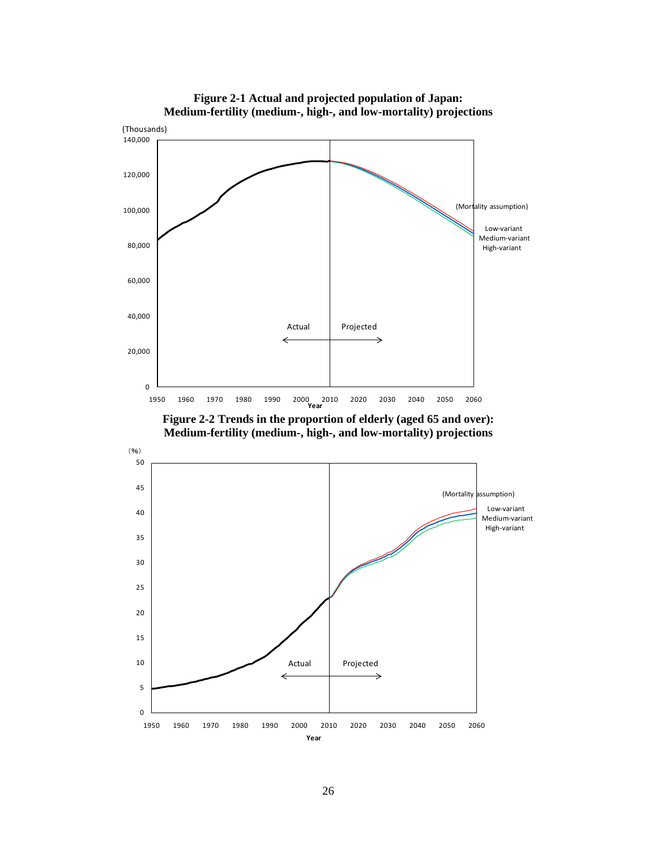

**Figure 2-1 Actual and projected population of Japan: Medium-fertility (medium-, high-, and low-mortality) projections**

**Figure 2-2 Trends in the proportion of elderly (aged 65 and over): Medium-fertility (medium-, high-, and low-mortality) projections**

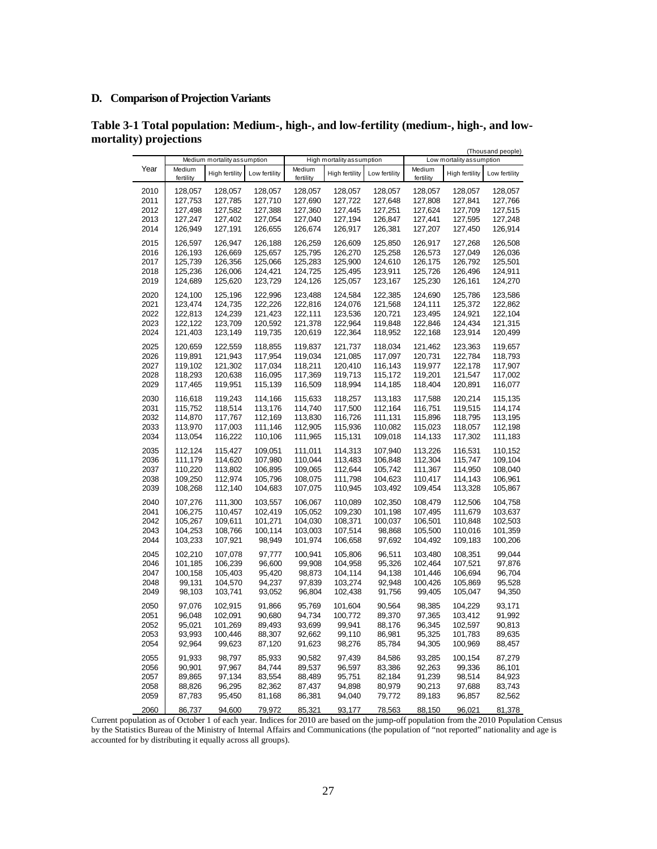# **D. Comparison of Projection Variants**

| 77 L - 29 - 22 |                     | Medium mortality assumption |                    |                     | High mortality assumption |                    |                     | Low mortality assumption | (Thousand people)  |
|----------------|---------------------|-----------------------------|--------------------|---------------------|---------------------------|--------------------|---------------------|--------------------------|--------------------|
| Year           | Medium<br>fertility | High fertility              | Low fertility      | Medium<br>fertility | High fertility            | Low fertility      | Medium<br>fertility | <b>High fertility</b>    | Low fertility      |
| 2010           | 128,057             | 128,057                     | 128,057<br>127,710 | 128,057             | 128,057                   | 128,057            | 128,057             | 128,057                  | 128,057            |
| 2011<br>2012   | 127,753<br>127,498  | 127,785<br>127,582          | 127,388            | 127,690<br>127,360  | 127,722<br>127,445        | 127,648<br>127,251 | 127,808<br>127,624  | 127,841<br>127,709       | 127,766<br>127,515 |
| 2013           | 127,247             | 127,402                     | 127,054            | 127,040             | 127,194                   | 126,847            | 127,441             | 127,595                  | 127,248            |
| 2014           | 126,949             | 127,191                     | 126,655            | 126,674             | 126,917                   | 126,381            | 127,207             | 127,450                  | 126,914            |
| 2015           | 126,597             | 126,947                     | 126,188            | 126,259             | 126,609                   | 125,850            | 126,917             | 127,268                  | 126,508            |
| 2016           | 126,193             | 126,669                     | 125,657            | 125,795             | 126,270                   | 125,258            | 126,573             | 127,049                  | 126,036            |
| 2017           | 125,739             | 126,356                     | 125,066            | 125,283             | 125,900                   | 124,610            | 126,175             | 126,792                  | 125,501            |
| 2018           | 125,236             | 126,006                     | 124,421            | 124,725             | 125,495                   | 123,911            | 125,726             | 126,496                  | 124,911            |
| 2019           | 124,689             | 125,620                     | 123,729            | 124,126             | 125,057                   | 123,167            | 125,230             | 126,161                  | 124,270            |
| 2020           | 124,100             | 125,196                     | 122,996            | 123,488             | 124,584                   | 122,385            | 124,690             | 125,786                  | 123,586            |
| 2021           | 123,474             | 124,735                     | 122,226            | 122,816             | 124,076                   | 121,568            | 124,111             | 125,372                  | 122,862            |
| 2022           | 122,813             | 124,239                     | 121,423            | 122,111             | 123,536                   | 120,721            | 123,495             | 124,921                  | 122,104            |
| 2023           | 122,122             | 123,709                     | 120,592            | 121,378             | 122,964                   | 119,848            | 122,846             | 124,434                  | 121,315            |
| 2024           | 121,403             | 123,149                     | 119,735            | 120,619             | 122,364                   | 118,952            | 122,168             | 123,914                  | 120,499            |
| 2025           | 120,659             | 122,559                     | 118,855            | 119,837             | 121,737                   | 118,034            | 121,462             | 123,363                  | 119,657            |
| 2026           | 119,891             | 121,943                     | 117,954            | 119,034             | 121,085                   | 117,097            | 120,731             | 122,784                  | 118,793            |
| 2027           | 119,102             | 121,302                     | 117,034            | 118,211             | 120,410                   | 116,143            | 119,977             | 122,178                  | 117,907            |
| 2028           | 118,293             | 120,638                     | 116,095            | 117,369             | 119,713                   | 115,172            | 119,201             | 121,547                  | 117,002            |
| 2029           | 117,465             | 119,951                     | 115,139            | 116,509             | 118,994                   | 114,185            | 118,404             | 120,891                  | 116,077            |
| 2030           | 116,618             | 119,243                     | 114,166            | 115,633             | 118,257                   | 113,183            | 117,588             | 120,214                  | 115,135            |
| 2031           | 115,752             | 118,514                     | 113,176            | 114,740             | 117,500                   | 112,164            | 116,751             | 119,515                  | 114,174            |
| 2032           | 114,870             | 117,767                     | 112,169            | 113,830             | 116,726                   | 111,131            | 115,896             | 118,795                  | 113,195            |
| 2033           | 113,970             | 117,003                     | 111,146            | 112,905             | 115,936                   | 110,082            | 115,023             | 118,057                  | 112,198            |
| 2034           | 113,054             | 116,222                     | 110,106            | 111,965             | 115,131                   | 109,018            | 114,133             | 117,302                  | 111,183            |
| 2035           | 112,124             | 115,427                     | 109,051            | 111,011             | 114,313                   | 107,940            | 113,226             | 116,531                  | 110,152            |
| 2036           | 111,179             | 114,620                     | 107,980            | 110,044             | 113,483                   | 106,848            | 112,304             | 115,747                  | 109,104            |
| 2037           | 110,220             | 113,802                     | 106,895            | 109,065             | 112,644                   | 105,742            | 111,367             | 114,950                  | 108,040            |
| 2038           | 109,250             | 112,974                     | 105,796            | 108,075             | 111,798                   | 104,623            | 110,417             | 114,143                  | 106,961            |
| 2039           | 108,268             | 112,140                     | 104,683            | 107,075             | 110,945                   | 103,492            | 109,454             | 113,328                  | 105,867            |
| 2040           | 107,276             | 111,300                     | 103,557            | 106,067             | 110,089                   | 102,350            | 108,479             | 112,506                  | 104,758            |
| 2041           | 106,275             | 110,457                     | 102,419            | 105,052             | 109,230                   | 101,198            | 107,495             | 111,679                  | 103,637            |
| 2042           | 105,267             | 109,611                     | 101,271            | 104,030             | 108,371                   | 100,037            | 106,501             | 110,848                  | 102,503            |
| 2043           | 104,253             | 108,766                     | 100,114            | 103,003             | 107,514                   | 98,868             | 105,500             | 110,016                  | 101,359            |
| 2044           | 103,233             | 107,921                     | 98,949             | 101,974             | 106,658                   | 97,692             | 104,492             | 109,183                  | 100,206            |
| 2045           | 102,210             | 107,078                     | 97,777             | 100,941             | 105,806                   | 96,511             | 103,480             | 108,351                  | 99,044             |
| 2046           | 101,185             | 106,239                     | 96,600             | 99,908              | 104,958                   | 95,326             | 102,464             | 107,521                  | 97,876             |
| 2047           | 100,158             | 105,403                     | 95,420             | 98,873              | 104,114                   | 94,138             | 101,446             | 106,694                  | 96,704             |
| 2048           | 99,131              | 104,570                     | 94,237             | 97,839              | 103,274                   | 92,948             | 100,426             | 105,869                  | 95,528             |
| 2049           | 98,103              | 103,741                     | 93,052             | 96,804              | 102,438                   | 91,756             | 99,405              | 105,047                  | 94,350             |
| 2050           | 97,076              | 102,915                     | 91,866             | 95,769              | 101,604                   | 90,564             | 98,385              | 104,229                  | 93,171             |
| 2051           | 96,048              | 102,091                     | 90,680             | 94,734              | 100,772                   | 89,370             | 97,365              | 103,412                  | 91,992             |
| 2052           | 95,021              | 101,269                     | 89,493             | 93,699              | 99,941                    | 88,176             | 96,345              | 102,597                  | 90,813             |
| 2053           | 93,993              | 100,446                     | 88,307             | 92,662              | 99,110                    | 86,981             | 95,325              | 101,783                  | 89,635             |
| 2054           | 92,964              | 99,623                      | 87,120             | 91,623              | 98,276                    | 85,784             | 94,305              | 100,969                  | 88,457             |
| 2055           | 91,933              | 98,797                      | 85,933             | 90.582              | 97,439                    | 84,586             | 93,285              | 100,154                  | 87,279             |
| 2056           | 90,901              | 97,967                      | 84,744             | 89,537              | 96,597                    | 83,386             | 92,263              | 99,336                   | 86,101             |
| 2057           | 89,865              | 97,134                      | 83,554             | 88,489              | 95,751                    | 82,184             | 91,239              | 98,514                   | 84,923             |
| 2058           | 88,826              | 96,295                      | 82,362             | 87,437              | 94,898                    | 80,979             | 90,213              | 97,688                   | 83,743             |
| 2059           | 87,783              | 95,450                      | 81,168             | 86,381              | 94,040                    | 79,772             | 89,183              | 96,857                   | 82,562             |
| 2060           | 86,737              | 94,600                      | 79,972             | 85,321              | 93,177                    | 78,563             | 88,150              | 96,021                   | 81,378             |

**Table 3-1 Total population: Medium-, high-, and low-fertility (medium-, high-, and lowmortality) projections**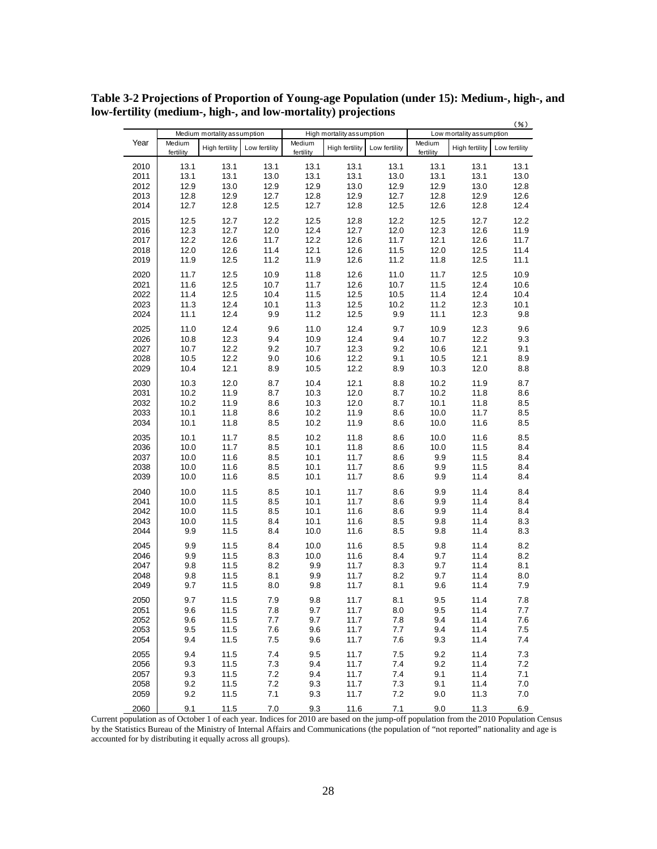|      | Medium mortality assumption |                       |               |                     | $(\% )$<br>High mortality assumption |               |                     |                          |               |
|------|-----------------------------|-----------------------|---------------|---------------------|--------------------------------------|---------------|---------------------|--------------------------|---------------|
|      |                             |                       |               |                     |                                      |               |                     | Low mortality assumption |               |
| Year | Medium<br>fertility         | <b>High fertility</b> | Low fertility | Medium<br>fertility | <b>High fertility</b>                | Low fertility | Medium<br>fertility | <b>High fertility</b>    | Low fertility |
| 2010 | 13.1                        | 13.1                  | 13.1          | 13.1                | 13.1                                 | 13.1          | 13.1                | 13.1                     | 13.1          |
| 2011 | 13.1                        | 13.1                  | 13.0          | 13.1                | 13.1                                 | 13.0          | 13.1                | 13.1                     | 13.0          |
| 2012 | 12.9                        | 13.0                  | 12.9          | 12.9                | 13.0                                 | 12.9          | 12.9                | 13.0                     | 12.8          |
| 2013 | 12.8                        | 12.9                  | 12.7          | 12.8                | 12.9                                 | 12.7          | 12.8                | 12.9                     | 12.6          |
|      |                             |                       |               |                     |                                      |               |                     |                          |               |
| 2014 | 12.7                        | 12.8                  | 12.5          | 12.7                | 12.8                                 | 12.5          | 12.6                | 12.8                     | 12.4          |
| 2015 | 12.5                        | 12.7                  | 12.2          | 12.5                | 12.8                                 | 12.2          | 12.5                | 12.7                     | 12.2          |
| 2016 | 12.3                        | 12.7                  | 12.0          | 12.4                | 12.7                                 | 12.0          | 12.3                | 12.6                     | 11.9          |
| 2017 | 12.2                        | 12.6                  | 11.7          | 12.2                | 12.6                                 | 11.7          | 12.1                | 12.6                     | 11.7          |
| 2018 | 12.0                        | 12.6                  | 11.4          | 12.1                | 12.6                                 | 11.5          | 12.0                | 12.5                     | 11.4          |
| 2019 | 11.9                        | 12.5                  | 11.2          | 11.9                | 12.6                                 | 11.2          | 11.8                | 12.5                     | 11.1          |
| 2020 | 11.7                        | 12.5                  | 10.9          | 11.8                | 12.6                                 | 11.0          | 11.7                | 12.5                     | 10.9          |
| 2021 | 11.6                        | 12.5                  | 10.7          | 11.7                | 12.6                                 | 10.7          | 11.5                | 12.4                     | 10.6          |
| 2022 | 11.4                        | 12.5                  | 10.4          | 11.5                | 12.5                                 | 10.5          | 11.4                | 12.4                     | 10.4          |
| 2023 | 11.3                        | 12.4                  | 10.1          | 11.3                | 12.5                                 | 10.2          | 11.2                | 12.3                     | 10.1          |
|      |                             |                       | 9.9           |                     |                                      | 9.9           |                     |                          | 9.8           |
| 2024 | 11.1                        | 12.4                  |               | 11.2                | 12.5                                 |               | 11.1                | 12.3                     |               |
| 2025 | 11.0                        | 12.4                  | 9.6           | 11.0                | 12.4                                 | 9.7           | 10.9                | 12.3                     | 9.6           |
| 2026 | 10.8                        | 12.3                  | 9.4           | 10.9                | 12.4                                 | 9.4           | 10.7                | 12.2                     | 9.3           |
| 2027 | 10.7                        | 12.2                  | 9.2           | 10.7                | 12.3                                 | 9.2           | 10.6                | 12.1                     | 9.1           |
| 2028 | 10.5                        | 12.2                  | 9.0           | 10.6                | 12.2                                 | 9.1           | 10.5                | 12.1                     | 8.9           |
| 2029 | 10.4                        | 12.1                  | 8.9           | 10.5                | 12.2                                 | 8.9           | 10.3                | 12.0                     | 8.8           |
| 2030 | 10.3                        | 12.0                  | 8.7           | 10.4                | 12.1                                 | 8.8           | 10.2                | 11.9                     | 8.7           |
| 2031 | 10.2                        | 11.9                  | 8.7           | 10.3                | 12.0                                 | 8.7           | 10.2                | 11.8                     | 8.6           |
| 2032 | 10.2                        | 11.9                  | 8.6           | 10.3                | 12.0                                 | 8.7           | 10.1                | 11.8                     | 8.5           |
| 2033 | 10.1                        | 11.8                  | 8.6           | 10.2                | 11.9                                 | 8.6           | 10.0                | 11.7                     | 8.5           |
| 2034 | 10.1                        | 11.8                  | 8.5           | 10.2                | 11.9                                 | 8.6           | 10.0                | 11.6                     | 8.5           |
| 2035 | 10.1                        | 11.7                  | 8.5           | 10.2                | 11.8                                 | 8.6           | 10.0                | 11.6                     | 8.5           |
| 2036 | 10.0                        | 11.7                  | 8.5           | 10.1                | 11.8                                 | 8.6           | 10.0                | 11.5                     | 8.4           |
| 2037 | 10.0                        | 11.6                  | 8.5           | 10.1                | 11.7                                 | 8.6           | 9.9                 | 11.5                     | 8.4           |
| 2038 | 10.0                        | 11.6                  | 8.5           | 10.1                | 11.7                                 | 8.6           | 9.9                 | 11.5                     | 8.4           |
| 2039 | 10.0                        | 11.6                  | 8.5           | 10.1                | 11.7                                 | 8.6           | 9.9                 | 11.4                     | 8.4           |
|      |                             |                       |               |                     |                                      |               |                     |                          |               |
| 2040 | 10.0                        | 11.5                  | 8.5           | 10.1                | 11.7                                 | 8.6           | 9.9                 | 11.4                     | 8.4           |
| 2041 | 10.0                        | 11.5                  | 8.5           | 10.1                | 11.7                                 | 8.6           | 9.9                 | 11.4                     | 8.4           |
| 2042 | 10.0                        | 11.5                  | 8.5           | 10.1                | 11.6                                 | 8.6           | 9.9                 | 11.4                     | 8.4           |
| 2043 | 10.0                        | 11.5                  | 8.4           | 10.1                | 11.6                                 | 8.5           | 9.8                 | 11.4                     | 8.3           |
| 2044 | 9.9                         | 11.5                  | 8.4           | 10.0                | 11.6                                 | 8.5           | 9.8                 | 11.4                     | 8.3           |
| 2045 | 9.9                         | 11.5                  | 8.4           | 10.0                | 11.6                                 | 8.5           | 9.8                 | 11.4                     | 8.2           |
| 2046 | 9.9                         | 11.5                  | 8.3           | 10.0                | 11.6                                 | 8.4           | 9.7                 | 11.4                     | 8.2           |
| 2047 | 9.8                         | 11.5                  | 8.2           | 9.9                 | 11.7                                 | 8.3           | 9.7                 | 11.4                     | 8.1           |
| 2048 | 9.8                         | 11.5                  | 8.1           | 9.9                 | 11.7                                 | 8.2           | 9.7                 | 11.4                     | 8.0           |
| 2049 | 9.7                         | 11.5                  | 8.0           | 9.8                 | 11.7                                 | 8.1           | 9.6                 | 11.4                     | 7.9           |
| 2050 | 9.7                         | 11.5                  | 7.9           | 9.8                 | 11.7                                 | 8.1           | 9.5                 | 11.4                     | 7.8           |
| 2051 | 9.6                         | 11.5                  | 7.8           | 9.7                 | 11.7                                 | 8.0           | 9.5                 | 11.4                     | 7.7           |
| 2052 | 9.6                         | 11.5                  | 7.7           | 9.7                 | 11.7                                 | 7.8           | 9.4                 | 11.4                     | 7.6           |
| 2053 | 9.5                         | 11.5                  | 7.6           | 9.6                 | 11.7                                 | 7.7           | 9.4                 | 11.4                     | 7.5           |
| 2054 | 9.4                         | 11.5                  | 7.5           | 9.6                 | 11.7                                 | 7.6           | 9.3                 | 11.4                     | 7.4           |
|      |                             |                       |               |                     |                                      |               |                     |                          |               |
| 2055 | 9.4                         | 11.5                  | 7.4           | 9.5                 | 11.7                                 | 7.5           | 9.2                 | 11.4                     | 7.3           |
| 2056 | 9.3                         | 11.5                  | 7.3           | 9.4                 | 11.7                                 | 7.4           | 9.2                 | 11.4                     | 7.2           |
| 2057 | 9.3                         | 11.5                  | 7.2           | 9.4                 | 11.7                                 | 7.4           | 9.1                 | 11.4                     | 7.1           |
| 2058 | 9.2                         | 11.5                  | 7.2           | 9.3                 | 11.7                                 | 7.3           | 9.1                 | 11.4                     | 7.0           |
| 2059 | 9.2                         | 11.5                  | 7.1           | 9.3                 | 11.7                                 | 7.2           | 9.0                 | 11.3                     | $7.0$         |
| 2060 | 9.1                         | 11.5                  | 7.0           | 9.3                 | 11.6                                 | 7.1           | 9.0                 | 11.3                     | 6.9           |

**Table 3-2 Projections of Proportion of Young-age Population (under 15): Medium-, high-, and low-fertility (medium-, high-, and low-mortality) projections**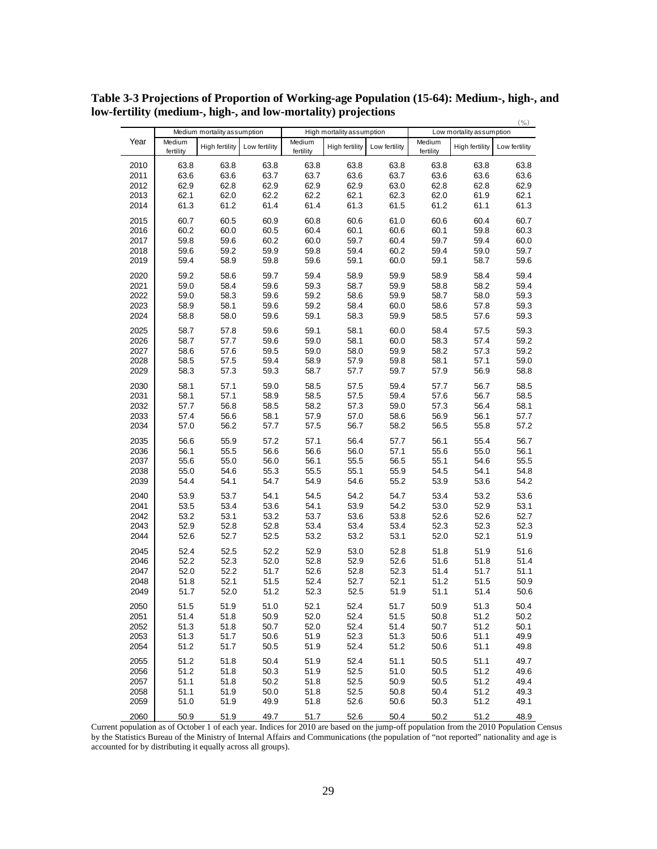|      |                     |                             |               |                     |                           |               |                     |                          | $(\%)$        |
|------|---------------------|-----------------------------|---------------|---------------------|---------------------------|---------------|---------------------|--------------------------|---------------|
|      |                     | Medium mortality assumption |               |                     | High mortality assumption |               |                     | Low mortality assumption |               |
| Year | Medium<br>fertility | High fertility              | Low fertility | Medium<br>fertility | High fertility            | Low fertility | Medium<br>fertility | High fertility           | Low fertility |
| 2010 | 63.8                | 63.8                        | 63.8          | 63.8                | 63.8                      | 63.8          | 63.8                | 63.8                     | 63.8          |
| 2011 | 63.6                | 63.6                        | 63.7          | 63.7                | 63.6                      | 63.7          | 63.6                | 63.6                     | 63.6          |
| 2012 | 62.9                | 62.8                        | 62.9          | 62.9                | 62.9                      | 63.0          | 62.8                | 62.8                     | 62.9          |
|      |                     |                             |               |                     |                           |               |                     |                          |               |
| 2013 | 62.1                | 62.0                        | 62.2          | 62.2                | 62.1                      | 62.3          | 62.0                | 61.9                     | 62.1          |
| 2014 | 61.3                | 61.2                        | 61.4          | 61.4                | 61.3                      | 61.5          | 61.2                | 61.1                     | 61.3          |
| 2015 | 60.7                | 60.5                        | 60.9          | 60.8                | 60.6                      | 61.0          | 60.6                | 60.4                     | 60.7          |
| 2016 | 60.2                | 60.0                        | 60.5          | 60.4                | 60.1                      | 60.6          | 60.1                | 59.8                     | 60.3          |
| 2017 | 59.8                | 59.6                        | 60.2          | 60.0                | 59.7                      | 60.4          | 59.7                | 59.4                     | 60.0          |
| 2018 | 59.6                | 59.2                        | 59.9          | 59.8                | 59.4                      | 60.2          | 59.4                | 59.0                     | 59.7          |
| 2019 | 59.4                | 58.9                        | 59.8          | 59.6                | 59.1                      | 60.0          | 59.1                | 58.7                     | 59.6          |
| 2020 | 59.2                | 58.6                        | 59.7          | 59.4                | 58.9                      | 59.9          | 58.9                | 58.4                     | 59.4          |
| 2021 | 59.0                | 58.4                        | 59.6          | 59.3                | 58.7                      | 59.9          | 58.8                | 58.2                     | 59.4          |
| 2022 | 59.0                | 58.3                        | 59.6          | 59.2                | 58.6                      | 59.9          | 58.7                | 58.0                     | 59.3          |
| 2023 | 58.9                | 58.1                        | 59.6          | 59.2                | 58.4                      | 60.0          | 58.6                | 57.8                     | 59.3          |
| 2024 | 58.8                | 58.0                        | 59.6          | 59.1                | 58.3                      | 59.9          | 58.5                | 57.6                     | 59.3          |
| 2025 | 58.7                | 57.8                        | 59.6          | 59.1                | 58.1                      | 60.0          | 58.4                | 57.5                     | 59.3          |
| 2026 | 58.7                | 57.7                        | 59.6          | 59.0                | 58.1                      | 60.0          | 58.3                | 57.4                     | 59.2          |
| 2027 | 58.6                | 57.6                        | 59.5          | 59.0                | 58.0                      | 59.9          | 58.2                | 57.3                     | 59.2          |
| 2028 | 58.5                | 57.5                        | 59.4          | 58.9                | 57.9                      | 59.8          | 58.1                | 57.1                     | 59.0          |
| 2029 | 58.3                | 57.3                        | 59.3          | 58.7                | 57.7                      | 59.7          | 57.9                | 56.9                     | 58.8          |
| 2030 | 58.1                | 57.1                        | 59.0          | 58.5                | 57.5                      | 59.4          | 57.7                | 56.7                     | 58.5          |
| 2031 | 58.1                | 57.1                        | 58.9          | 58.5                | 57.5                      | 59.4          | 57.6                | 56.7                     | 58.5          |
| 2032 | 57.7                | 56.8                        | 58.5          | 58.2                | 57.3                      | 59.0          | 57.3                | 56.4                     | 58.1          |
| 2033 | 57.4                | 56.6                        | 58.1          | 57.9                | 57.0                      | 58.6          | 56.9                | 56.1                     | 57.7          |
| 2034 | 57.0                | 56.2                        | 57.7          | 57.5                | 56.7                      | 58.2          | 56.5                | 55.8                     | 57.2          |
| 2035 | 56.6                | 55.9                        | 57.2          | 57.1                | 56.4                      | 57.7          | 56.1                | 55.4                     | 56.7          |
| 2036 | 56.1                | 55.5                        | 56.6          | 56.6                | 56.0                      | 57.1          | 55.6                | 55.0                     | 56.1          |
| 2037 | 55.6                | 55.0                        | 56.0          | 56.1                | 55.5                      | 56.5          | 55.1                | 54.6                     | 55.5          |
| 2038 | 55.0                | 54.6                        | 55.3          | 55.5                | 55.1                      | 55.9          | 54.5                | 54.1                     | 54.8          |
| 2039 | 54.4                | 54.1                        | 54.7          | 54.9                | 54.6                      | 55.2          | 53.9                | 53.6                     | 54.2          |
| 2040 | 53.9                | 53.7                        | 54.1          | 54.5                | 54.2                      | 54.7          | 53.4                | 53.2                     | 53.6          |
| 2041 | 53.5                | 53.4                        | 53.6          | 54.1                | 53.9                      | 54.2          | 53.0                | 52.9                     | 53.1          |
| 2042 | 53.2                | 53.1                        | 53.2          | 53.7                | 53.6                      | 53.8          | 52.6                | 52.6                     | 52.7          |
| 2043 | 52.9                | 52.8                        | 52.8          | 53.4                | 53.4                      | 53.4          | 52.3                | 52.3                     | 52.3          |
| 2044 | 52.6                | 52.7                        | 52.5          | 53.2                | 53.2                      | 53.1          | 52.0                | 52.1                     | 51.9          |
| 2045 | 52.4                | 52.5                        | 52.2          | 52.9                | 53.0                      | 52.8          | 51.8                | 51.9                     | 51.6          |
| 2046 | 52.2                | 52.3                        | 52.0          | 52.8                | 52.9                      | 52.6          | 51.6                | 51.8                     | 51.4          |
| 2047 | 52.0                | 52.2                        | 51.7          | 52.6                | 52.8                      | 52.3          | 51.4                | 51.7                     | 51.1          |
|      |                     |                             |               |                     |                           |               |                     |                          |               |
| 2048 | 51.8                | 52.1                        | 51.5          | 52.4                | 52.7                      | 52.1          | 51.2                | 51.5                     | 50.9          |
| 2049 | 51.7                | 52.0                        | 51.2          | 52.3                | 52.5                      | 51.9          | 51.1                | 51.4                     | 50.6          |
| 2050 | 51.5                | 51.9                        | 51.0          | 52.1                | 52.4                      | 51.7          | 50.9                | 51.3                     | 50.4          |
| 2051 | 51.4                | 51.8                        | 50.9          | 52.0                | 52.4                      | 51.5          | 50.8                | 51.2                     | 50.2          |
| 2052 | 51.3                | 51.8                        | 50.7          | 52.0                | 52.4                      | 51.4          | 50.7                | 51.2                     | 50.1          |
| 2053 | 51.3                | 51.7                        | 50.6          | 51.9                | 52.3                      | 51.3          | 50.6                | 51.1                     | 49.9          |
| 2054 | 51.2                | 51.7                        | 50.5          | 51.9                | 52.4                      | 51.2          | 50.6                | 51.1                     | 49.8          |
| 2055 | 51.2                | 51.8                        | 50.4          | 51.9                | 52.4                      | 51.1          | 50.5                | 51.1                     | 49.7          |
| 2056 | 51.2                | 51.8                        | 50.3          | 51.9                | 52.5                      | 51.0          | 50.5                | 51.2                     | 49.6          |
| 2057 | 51.1                | 51.8                        | 50.2          | 51.8                | 52.5                      | 50.9          | 50.5                | 51.2                     | 49.4          |
| 2058 | 51.1                | 51.9                        | 50.0          | 51.8                | 52.5                      | 50.8          | 50.4                | 51.2                     | 49.3          |
| 2059 | 51.0                | 51.9                        | 49.9          | 51.8                | 52.6                      | 50.6          | 50.3                | 51.2                     | 49.1          |
| 2060 | 50.9                | 51.9                        | 49.7          | 51.7                | 52.6                      | 50.4          | 50.2                | 51.2                     | 48.9          |

**Table 3-3 Projections of Proportion of Working-age Population (15-64): Medium-, high-, and low-fertility (medium-, high-, and low-mortality) projections**  $(0/4)$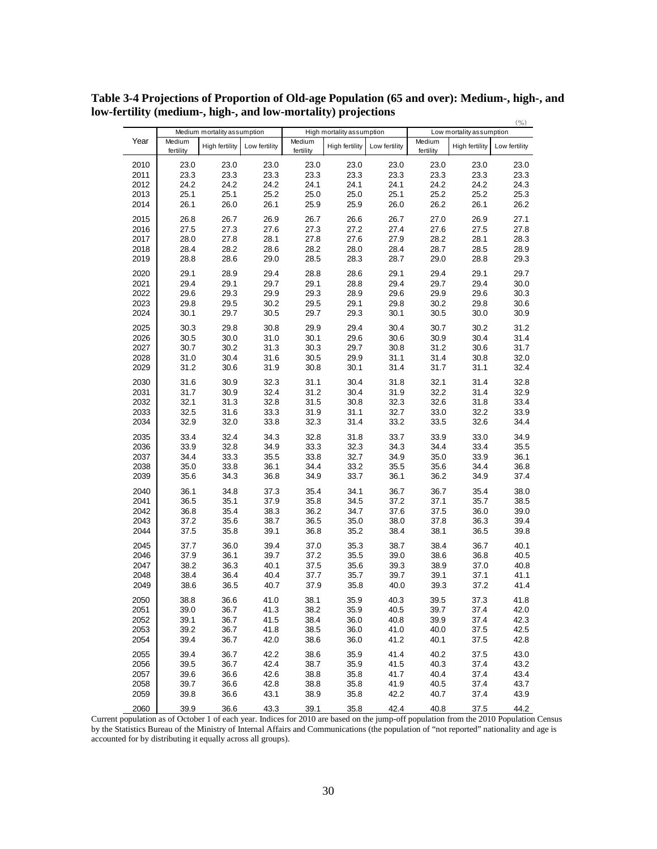|              | Medium mortality assumption |                |               | High mortality assumption |                |               | $(\%)$<br>Low mortality assumption |                |               |
|--------------|-----------------------------|----------------|---------------|---------------------------|----------------|---------------|------------------------------------|----------------|---------------|
| Year         | Medium<br>fertility         | High fertility | Low fertility | Medium<br>fertility       | High fertility | Low fertility | Medium<br>fertility                | High fertility | Low fertility |
| 2010         | 23.0                        | 23.0           | 23.0          | 23.0                      | 23.0           | 23.0          | 23.0                               | 23.0           | 23.0          |
| 2011         | 23.3                        | 23.3           | 23.3          | 23.3                      | 23.3           | 23.3          | 23.3                               | 23.3           | 23.3          |
| 2012         | 24.2                        | 24.2           | 24.2          | 24.1                      | 24.1           | 24.1          | 24.2                               | 24.2           | 24.3          |
| 2013         | 25.1                        | 25.1           | 25.2          | 25.0                      | 25.0           | 25.1          | 25.2                               | 25.2           | 25.3          |
| 2014         | 26.1                        | 26.0           | 26.1          | 25.9                      | 25.9           | 26.0          | 26.2                               | 26.1           | 26.2          |
| 2015         | 26.8                        | 26.7           | 26.9          | 26.7                      | 26.6           | 26.7          | 27.0                               | 26.9           | 27.1          |
| 2016         | 27.5                        | 27.3           | 27.6          | 27.3                      | 27.2           | 27.4          | 27.6                               | 27.5           | 27.8          |
| 2017         | 28.0                        | 27.8           | 28.1          | 27.8                      | 27.6           | 27.9          | 28.2                               | 28.1           | 28.3          |
|              | 28.4                        | 28.2           |               |                           |                |               |                                    |                | 28.9          |
| 2018<br>2019 | 28.8                        | 28.6           | 28.6<br>29.0  | 28.2<br>28.5              | 28.0<br>28.3   | 28.4<br>28.7  | 28.7<br>29.0                       | 28.5<br>28.8   | 29.3          |
|              |                             |                |               |                           |                |               |                                    |                |               |
| 2020         | 29.1                        | 28.9           | 29.4          | 28.8                      | 28.6           | 29.1          | 29.4                               | 29.1           | 29.7          |
| 2021         | 29.4                        | 29.1           | 29.7          | 29.1                      | 28.8           | 29.4          | 29.7                               | 29.4           | 30.0          |
| 2022         | 29.6                        | 29.3           | 29.9          | 29.3                      | 28.9           | 29.6          | 29.9                               | 29.6           | 30.3          |
| 2023         | 29.8                        | 29.5           | 30.2          | 29.5                      | 29.1           | 29.8          | 30.2                               | 29.8           | 30.6          |
| 2024         | 30.1                        | 29.7           | 30.5          | 29.7                      | 29.3           | 30.1          | 30.5                               | 30.0           | 30.9          |
| 2025         | 30.3                        | 29.8           | 30.8          | 29.9                      | 29.4           | 30.4          | 30.7                               | 30.2           | 31.2          |
| 2026         | 30.5                        | 30.0           | 31.0          | 30.1                      | 29.6           | 30.6          | 30.9                               | 30.4           | 31.4          |
| 2027         | 30.7                        | 30.2           | 31.3          | 30.3                      | 29.7           | 30.8          | 31.2                               | 30.6           | 31.7          |
| 2028         | 31.0                        | 30.4           | 31.6          | 30.5                      | 29.9           | 31.1          | 31.4                               | 30.8           | 32.0          |
| 2029         | 31.2                        | 30.6           | 31.9          | 30.8                      | 30.1           | 31.4          | 31.7                               | 31.1           | 32.4          |
| 2030         |                             | 30.9           | 32.3          | 31.1                      | 30.4           |               | 32.1                               | 31.4           | 32.8          |
| 2031         | 31.6<br>31.7                | 30.9           | 32.4          | 31.2                      | 30.4           | 31.8<br>31.9  | 32.2                               | 31.4           | 32.9          |
| 2032         | 32.1                        | 31.3           | 32.8          | 31.5                      | 30.8           | 32.3          | 32.6                               |                | 33.4          |
|              |                             |                |               |                           |                |               |                                    | 31.8           |               |
| 2033         | 32.5                        | 31.6           | 33.3          | 31.9                      | 31.1           | 32.7          | 33.0                               | 32.2           | 33.9          |
| 2034         | 32.9                        | 32.0           | 33.8          | 32.3                      | 31.4           | 33.2          | 33.5                               | 32.6           | 34.4          |
| 2035         | 33.4                        | 32.4           | 34.3          | 32.8                      | 31.8           | 33.7          | 33.9                               | 33.0           | 34.9          |
| 2036         | 33.9                        | 32.8           | 34.9          | 33.3                      | 32.3           | 34.3          | 34.4                               | 33.4           | 35.5          |
| 2037         | 34.4                        | 33.3           | 35.5          | 33.8                      | 32.7           | 34.9          | 35.0                               | 33.9           | 36.1          |
| 2038         | 35.0                        | 33.8           | 36.1          | 34.4                      | 33.2           | 35.5          | 35.6                               | 34.4           | 36.8          |
| 2039         | 35.6                        | 34.3           | 36.8          | 34.9                      | 33.7           | 36.1          | 36.2                               | 34.9           | 37.4          |
| 2040         | 36.1                        | 34.8           | 37.3          | 35.4                      | 34.1           | 36.7          | 36.7                               | 35.4           | 38.0          |
| 2041         | 36.5                        | 35.1           | 37.9          | 35.8                      | 34.5           | 37.2          | 37.1                               | 35.7           | 38.5          |
| 2042         | 36.8                        | 35.4           | 38.3          | 36.2                      | 34.7           | 37.6          | 37.5                               | 36.0           | 39.0          |
| 2043         | 37.2                        | 35.6           | 38.7          | 36.5                      | 35.0           | 38.0          | 37.8                               | 36.3           | 39.4          |
| 2044         | 37.5                        | 35.8           | 39.1          | 36.8                      | 35.2           | 38.4          | 38.1                               | 36.5           | 39.8          |
| 2045         | 37.7                        | 36.0           | 39.4          | 37.0                      | 35.3           | 38.7          | 38.4                               | 36.7           | 40.1          |
| 2046         | 37.9                        | 36.1           | 39.7          | 37.2                      | 35.5           | 39.0          | 38.6                               | 36.8           | 40.5          |
| 2047         | 38.2                        | 36.3           | 40.1          | 37.5                      | 35.6           | 39.3          | 38.9                               | 37.0           | 40.8          |
| 2048         | 38.4                        | 36.4           | 40.4          | 37.7                      | 35.7           | 39.7          | 39.1                               | 37.1           | 41.1          |
| 2049         | 38.6                        | 36.5           | 40.7          | 37.9                      | 35.8           | 40.0          | 39.3                               | 37.2           | 41.4          |
| 2050         | 38.8                        | 36.6           | 41.0          | 38.1                      | 35.9           | 40.3          | 39.5                               | 37.3           | 41.8          |
| 2051         | 39.0                        | 36.7           | 41.3          | 38.2                      | 35.9           | 40.5          | 39.7                               | 37.4           | 42.0          |
| 2052         | 39.1                        | 36.7           | 41.5          | 38.4                      | 36.0           | 40.8          | 39.9                               | 37.4           | 42.3          |
| 2053         | 39.2                        | 36.7           | 41.8          | 38.5                      | 36.0           | 41.0          | 40.0                               | 37.5           | 42.5          |
| 2054         | 39.4                        | 36.7           | 42.0          | 38.6                      | 36.0           | 41.2          | 40.1                               | 37.5           | 42.8          |
| 2055         | 39.4                        | 36.7           | 42.2          | 38.6                      | 35.9           | 41.4          | 40.2                               | 37.5           | 43.0          |
| 2056         | 39.5                        | 36.7           | 42.4          | 38.7                      | 35.9           | 41.5          | 40.3                               | 37.4           | 43.2          |
| 2057         | 39.6                        | 36.6           | 42.6          | 38.8                      | 35.8           | 41.7          | 40.4                               | 37.4           | 43.4          |
| 2058         | 39.7                        | 36.6           | 42.8          | 38.8                      | 35.8           | 41.9          | 40.5                               | 37.4           | 43.7          |
| 2059         | 39.8                        | 36.6           | 43.1          | 38.9                      | 35.8           | 42.2          | 40.7                               | 37.4           | 43.9          |
|              |                             |                |               |                           |                |               |                                    |                |               |
| 2060         | 39.9                        | 36.6           | 43.3          | 39.1                      | 35.8           | 42.4          | 40.8                               | 37.5           | 44.2          |

**Table 3-4 Projections of Proportion of Old-age Population (65 and over): Medium-, high-, and low-fertility (medium-, high-, and low-mortality) projections**  $(0)$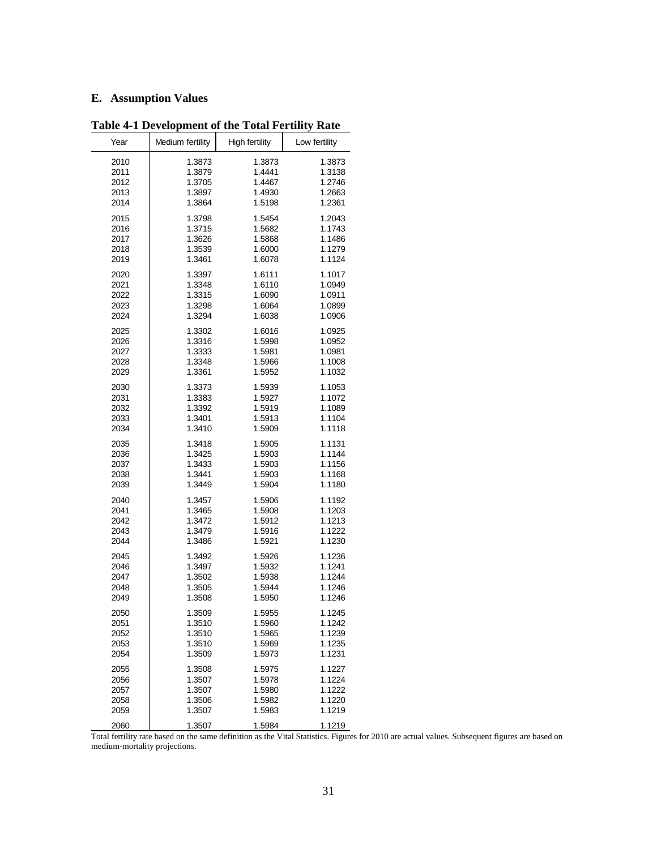## **E. Assumption Values**

| Year | Medium fertility | <b>High fertility</b> | Low fertility |
|------|------------------|-----------------------|---------------|
| 2010 | 1.3873           | 1.3873                | 1.3873        |
| 2011 | 1.3879           | 1.4441                | 1.3138        |
| 2012 | 1.3705           | 1.4467                | 1.2746        |
| 2013 | 1.3897           | 1.4930                | 1.2663        |
| 2014 | 1.3864           | 1.5198                | 1.2361        |
| 2015 | 1.3798           | 1.5454                | 1.2043        |
| 2016 | 1.3715           | 1.5682                | 1.1743        |
| 2017 | 1.3626           | 1.5868                | 1.1486        |
| 2018 | 1.3539           | 1.6000                | 1.1279        |
| 2019 | 1.3461           | 1.6078                | 1.1124        |
| 2020 | 1.3397           | 1.6111                | 1.1017        |
| 2021 | 1.3348           | 1.6110                | 1.0949        |
| 2022 | 1.3315           | 1.6090                | 1.0911        |
| 2023 | 1.3298           | 1.6064                | 1.0899        |
| 2024 | 1.3294           | 1.6038                | 1.0906        |
| 2025 | 1.3302           | 1.6016                | 1.0925        |
| 2026 | 1.3316           | 1.5998                | 1.0952        |
| 2027 | 1.3333           | 1.5981                | 1.0981        |
| 2028 | 1.3348           | 1.5966                | 1.1008        |
| 2029 | 1.3361           | 1.5952                | 1.1032        |
| 2030 | 1.3373           | 1.5939                | 1.1053        |
| 2031 | 1.3383           | 1.5927                | 1.1072        |
| 2032 | 1.3392           | 1.5919                | 1.1089        |
| 2033 | 1.3401           | 1.5913                | 1.1104        |
| 2034 | 1.3410           | 1.5909                | 1.1118        |
| 2035 | 1.3418           | 1.5905                | 1.1131        |
| 2036 | 1.3425           | 1.5903                | 1.1144        |
| 2037 | 1.3433           | 1.5903                | 1.1156        |
| 2038 | 1.3441           | 1.5903                | 1.1168        |
| 2039 | 1.3449           | 1.5904                | 1.1180        |
| 2040 | 1.3457           | 1.5906                | 1.1192        |
| 2041 | 1.3465           | 1.5908                | 1.1203        |
| 2042 | 1.3472           | 1.5912                | 1.1213        |
| 2043 | 1.3479           | 1.5916                | 1.1222        |
| 2044 | 1.3486           | 1.5921                | 1.1230        |
| 2045 | 1.3492           | 1.5926                | 1.1236        |
| 2046 | 1.3497           | 1.5932                | 1.1241        |
| 2047 | 1.3502           | 1.5938                | 1.1244        |
| 2048 | 1.3505           | 1.5944                | 1.1246        |
| 2049 | 1.3508           | 1.5950                | 1.1246        |
| 2050 | 1.3509           | 1.5955                | 1.1245        |
| 2051 | 1.3510           | 1.5960                | 1.1242        |
| 2052 | 1.3510           | 1.5965                | 1.1239        |
| 2053 | 1.3510           | 1.5969                | 1.1235        |
| 2054 | 1.3509           | 1.5973                | 1.1231        |
| 2055 | 1.3508           | 1.5975                | 1.1227        |
| 2056 | 1.3507           | 1.5978                | 1.1224        |
| 2057 | 1.3507           | 1.5980                | 1.1222        |
| 2058 | 1.3506           | 1.5982                | 1.1220        |
| 2059 | 1.3507           | 1.5983                | 1.1219        |
| 2060 | 1.3507           | 1.5984                | 1.1219        |

**Table 4-1 Development of the Total Fertility Rate**

Total fertility rate based on the same definition as the Vital Statistics. Figures for 2010 are actual values. Subsequent figures are based on medium-mortality projections.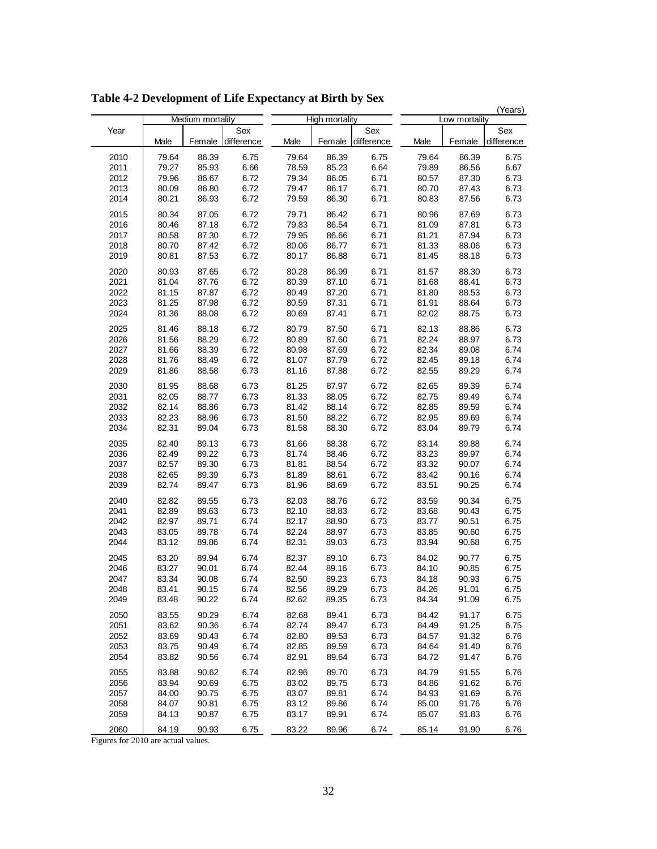|      |       |                  |                   |       | (Years)        |                   |       |               |                   |
|------|-------|------------------|-------------------|-------|----------------|-------------------|-------|---------------|-------------------|
|      |       | Medium mortality |                   |       | High mortality |                   |       | Low mortality |                   |
| Year | Male  | Female           | Sex<br>difference | Male  | Female         | Sex<br>difference | Male  | Female        | Sex<br>difference |
| 2010 | 79.64 | 86.39            | 6.75              | 79.64 | 86.39          | 6.75              | 79.64 | 86.39         | 6.75              |
|      |       |                  |                   |       |                |                   |       |               |                   |
| 2011 | 79.27 | 85.93            | 6.66              | 78.59 | 85.23          | 6.64              | 79.89 | 86.56         | 6.67              |
| 2012 | 79.96 | 86.67            | 6.72              | 79.34 | 86.05          | 6.71              | 80.57 | 87.30         | 6.73              |
| 2013 | 80.09 | 86.80            | 6.72              | 79.47 | 86.17          | 6.71              | 80.70 | 87.43         | 6.73              |
| 2014 | 80.21 | 86.93            | 6.72              | 79.59 | 86.30          | 6.71              | 80.83 | 87.56         | 6.73              |
| 2015 | 80.34 | 87.05            | 6.72              | 79.71 | 86.42          | 6.71              | 80.96 | 87.69         | 6.73              |
| 2016 | 80.46 | 87.18            | 6.72              | 79.83 | 86.54          | 6.71              | 81.09 | 87.81         | 6.73              |
| 2017 | 80.58 | 87.30            | 6.72              | 79.95 | 86.66          | 6.71              | 81.21 | 87.94         | 6.73              |
| 2018 | 80.70 | 87.42            | 6.72              | 80.06 | 86.77          | 6.71              | 81.33 | 88.06         | 6.73              |
| 2019 | 80.81 | 87.53            | 6.72              | 80.17 | 86.88          | 6.71              | 81.45 | 88.18         | 6.73              |
| 2020 | 80.93 | 87.65            | 6.72              | 80.28 | 86.99          | 6.71              | 81.57 | 88.30         | 6.73              |
| 2021 | 81.04 | 87.76            | 6.72              | 80.39 | 87.10          | 6.71              | 81.68 | 88.41         | 6.73              |
| 2022 | 81.15 | 87.87            | 6.72              | 80.49 | 87.20          | 6.71              | 81.80 | 88.53         | 6.73              |
| 2023 | 81.25 | 87.98            | 6.72              | 80.59 | 87.31          | 6.71              | 81.91 | 88.64         | 6.73              |
| 2024 | 81.36 | 88.08            | 6.72              | 80.69 | 87.41          | 6.71              | 82.02 | 88.75         | 6.73              |
|      |       |                  |                   |       |                |                   |       |               |                   |
| 2025 | 81.46 | 88.18            | 6.72              | 80.79 | 87.50          | 6.71              | 82.13 | 88.86         | 6.73              |
| 2026 | 81.56 | 88.29            | 6.72              | 80.89 | 87.60          | 6.71              | 82.24 | 88.97         | 6.73              |
| 2027 | 81.66 | 88.39            | 6.72              | 80.98 | 87.69          | 6.72              | 82.34 | 89.08         | 6.74              |
| 2028 | 81.76 | 88.49            | 6.72              | 81.07 | 87.79          | 6.72              | 82.45 | 89.18         | 6.74              |
| 2029 | 81.86 | 88.58            | 6.73              | 81.16 | 87.88          | 6.72              | 82.55 | 89.29         | 6.74              |
| 2030 | 81.95 | 88.68            | 6.73              | 81.25 | 87.97          | 6.72              | 82.65 | 89.39         | 6.74              |
| 2031 | 82.05 | 88.77            | 6.73              | 81.33 | 88.05          | 6.72              | 82.75 | 89.49         | 6.74              |
| 2032 | 82.14 | 88.86            | 6.73              | 81.42 | 88.14          | 6.72              | 82.85 | 89.59         | 6.74              |
| 2033 | 82.23 | 88.96            | 6.73              | 81.50 | 88.22          | 6.72              | 82.95 | 89.69         | 6.74              |
| 2034 | 82.31 | 89.04            | 6.73              | 81.58 | 88.30          | 6.72              | 83.04 | 89.79         | 6.74              |
| 2035 | 82.40 | 89.13            | 6.73              | 81.66 | 88.38          | 6.72              | 83.14 | 89.88         | 6.74              |
| 2036 | 82.49 | 89.22            | 6.73              | 81.74 | 88.46          | 6.72              | 83.23 | 89.97         | 6.74              |
| 2037 | 82.57 | 89.30            | 6.73              | 81.81 | 88.54          | 6.72              | 83.32 | 90.07         | 6.74              |
| 2038 | 82.65 | 89.39            | 6.73              | 81.89 | 88.61          | 6.72              | 83.42 | 90.16         | 6.74              |
| 2039 | 82.74 | 89.47            | 6.73              | 81.96 | 88.69          | 6.72              | 83.51 | 90.25         | 6.74              |
| 2040 | 82.82 | 89.55            | 6.73              | 82.03 | 88.76          | 6.72              | 83.59 | 90.34         | 6.75              |
| 2041 | 82.89 | 89.63            | 6.73              | 82.10 | 88.83          | 6.72              | 83.68 | 90.43         | 6.75              |
| 2042 | 82.97 | 89.71            | 6.74              | 82.17 | 88.90          | 6.73              | 83.77 | 90.51         | 6.75              |
| 2043 | 83.05 | 89.78            | 6.74              | 82.24 | 88.97          | 6.73              | 83.85 | 90.60         | 6.75              |
| 2044 | 83.12 | 89.86            | 6.74              | 82.31 | 89.03          | 6.73              | 83.94 | 90.68         | 6.75              |
| 2045 | 83.20 | 89.94            | 6.74              | 82.37 | 89.10          | 6.73              | 84.02 | 90.77         | 6.75              |
| 2046 | 83.27 | 90.01            | 6.74              | 82.44 | 89.16          | 6.73              | 84.10 | 90.85         | 6.75              |
| 2047 | 83.34 | 90.08            | 6.74              | 82.50 | 89.23          | 6.73              | 84.18 | 90.93         | 6.75              |
| 2048 | 83.41 | 90.15            | 6.74              | 82.56 | 89.29          | 6.73              | 84.26 | 91.01         | 6.75              |
| 2049 | 83.48 | 90.22            | 6.74              | 82.62 | 89.35          | 6.73              | 84.34 | 91.09         | 6.75              |
| 2050 | 83.55 | 90.29            | 6.74              | 82.68 | 89.41          | 6.73              | 84.42 | 91.17         | 6.75              |
| 2051 | 83.62 | 90.36            | 6.74              | 82.74 | 89.47          | 6.73              | 84.49 | 91.25         | 6.75              |
| 2052 | 83.69 | 90.43            | 6.74              | 82.80 | 89.53          | 6.73              | 84.57 | 91.32         | 6.76              |
| 2053 | 83.75 | 90.49            | 6.74              | 82.85 | 89.59          | 6.73              | 84.64 | 91.40         | 6.76              |
| 2054 | 83.82 | 90.56            | 6.74              | 82.91 | 89.64          | 6.73              | 84.72 | 91.47         | 6.76              |
| 2055 | 83.88 | 90.62            | 6.74              | 82.96 | 89.70          | 6.73              | 84.79 | 91.55         | 6.76              |
| 2056 | 83.94 | 90.69            | 6.75              | 83.02 | 89.75          | 6.73              | 84.86 | 91.62         | 6.76              |
| 2057 | 84.00 | 90.75            | 6.75              | 83.07 | 89.81          | 6.74              | 84.93 | 91.69         | 6.76              |
| 2058 | 84.07 | 90.81            | 6.75              | 83.12 | 89.86          | 6.74              | 85.00 | 91.76         | 6.76              |
| 2059 | 84.13 | 90.87            | 6.75              | 83.17 | 89.91          | 6.74              | 85.07 | 91.83         | 6.76              |
|      |       |                  |                   |       |                |                   |       |               |                   |
| 2060 | 84.19 | 90.93            | 6.75              | 83.22 | 89.96          | 6.74              | 85.14 | 91.90         | 6.76              |

**Table 4-2 Development of Life Expectancy at Birth by Sex**

Figures for 2010 are actual values.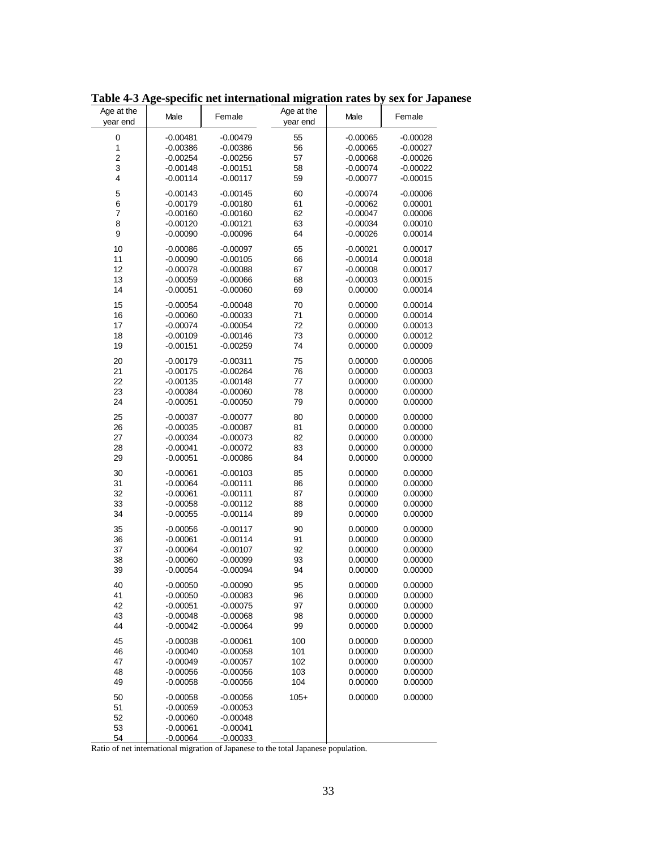| Age at the<br>year end | Male       | Female     | Age at the<br>year end | Male       | Female     |
|------------------------|------------|------------|------------------------|------------|------------|
| $\pmb{0}$              | $-0.00481$ | $-0.00479$ | 55                     | $-0.00065$ | $-0.00028$ |
| 1                      | $-0.00386$ | $-0.00386$ | 56                     | $-0.00065$ | $-0.00027$ |
| $\overline{c}$         | $-0.00254$ | $-0.00256$ | 57                     | $-0.00068$ | $-0.00026$ |
| 3                      | $-0.00148$ | $-0.00151$ | 58                     | $-0.00074$ | $-0.00022$ |
| 4                      | $-0.00114$ | $-0.00117$ | 59                     | $-0.00077$ | $-0.00015$ |
|                        |            |            |                        |            |            |
| 5                      | $-0.00143$ | $-0.00145$ | 60                     | $-0.00074$ | $-0.00006$ |
| 6                      | -0.00179   | $-0.00180$ | 61                     | $-0.00062$ | 0.00001    |
| $\overline{7}$         | $-0.00160$ | $-0.00160$ | 62                     | $-0.00047$ | 0.00006    |
| 8                      | $-0.00120$ | $-0.00121$ | 63                     | $-0.00034$ | 0.00010    |
| 9                      | $-0.00090$ | $-0.00096$ | 64                     | $-0.00026$ | 0.00014    |
| 10                     | $-0.00086$ | $-0.00097$ | 65                     | $-0.00021$ | 0.00017    |
| 11                     | $-0.00090$ | $-0.00105$ | 66                     | $-0.00014$ | 0.00018    |
| 12                     | $-0.00078$ | $-0.00088$ | 67                     | $-0.00008$ | 0.00017    |
| 13                     | $-0.00059$ | $-0.00066$ | 68                     | $-0.00003$ | 0.00015    |
| 14                     | $-0.00051$ | $-0.00060$ | 69                     | 0.00000    | 0.00014    |
|                        |            |            |                        |            |            |
| 15                     | $-0.00054$ | $-0.00048$ | 70                     | 0.00000    | 0.00014    |
| 16                     | $-0.00060$ | $-0.00033$ | 71                     | 0.00000    | 0.00014    |
| 17                     | $-0.00074$ | $-0.00054$ | 72                     | 0.00000    | 0.00013    |
| 18                     | $-0.00109$ | $-0.00146$ | 73                     | 0.00000    | 0.00012    |
| 19                     | $-0.00151$ | $-0.00259$ | 74                     | 0.00000    | 0.00009    |
| 20                     | $-0.00179$ | $-0.00311$ | 75                     | 0.00000    | 0.00006    |
| 21                     | $-0.00175$ | $-0.00264$ | 76                     | 0.00000    | 0.00003    |
| 22                     | $-0.00135$ | $-0.00148$ | 77                     | 0.00000    | 0.00000    |
| 23                     | $-0.00084$ | $-0.00060$ | 78                     | 0.00000    | 0.00000    |
| 24                     | $-0.00051$ | $-0.00050$ | 79                     | 0.00000    | 0.00000    |
|                        |            |            |                        |            |            |
| 25                     | $-0.00037$ | $-0.00077$ | 80                     | 0.00000    | 0.00000    |
| 26                     | $-0.00035$ | $-0.00087$ | 81                     | 0.00000    | 0.00000    |
| 27                     | $-0.00034$ | $-0.00073$ | 82                     | 0.00000    | 0.00000    |
| 28                     | $-0.00041$ | $-0.00072$ | 83                     | 0.00000    | 0.00000    |
| 29                     | $-0.00051$ | $-0.00086$ | 84                     | 0.00000    | 0.00000    |
| 30                     | $-0.00061$ | $-0.00103$ | 85                     | 0.00000    | 0.00000    |
| 31                     | $-0.00064$ | $-0.00111$ | 86                     | 0.00000    | 0.00000    |
| 32                     | $-0.00061$ | $-0.00111$ | 87                     | 0.00000    | 0.00000    |
| 33                     | $-0.00058$ | $-0.00112$ | 88                     | 0.00000    | 0.00000    |
| 34                     | $-0.00055$ | $-0.00114$ | 89                     | 0.00000    | 0.00000    |
| 35                     | $-0.00056$ | $-0.00117$ | 90                     | 0.00000    | 0.00000    |
| 36                     | $-0.00061$ | $-0.00114$ | 91                     | 0.00000    | 0.00000    |
| 37                     | $-0.00064$ | $-0.00107$ | 92                     | 0.00000    | 0.00000    |
| 38                     | $-0.00060$ | $-0.00099$ | 93                     | 0.00000    | 0.00000    |
| 39                     | $-0.00054$ | $-0.00094$ | 94                     | 0.00000    | 0.00000    |
|                        |            |            |                        |            |            |
| 40                     | $-0.00050$ | $-0.00090$ | 95                     | 0.00000    | 0.00000    |
| 41                     | $-0.00050$ | $-0.00083$ | 96                     | 0.00000    | 0.00000    |
| 42                     | $-0.00051$ | $-0.00075$ | 97                     | 0.00000    | 0.00000    |
| 43                     | $-0.00048$ | $-0.00068$ | 98                     | 0.00000    | 0.00000    |
| 44                     | $-0.00042$ | $-0.00064$ | 99                     | 0.00000    | 0.00000    |
| 45                     | $-0.00038$ | $-0.00061$ | 100                    | 0.00000    | 0.00000    |
| 46                     | $-0.00040$ | $-0.00058$ | 101                    | 0.00000    | 0.00000    |
| 47                     | $-0.00049$ | $-0.00057$ | 102                    | 0.00000    | 0.00000    |
| 48                     | $-0.00056$ | $-0.00056$ | 103                    | 0.00000    | 0.00000    |
| 49                     | $-0.00058$ | $-0.00056$ | 104                    | 0.00000    | 0.00000    |
|                        |            |            |                        |            |            |
| 50                     | $-0.00058$ | $-0.00056$ | $105+$                 | 0.00000    | 0.00000    |
| 51                     | $-0.00059$ | $-0.00053$ |                        |            |            |
| 52                     | $-0.00060$ | $-0.00048$ |                        |            |            |
| 53                     | $-0.00061$ | $-0.00041$ |                        |            |            |
| 54                     | $-0.00064$ | -0.00033   |                        |            |            |

**Table 4-3 Age-specific net international migration rates by sex for Japanese**

Ratio of net international migration of Japanese to the total Japanese population.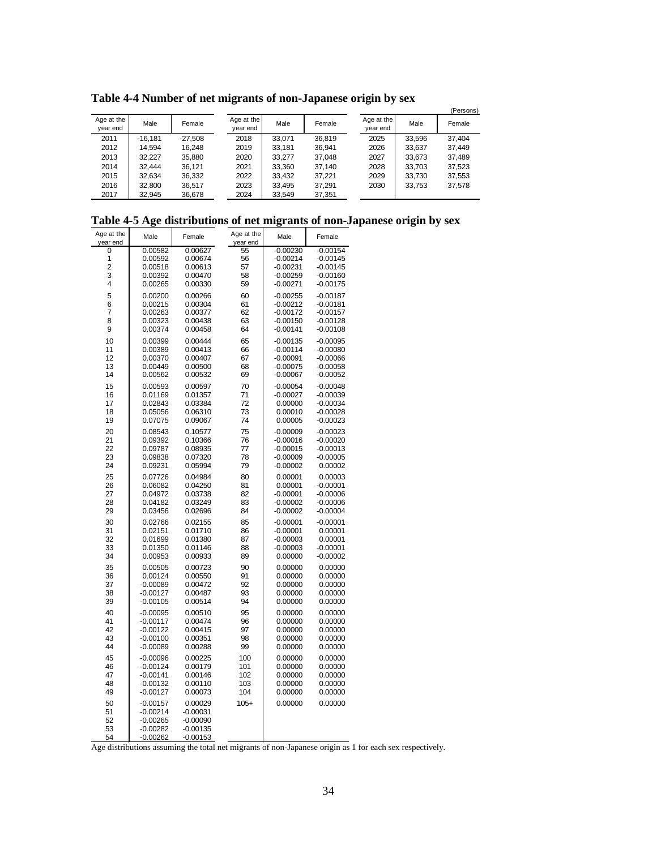**Table 4-4 Number of net migrants of non-Japanese origin by sex**

|                        |         |           |                        |        |        |                        |        | (Persons) |
|------------------------|---------|-----------|------------------------|--------|--------|------------------------|--------|-----------|
| Age at the<br>year end | Male    | Female    | Age at the<br>year end | Male   | Female | Age at the<br>year end | Male   | Female    |
| 2011                   | -16.181 | $-27.508$ | 2018                   | 33.071 | 36.819 | 2025                   | 33.596 | 37.404    |
| 2012                   | 14.594  | 16.248    | 2019                   | 33.181 | 36.941 | 2026                   | 33.637 | 37.449    |
| 2013                   | 32.227  | 35.880    | 2020                   | 33.277 | 37.048 | 2027                   | 33.673 | 37.489    |
| 2014                   | 32.444  | 36.121    | 2021                   | 33.360 | 37.140 | 2028                   | 33.703 | 37,523    |
| 2015                   | 32.634  | 36,332    | 2022                   | 33.432 | 37.221 | 2029                   | 33.730 | 37,553    |
| 2016                   | 32.800  | 36.517    | 2023                   | 33.495 | 37.291 | 2030                   | 33,753 | 37,578    |
| 2017                   | 32,945  | 36,678    | 2024                   | 33.549 | 37,351 |                        |        |           |

#### **Table 4-5 Age distributions of net migrants of non-Japanese origin by sex**

| Age at the<br>year end | Male                     | Female                   | Age at the<br>year end | Male       | Female     |
|------------------------|--------------------------|--------------------------|------------------------|------------|------------|
| 0                      | 0.00582                  | 0.00627                  | 55                     | $-0.00230$ | $-0.00154$ |
| 1                      | 0.00592                  | 0.00674                  | 56                     | $-0.00214$ | $-0.00145$ |
| 2                      | 0.00518                  | 0.00613                  | 57                     | $-0.00231$ | $-0.00145$ |
| 3                      | 0.00392                  | 0.00470                  | 58                     | $-0.00259$ | $-0.00160$ |
| 4                      | 0.00265                  | 0.00330                  | 59                     | $-0.00271$ | $-0.00175$ |
|                        |                          |                          |                        |            |            |
| 5                      | 0.00200                  | 0.00266                  | 60                     | $-0.00255$ | $-0.00187$ |
| 6                      | 0.00215                  | 0.00304                  | 61                     | $-0.00212$ | $-0.00181$ |
| 7                      | 0.00263                  | 0.00377                  | 62                     | $-0.00172$ | $-0.00157$ |
| 8                      | 0.00323                  | 0.00438                  | 63                     | $-0.00150$ | $-0.00128$ |
| 9                      | 0.00374                  | 0.00458                  | 64                     | $-0.00141$ | $-0.00108$ |
| 10                     | 0.00399                  | 0.00444                  | 65                     | $-0.00135$ | $-0.00095$ |
| 11                     | 0.00389                  | 0.00413                  | 66                     | $-0.00114$ | $-0.00080$ |
| 12                     | 0.00370                  | 0.00407                  | 67                     | $-0.00091$ | $-0.00066$ |
| 13                     | 0.00449                  | 0.00500                  | 68                     | $-0.00075$ | $-0.00058$ |
| 14                     | 0.00562                  | 0.00532                  | 69                     | $-0.00067$ | $-0.00052$ |
| 15                     | 0.00593                  | 0.00597                  | 70                     | $-0.00054$ | $-0.00048$ |
| 16                     | 0.01169                  | 0.01357                  | 71                     | $-0.00027$ | $-0.00039$ |
| 17                     | 0.02843                  | 0.03384                  | 72                     | 0.00000    | $-0.00034$ |
| 18                     | 0.05056                  | 0.06310                  | 73                     | 0.00010    | $-0.00028$ |
|                        |                          |                          |                        |            |            |
| 19                     | 0.07075                  | 0.09067                  | 74                     | 0.00005    | $-0.00023$ |
| 20                     | 0.08543                  | 0.10577                  | 75                     | $-0.00009$ | $-0.00023$ |
| 21                     | 0.09392                  | 0.10366                  | 76                     | $-0.00016$ | $-0.00020$ |
| 22                     | 0.09787                  | 0.08935                  | 77                     | $-0.00015$ | $-0.00013$ |
| 23                     | 0.09838                  | 0.07320                  | 78                     | $-0.00009$ | $-0.00005$ |
| 24                     | 0.09231                  | 0.05994                  | 79                     | $-0.00002$ | 0.00002    |
| 25                     | 0.07726                  | 0.04984                  | 80                     | 0.00001    | 0.00003    |
| 26                     | 0.06082                  | 0.04250                  | 81                     | 0.00001    | $-0.00001$ |
| 27                     | 0.04972                  | 0.03738                  | 82                     | $-0.00001$ | $-0.00006$ |
| 28                     | 0.04182                  | 0.03249                  | 83                     | $-0.00002$ | $-0.00006$ |
| 29                     | 0.03456                  | 0.02696                  | 84                     | $-0.00002$ | $-0.00004$ |
| 30                     | 0.02766                  | 0.02155                  | 85                     | $-0.00001$ | $-0.00001$ |
| 31                     | 0.02151                  | 0.01710                  | 86                     | $-0.00001$ | 0.00001    |
| 32                     | 0.01699                  | 0.01380                  | 87                     | $-0.00003$ | 0.00001    |
| 33                     | 0.01350                  | 0.01146                  | 88                     | $-0.00003$ | $-0.00001$ |
| 34                     |                          |                          | 89                     | 0.00000    |            |
|                        | 0.00953                  | 0.00933                  |                        |            | $-0.00002$ |
| 35                     | 0.00505                  | 0.00723                  | 90                     | 0.00000    | 0.00000    |
| 36                     | 0.00124                  | 0.00550                  | 91                     | 0.00000    | 0.00000    |
| 37                     | $-0.00089$               | 0.00472                  | 92                     | 0.00000    | 0.00000    |
| 38                     | $-0.00127$               | 0.00487                  | 93                     | 0.00000    | 0.00000    |
| 39                     | $-0.00105$               | 0.00514                  | 94                     | 0.00000    | 0.00000    |
| 40                     | $-0.00095$               | 0.00510                  | 95                     | 0.00000    | 0.00000    |
| 41                     | $-0.00117$               | 0.00474                  | 96                     | 0.00000    | 0.00000    |
| 42                     | $-0.00122$               | 0.00415                  | 97                     | 0.00000    | 0.00000    |
| 43                     | $-0.00100$               | 0.00351                  | 98                     | 0.00000    | 0.00000    |
| 44                     | $-0.00089$               | 0.00288                  | 99                     | 0.00000    | 0.00000    |
| 45                     | $-0.00096$               | 0.00225                  | 100                    | 0.00000    | 0.00000    |
| 46                     | $-0.00124$               | 0.00179                  | 101                    | 0.00000    | 0.00000    |
| 47                     | $-0.00141$               | 0.00146                  | 102                    | 0.00000    | 0.00000    |
| 48                     | $-0.00132$               | 0.00110                  | 103                    | 0.00000    | 0.00000    |
| 49                     | $-0.00127$               | 0.00073                  | 104                    | 0.00000    | 0.00000    |
| 50                     |                          |                          | $105+$                 | 0.00000    | 0.00000    |
| 51                     | $-0.00157$<br>$-0.00214$ | 0.00029                  |                        |            |            |
| 52                     |                          | $-0.00031$<br>$-0.00090$ |                        |            |            |
| 53                     | $-0.00265$<br>$-0.00282$ | $-0.00135$               |                        |            |            |
|                        |                          |                          |                        |            |            |
| 54                     | $-0.00262$               | $-0.00153$               |                        |            |            |

Age distributions assuming the total net migrants of non-Japanese origin as 1 for each sex respectively.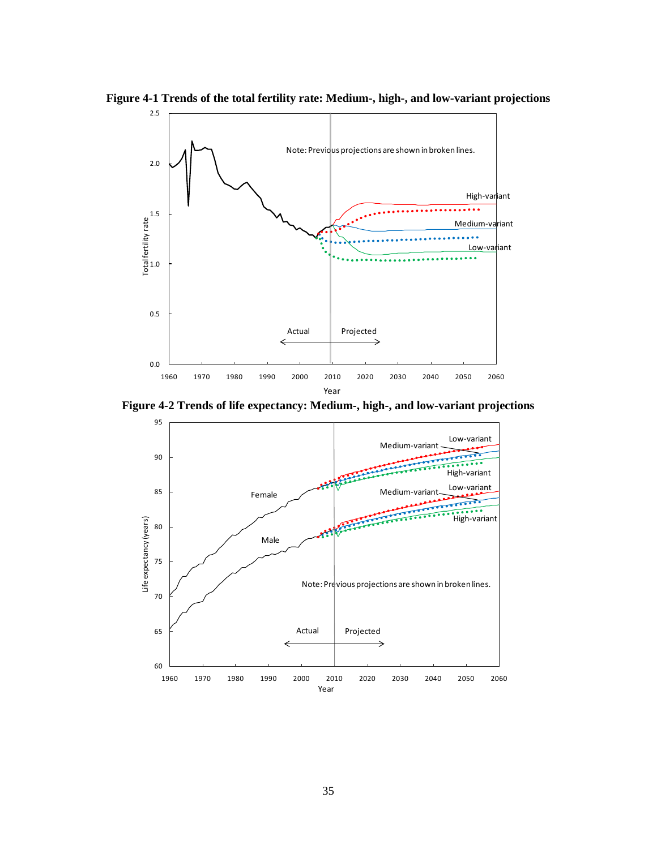



**Figure 4-2 Trends of life expectancy: Medium-, high-, and low-variant projections**

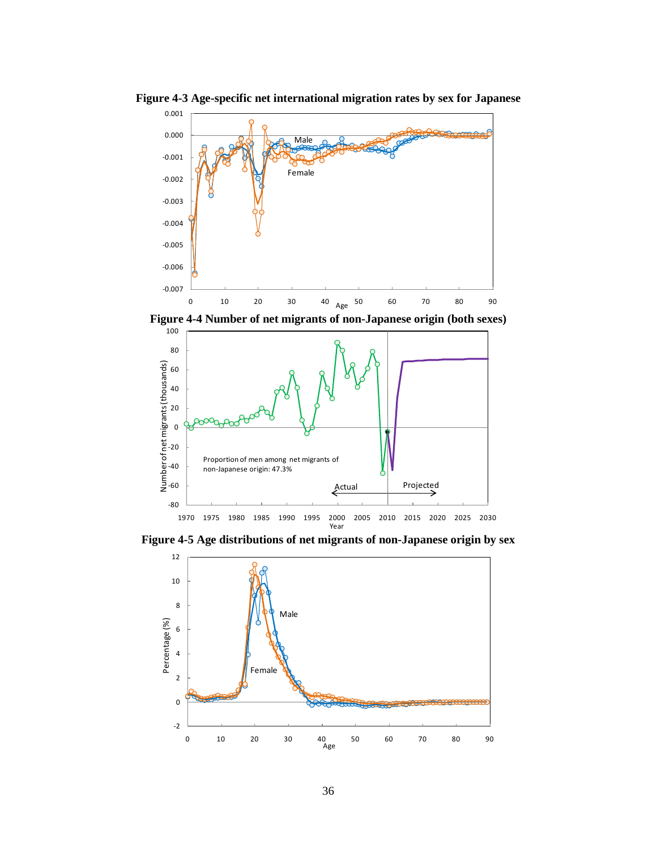

**Figure 4-3 Age-specific net international migration rates by sex for Japanese**





**Figure 4-5 Age distributions of net migrants of non-Japanese origin by sex**

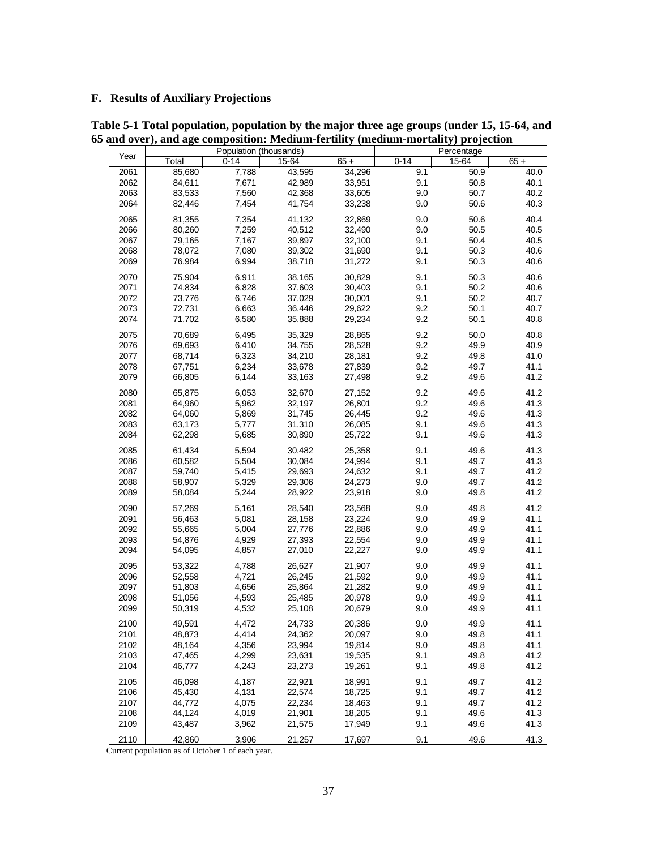## **F. Results of Auxiliary Projections**

|      |        | Population (thousands) |        |        | Percentage |       |        |  |
|------|--------|------------------------|--------|--------|------------|-------|--------|--|
| Year | Total  | $0 - 14$               | 15-64  | $65 +$ | $0 - 14$   | 15-64 | $65 +$ |  |
| 2061 | 85,680 | 7,788                  | 43,595 | 34,296 | 9.1        | 50.9  | 40.0   |  |
| 2062 | 84,611 | 7,671                  | 42,989 | 33,951 | 9.1        | 50.8  | 40.1   |  |
| 2063 | 83,533 | 7,560                  | 42,368 | 33,605 | 9.0        | 50.7  | 40.2   |  |
| 2064 | 82,446 | 7,454                  | 41,754 | 33,238 | 9.0        | 50.6  | 40.3   |  |
|      |        |                        |        |        |            |       |        |  |
| 2065 | 81,355 | 7,354                  | 41,132 | 32,869 | 9.0        | 50.6  | 40.4   |  |
| 2066 | 80,260 | 7,259                  | 40,512 | 32,490 | 9.0        | 50.5  | 40.5   |  |
| 2067 | 79,165 | 7,167                  | 39,897 | 32,100 | 9.1        | 50.4  | 40.5   |  |
| 2068 | 78,072 | 7,080                  | 39,302 | 31,690 | 9.1        | 50.3  | 40.6   |  |
| 2069 | 76,984 | 6,994                  | 38,718 | 31,272 | 9.1        | 50.3  | 40.6   |  |
| 2070 | 75,904 | 6,911                  | 38,165 | 30,829 | 9.1        | 50.3  | 40.6   |  |
| 2071 | 74,834 | 6,828                  | 37,603 | 30,403 | 9.1        | 50.2  | 40.6   |  |
| 2072 | 73,776 | 6,746                  | 37,029 | 30,001 | 9.1        | 50.2  | 40.7   |  |
| 2073 | 72,731 | 6,663                  | 36,446 | 29,622 | 9.2        | 50.1  | 40.7   |  |
| 2074 | 71,702 | 6,580                  | 35,888 | 29,234 | 9.2        | 50.1  | 40.8   |  |
| 2075 | 70,689 | 6,495                  | 35,329 | 28,865 | 9.2        | 50.0  | 40.8   |  |
| 2076 | 69,693 | 6,410                  | 34,755 | 28,528 | 9.2        | 49.9  | 40.9   |  |
| 2077 | 68,714 | 6,323                  | 34,210 | 28,181 | 9.2        | 49.8  | 41.0   |  |
| 2078 | 67,751 | 6,234                  | 33,678 | 27,839 | 9.2        | 49.7  | 41.1   |  |
| 2079 | 66,805 | 6,144                  | 33,163 | 27,498 | 9.2        | 49.6  | 41.2   |  |
| 2080 | 65,875 | 6,053                  | 32,670 | 27,152 | 9.2        | 49.6  | 41.2   |  |
| 2081 | 64,960 | 5,962                  | 32,197 | 26,801 | 9.2        | 49.6  | 41.3   |  |
| 2082 | 64,060 | 5,869                  | 31,745 | 26,445 | 9.2        | 49.6  | 41.3   |  |
| 2083 | 63,173 | 5,777                  | 31,310 | 26,085 | 9.1        | 49.6  | 41.3   |  |
| 2084 | 62,298 | 5,685                  | 30,890 | 25,722 | 9.1        | 49.6  | 41.3   |  |
|      |        |                        |        |        |            |       |        |  |
| 2085 | 61,434 | 5,594                  | 30,482 | 25,358 | 9.1        | 49.6  | 41.3   |  |
| 2086 | 60,582 | 5,504                  | 30,084 | 24,994 | 9.1        | 49.7  | 41.3   |  |
| 2087 | 59,740 | 5,415                  | 29,693 | 24,632 | 9.1        | 49.7  | 41.2   |  |
| 2088 | 58,907 | 5,329                  | 29,306 | 24,273 | 9.0        | 49.7  | 41.2   |  |
| 2089 | 58,084 | 5,244                  | 28,922 | 23,918 | 9.0        | 49.8  | 41.2   |  |
| 2090 | 57,269 | 5,161                  | 28,540 | 23,568 | 9.0        | 49.8  | 41.2   |  |
| 2091 | 56,463 | 5,081                  | 28,158 | 23,224 | 9.0        | 49.9  | 41.1   |  |
| 2092 | 55,665 | 5,004                  | 27,776 | 22,886 | 9.0        | 49.9  | 41.1   |  |
| 2093 | 54,876 | 4,929                  | 27,393 | 22,554 | 9.0        | 49.9  | 41.1   |  |
| 2094 | 54,095 | 4,857                  | 27,010 | 22,227 | 9.0        | 49.9  | 41.1   |  |
| 2095 | 53,322 | 4,788                  | 26,627 | 21,907 | 9.0        | 49.9  | 41.1   |  |
| 2096 | 52,558 | 4,721                  | 26,245 | 21,592 | 9.0        | 49.9  | 41.1   |  |
| 2097 | 51,803 | 4,656                  | 25,864 | 21,282 | 9.0        | 49.9  | 41.1   |  |
| 2098 | 51,056 | 4,593                  | 25,485 | 20,978 | 9.0        | 49.9  | 41.1   |  |
| 2099 | 50,319 | 4,532                  | 25,108 | 20,679 | 9.0        | 49.9  | 41.1   |  |
| 2100 | 49,591 | 4,472                  | 24,733 | 20,386 | 9.0        | 49.9  | 41.1   |  |
| 2101 | 48,873 | 4,414                  | 24,362 | 20,097 | 9.0        | 49.8  | 41.1   |  |
| 2102 | 48,164 | 4,356                  | 23,994 | 19,814 | 9.0        | 49.8  | 41.1   |  |
| 2103 | 47,465 | 4,299                  | 23,631 | 19,535 | 9.1        | 49.8  | 41.2   |  |
| 2104 | 46,777 | 4,243                  | 23,273 | 19,261 | 9.1        | 49.8  | 41.2   |  |
|      |        |                        |        |        |            |       |        |  |
| 2105 | 46,098 | 4,187                  | 22,921 | 18,991 | 9.1        | 49.7  | 41.2   |  |
| 2106 | 45,430 | 4,131                  | 22,574 | 18,725 | 9.1        | 49.7  | 41.2   |  |
| 2107 | 44,772 | 4,075                  | 22,234 | 18,463 | 9.1        | 49.7  | 41.2   |  |
| 2108 | 44,124 | 4,019                  | 21,901 | 18,205 | 9.1        | 49.6  | 41.3   |  |
| 2109 | 43,487 | 3,962                  | 21,575 | 17,949 | 9.1        | 49.6  | 41.3   |  |
| 2110 | 42,860 | 3,906                  | 21,257 | 17,697 | 9.1        | 49.6  | 41.3   |  |

**Table 5-1 Total population, population by the major three age groups (under 15, 15-64, and 65 and over), and age composition: Medium-fertility (medium-mortality) projection**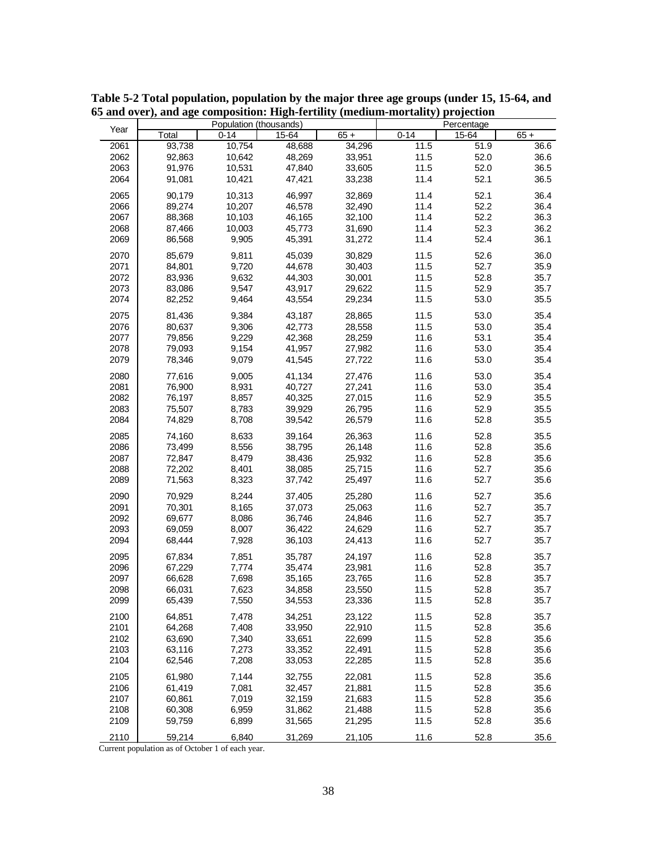|      |        | Population (thousands) |        |        | Percentage |       |        |  |
|------|--------|------------------------|--------|--------|------------|-------|--------|--|
| Year | Total  | $0 - 14$               | 15-64  | $65 +$ | $0 - 14$   | 15-64 | $65 +$ |  |
| 2061 | 93,738 | 10,754                 | 48,688 | 34,296 | 11.5       | 51.9  | 36.6   |  |
| 2062 | 92,863 | 10,642                 | 48,269 | 33,951 | 11.5       | 52.0  | 36.6   |  |
| 2063 | 91,976 | 10,531                 | 47,840 | 33,605 | 11.5       | 52.0  | 36.5   |  |
| 2064 | 91,081 | 10,421                 | 47,421 | 33,238 | 11.4       | 52.1  | 36.5   |  |
| 2065 | 90,179 | 10,313                 | 46,997 | 32.869 | 11.4       | 52.1  | 36.4   |  |
|      |        |                        |        |        | 11.4       |       |        |  |
| 2066 | 89,274 | 10,207                 | 46,578 | 32,490 |            | 52.2  | 36.4   |  |
| 2067 | 88,368 | 10,103                 | 46,165 | 32,100 | 11.4       | 52.2  | 36.3   |  |
| 2068 | 87,466 | 10,003                 | 45,773 | 31,690 | 11.4       | 52.3  | 36.2   |  |
| 2069 | 86,568 | 9,905                  | 45,391 | 31,272 | 11.4       | 52.4  | 36.1   |  |
| 2070 | 85.679 | 9,811                  | 45,039 | 30,829 | 11.5       | 52.6  | 36.0   |  |
| 2071 | 84,801 | 9,720                  | 44,678 | 30,403 | 11.5       | 52.7  | 35.9   |  |
| 2072 | 83,936 | 9,632                  | 44,303 | 30,001 | 11.5       | 52.8  | 35.7   |  |
| 2073 | 83,086 | 9,547                  | 43,917 | 29,622 | 11.5       | 52.9  | 35.7   |  |
| 2074 | 82,252 | 9,464                  | 43,554 | 29,234 | 11.5       | 53.0  | 35.5   |  |
| 2075 | 81,436 | 9,384                  | 43,187 | 28,865 | 11.5       | 53.0  | 35.4   |  |
| 2076 | 80,637 | 9,306                  | 42,773 | 28,558 | 11.5       | 53.0  | 35.4   |  |
| 2077 | 79,856 | 9,229                  | 42,368 | 28,259 | 11.6       | 53.1  | 35.4   |  |
| 2078 | 79,093 | 9,154                  | 41,957 | 27,982 | 11.6       | 53.0  | 35.4   |  |
| 2079 | 78,346 | 9,079                  | 41,545 | 27,722 | 11.6       | 53.0  | 35.4   |  |
| 2080 | 77,616 | 9,005                  | 41,134 | 27,476 | 11.6       | 53.0  | 35.4   |  |
| 2081 | 76,900 | 8,931                  | 40,727 | 27,241 | 11.6       | 53.0  | 35.4   |  |
| 2082 | 76,197 | 8,857                  | 40,325 | 27,015 | 11.6       | 52.9  | 35.5   |  |
| 2083 | 75,507 | 8,783                  | 39,929 | 26,795 | 11.6       | 52.9  | 35.5   |  |
| 2084 | 74,829 | 8,708                  | 39,542 | 26,579 | 11.6       | 52.8  | 35.5   |  |
|      |        |                        |        |        |            |       |        |  |
| 2085 | 74,160 | 8,633                  | 39,164 | 26,363 | 11.6       | 52.8  | 35.5   |  |
| 2086 | 73,499 | 8,556                  | 38,795 | 26,148 | 11.6       | 52.8  | 35.6   |  |
| 2087 | 72,847 | 8,479                  | 38,436 | 25,932 | 11.6       | 52.8  | 35.6   |  |
| 2088 | 72,202 | 8,401                  | 38,085 | 25,715 | 11.6       | 52.7  | 35.6   |  |
| 2089 | 71,563 | 8,323                  | 37,742 | 25,497 | 11.6       | 52.7  | 35.6   |  |
| 2090 | 70,929 | 8,244                  | 37,405 | 25,280 | 11.6       | 52.7  | 35.6   |  |
| 2091 | 70,301 | 8,165                  | 37,073 | 25,063 | 11.6       | 52.7  | 35.7   |  |
| 2092 | 69,677 | 8,086                  | 36,746 | 24,846 | 11.6       | 52.7  | 35.7   |  |
| 2093 | 69,059 | 8,007                  | 36,422 | 24,629 | 11.6       | 52.7  | 35.7   |  |
| 2094 | 68,444 | 7,928                  | 36,103 | 24,413 | 11.6       | 52.7  | 35.7   |  |
| 2095 | 67.834 | 7,851                  | 35,787 | 24,197 | 11.6       | 52.8  | 35.7   |  |
| 2096 | 67,229 | 7,774                  | 35,474 | 23,981 | 11.6       | 52.8  | 35.7   |  |
| 2097 | 66,628 | 7,698                  | 35,165 | 23,765 | 11.6       | 52.8  | 35.7   |  |
| 2098 | 66,031 | 7,623                  | 34,858 | 23,550 | 11.5       | 52.8  | 35.7   |  |
| 2099 | 65,439 | 7,550                  | 34,553 | 23,336 | 11.5       | 52.8  | 35.7   |  |
|      |        |                        |        |        |            |       |        |  |
| 2100 | 64,851 | 7,478                  | 34,251 | 23,122 | 11.5       | 52.8  | 35.7   |  |
| 2101 | 64,268 | 7,408                  | 33,950 | 22,910 | 11.5       | 52.8  | 35.6   |  |
| 2102 | 63,690 | 7,340                  | 33,651 | 22,699 | 11.5       | 52.8  | 35.6   |  |
| 2103 | 63,116 | 7,273                  | 33,352 | 22,491 | 11.5       | 52.8  | 35.6   |  |
| 2104 | 62,546 | 7,208                  | 33,053 | 22,285 | 11.5       | 52.8  | 35.6   |  |
| 2105 | 61,980 | 7,144                  | 32,755 | 22,081 | 11.5       | 52.8  | 35.6   |  |
| 2106 | 61,419 | 7,081                  | 32,457 | 21,881 | 11.5       | 52.8  | 35.6   |  |
| 2107 | 60,861 | 7,019                  | 32,159 | 21,683 | 11.5       | 52.8  | 35.6   |  |
| 2108 | 60,308 | 6,959                  | 31,862 | 21,488 | 11.5       | 52.8  | 35.6   |  |
| 2109 | 59,759 | 6,899                  | 31,565 | 21,295 | 11.5       | 52.8  | 35.6   |  |
| 2110 | 59,214 | 6,840                  | 31,269 | 21,105 | 11.6       | 52.8  | 35.6   |  |

**Table 5-2 Total population, population by the major three age groups (under 15, 15-64, and 65 and over), and age composition: High-fertility (medium-mortality) projection**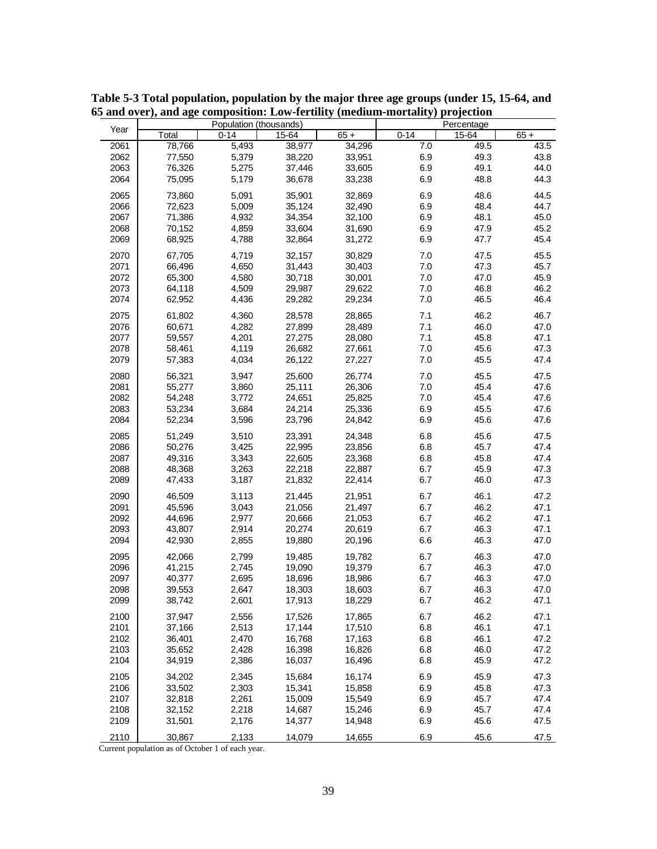|      |        | Population (thousands) |        |        |          | Percentage |        |
|------|--------|------------------------|--------|--------|----------|------------|--------|
| Year | Total  | $0 - 14$               | 15-64  | $65 +$ | $0 - 14$ | 15-64      | $65 +$ |
| 2061 | 78,766 | 5,493                  | 38,977 | 34,296 | 7.0      | 49.5       | 43.5   |
| 2062 | 77,550 | 5,379                  | 38,220 | 33,951 | 6.9      | 49.3       | 43.8   |
| 2063 | 76,326 | 5,275                  | 37,446 | 33,605 | 6.9      | 49.1       | 44.0   |
| 2064 | 75,095 | 5,179                  | 36,678 | 33,238 | 6.9      | 48.8       | 44.3   |
|      |        |                        |        |        |          |            | 44.5   |
| 2065 | 73,860 | 5,091                  | 35,901 | 32,869 | 6.9      | 48.6       |        |
| 2066 | 72,623 | 5,009                  | 35,124 | 32,490 | 6.9      | 48.4       | 44.7   |
| 2067 | 71,386 | 4,932                  | 34,354 | 32,100 | 6.9      | 48.1       | 45.0   |
| 2068 | 70,152 | 4,859                  | 33,604 | 31,690 | 6.9      | 47.9       | 45.2   |
| 2069 | 68,925 | 4,788                  | 32,864 | 31,272 | 6.9      | 47.7       | 45.4   |
| 2070 | 67,705 | 4,719                  | 32,157 | 30,829 | 7.0      | 47.5       | 45.5   |
| 2071 | 66,496 | 4,650                  | 31,443 | 30,403 | 7.0      | 47.3       | 45.7   |
| 2072 | 65,300 | 4,580                  | 30,718 | 30,001 | 7.0      | 47.0       | 45.9   |
| 2073 | 64,118 | 4,509                  | 29,987 | 29,622 | 7.0      | 46.8       | 46.2   |
| 2074 | 62,952 | 4,436                  | 29,282 | 29,234 | 7.0      | 46.5       | 46.4   |
|      |        |                        |        |        |          |            | 46.7   |
| 2075 | 61,802 | 4,360                  | 28,578 | 28,865 | 7.1      | 46.2       | 47.0   |
| 2076 | 60,671 | 4,282                  | 27,899 | 28,489 | 7.1      | 46.0       |        |
| 2077 | 59,557 | 4,201                  | 27,275 | 28,080 | 7.1      | 45.8       | 47.1   |
| 2078 | 58,461 | 4,119                  | 26,682 | 27,661 | 7.0      | 45.6       | 47.3   |
| 2079 | 57,383 | 4,034                  | 26,122 | 27,227 | 7.0      | 45.5       | 47.4   |
| 2080 | 56,321 | 3,947                  | 25,600 | 26,774 | 7.0      | 45.5       | 47.5   |
| 2081 | 55,277 | 3,860                  | 25,111 | 26,306 | 7.0      | 45.4       | 47.6   |
| 2082 | 54,248 | 3,772                  | 24,651 | 25,825 | 7.0      | 45.4       | 47.6   |
| 2083 | 53,234 | 3,684                  | 24,214 | 25,336 | 6.9      | 45.5       | 47.6   |
| 2084 | 52,234 | 3,596                  | 23,796 | 24,842 | 6.9      | 45.6       | 47.6   |
| 2085 | 51,249 | 3,510                  | 23,391 | 24,348 | 6.8      | 45.6       | 47.5   |
| 2086 | 50,276 | 3,425                  | 22,995 | 23,856 | 6.8      | 45.7       | 47.4   |
| 2087 | 49,316 | 3,343                  | 22,605 | 23,368 | 6.8      | 45.8       | 47.4   |
| 2088 | 48,368 | 3,263                  | 22,218 | 22,887 | 6.7      | 45.9       | 47.3   |
| 2089 | 47,433 | 3,187                  | 21,832 | 22,414 | 6.7      | 46.0       | 47.3   |
| 2090 | 46,509 | 3,113                  | 21,445 | 21,951 | 6.7      | 46.1       | 47.2   |
| 2091 | 45,596 | 3,043                  | 21,056 | 21,497 | 6.7      | 46.2       | 47.1   |
| 2092 | 44,696 | 2,977                  | 20,666 | 21,053 | 6.7      | 46.2       | 47.1   |
| 2093 | 43,807 | 2,914                  | 20,274 | 20,619 | 6.7      | 46.3       | 47.1   |
| 2094 | 42,930 | 2,855                  | 19,880 | 20,196 | 6.6      | 46.3       | 47.0   |
|      |        |                        |        |        |          |            |        |
| 2095 | 42,066 | 2,799                  | 19,485 | 19,782 | 6.7      | 46.3       | 47.0   |
| 2096 | 41,215 | 2,745                  | 19,090 | 19,379 | 6.7      | 46.3       | 47.0   |
| 2097 | 40,377 | 2,695                  | 18,696 | 18,986 | 6.7      | 46.3       | 47.0   |
| 2098 | 39,553 | 2,647                  | 18,303 | 18,603 | 6.7      | 46.3       | 47.0   |
| 2099 | 38,742 | 2,601                  | 17,913 | 18,229 | 6.7      | 46.2       | 47.1   |
| 2100 | 37,947 | 2,556                  | 17,526 | 17,865 | 6.7      | 46.2       | 47.1   |
| 2101 | 37,166 | 2,513                  | 17,144 | 17,510 | 6.8      | 46.1       | 47.1   |
| 2102 | 36,401 | 2,470                  | 16,768 | 17,163 | 6.8      | 46.1       | 47.2   |
| 2103 | 35,652 | 2,428                  | 16,398 | 16,826 | 6.8      | 46.0       | 47.2   |
| 2104 | 34,919 | 2,386                  | 16,037 | 16,496 | 6.8      | 45.9       | 47.2   |
| 2105 | 34,202 | 2,345                  | 15,684 | 16,174 | 6.9      | 45.9       | 47.3   |
| 2106 | 33,502 | 2,303                  | 15,341 | 15,858 | 6.9      | 45.8       | 47.3   |
| 2107 | 32,818 | 2,261                  | 15,009 | 15,549 | 6.9      | 45.7       | 47.4   |
| 2108 | 32,152 | 2,218                  | 14,687 | 15,246 | 6.9      | 45.7       | 47.4   |
| 2109 | 31,501 | 2,176                  | 14,377 | 14,948 | 6.9      | 45.6       | 47.5   |
| 2110 | 30,867 | 2,133                  | 14,079 | 14,655 | 6.9      | 45.6       | 47.5   |

**Table 5-3 Total population, population by the major three age groups (under 15, 15-64, and 65 and over), and age composition: Low-fertility (medium-mortality) projection**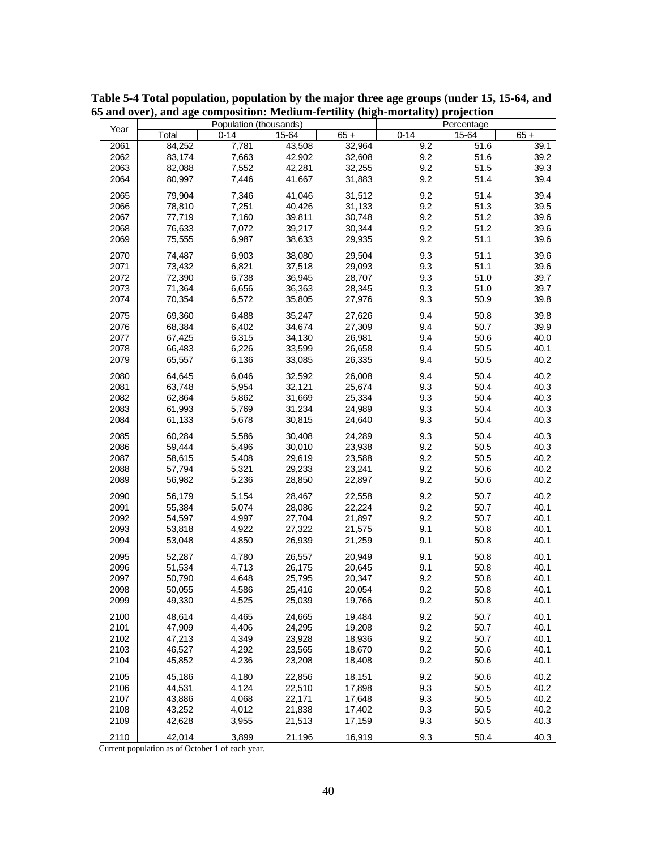|      |        | Population (thousands) |        |        |          | Percentage |        |
|------|--------|------------------------|--------|--------|----------|------------|--------|
| Year | Total  | $0 - 14$               | 15-64  | $65 +$ | $0 - 14$ | 15-64      | $65 +$ |
| 2061 | 84,252 | 7,781                  | 43,508 | 32,964 | 9.2      | 51.6       | 39.1   |
| 2062 | 83,174 | 7,663                  | 42,902 | 32,608 | 9.2      | 51.6       | 39.2   |
| 2063 | 82,088 | 7,552                  | 42,281 | 32,255 | 9.2      | 51.5       | 39.3   |
| 2064 | 80,997 | 7,446                  | 41,667 | 31,883 | 9.2      | 51.4       | 39.4   |
| 2065 | 79,904 | 7,346                  | 41,046 | 31,512 | 9.2      | 51.4       | 39.4   |
| 2066 | 78,810 | 7,251                  | 40,426 | 31,133 | 9.2      | 51.3       | 39.5   |
| 2067 | 77,719 | 7,160                  | 39,811 | 30,748 | 9.2      | 51.2       | 39.6   |
| 2068 | 76,633 | 7,072                  | 39,217 | 30,344 | 9.2      | 51.2       | 39.6   |
| 2069 | 75,555 | 6,987                  | 38,633 | 29,935 | 9.2      | 51.1       | 39.6   |
| 2070 | 74,487 | 6,903                  | 38,080 | 29,504 | 9.3      | 51.1       | 39.6   |
| 2071 | 73,432 | 6,821                  | 37,518 | 29,093 | 9.3      | 51.1       | 39.6   |
| 2072 | 72,390 | 6,738                  | 36,945 | 28,707 | 9.3      | 51.0       | 39.7   |
| 2073 | 71,364 | 6,656                  | 36,363 | 28,345 | 9.3      | 51.0       | 39.7   |
| 2074 | 70,354 | 6,572                  | 35,805 | 27,976 | 9.3      | 50.9       | 39.8   |
| 2075 | 69,360 | 6,488                  | 35,247 | 27,626 | 9.4      | 50.8       | 39.8   |
| 2076 | 68,384 | 6,402                  | 34,674 | 27,309 | 9.4      | 50.7       | 39.9   |
| 2077 | 67,425 | 6,315                  | 34,130 | 26,981 | 9.4      | 50.6       | 40.0   |
| 2078 | 66,483 | 6,226                  | 33,599 | 26,658 | 9.4      | 50.5       | 40.1   |
| 2079 | 65,557 | 6,136                  | 33,085 | 26,335 | 9.4      | 50.5       | 40.2   |
| 2080 | 64,645 | 6,046                  | 32,592 | 26,008 | 9.4      | 50.4       | 40.2   |
| 2081 | 63,748 | 5,954                  | 32,121 | 25,674 | 9.3      | 50.4       | 40.3   |
| 2082 | 62,864 | 5,862                  | 31,669 | 25,334 | 9.3      | 50.4       | 40.3   |
| 2083 | 61,993 | 5,769                  | 31,234 | 24,989 | 9.3      | 50.4       | 40.3   |
| 2084 |        | 5,678                  |        | 24,640 | 9.3      | 50.4       | 40.3   |
|      | 61,133 |                        | 30,815 |        |          |            |        |
| 2085 | 60,284 | 5,586                  | 30,408 | 24,289 | 9.3      | 50.4       | 40.3   |
| 2086 | 59,444 | 5,496                  | 30,010 | 23,938 | 9.2      | 50.5       | 40.3   |
| 2087 | 58,615 | 5,408                  | 29,619 | 23,588 | 9.2      | 50.5       | 40.2   |
| 2088 | 57,794 | 5,321                  | 29,233 | 23,241 | 9.2      | 50.6       | 40.2   |
| 2089 | 56,982 | 5,236                  | 28,850 | 22,897 | 9.2      | $50.6\,$   | 40.2   |
| 2090 | 56,179 | 5,154                  | 28,467 | 22,558 | 9.2      | 50.7       | 40.2   |
| 2091 | 55,384 | 5,074                  | 28,086 | 22,224 | 9.2      | 50.7       | 40.1   |
| 2092 | 54,597 | 4,997                  | 27,704 | 21,897 | 9.2      | 50.7       | 40.1   |
| 2093 | 53,818 | 4,922                  | 27,322 | 21,575 | 9.1      | 50.8       | 40.1   |
| 2094 | 53,048 | 4,850                  | 26,939 | 21,259 | 9.1      | 50.8       | 40.1   |
| 2095 | 52.287 | 4,780                  | 26,557 | 20,949 | 9.1      | 50.8       | 40.1   |
| 2096 | 51,534 | 4,713                  | 26,175 | 20,645 | 9.1      | 50.8       | 40.1   |
| 2097 | 50,790 | 4,648                  | 25,795 | 20,347 | 9.2      | 50.8       | 40.1   |
| 2098 | 50,055 | 4,586                  | 25,416 | 20,054 | 9.2      | 50.8       | 40.1   |
| 2099 | 49,330 | 4,525                  | 25,039 | 19,766 | 9.2      | 50.8       | 40.1   |
| 2100 | 48,614 | 4,465                  | 24,665 | 19,484 | 9.2      | 50.7       | 40.1   |
| 2101 | 47,909 | 4,406                  | 24,295 | 19,208 | 9.2      | 50.7       | 40.1   |
| 2102 | 47,213 | 4,349                  | 23,928 | 18,936 | 9.2      | 50.7       | 40.1   |
| 2103 | 46,527 | 4,292                  | 23,565 | 18,670 | 9.2      | 50.6       | 40.1   |
| 2104 | 45,852 | 4,236                  | 23,208 | 18,408 | 9.2      | 50.6       | 40.1   |
| 2105 | 45,186 | 4,180                  | 22,856 | 18,151 | 9.2      | 50.6       | 40.2   |
| 2106 | 44,531 | 4,124                  | 22,510 | 17,898 | 9.3      | 50.5       | 40.2   |
| 2107 | 43,886 | 4,068                  | 22,171 | 17,648 | 9.3      | 50.5       | 40.2   |
| 2108 | 43,252 | 4,012                  | 21,838 | 17,402 | 9.3      | 50.5       | 40.2   |
| 2109 | 42,628 | 3,955                  | 21,513 | 17,159 | 9.3      | 50.5       | 40.3   |
| 2110 | 42,014 | 3,899                  | 21,196 | 16,919 | 9.3      | 50.4       | 40.3   |

**Table 5-4 Total population, population by the major three age groups (under 15, 15-64, and 65 and over), and age composition: Medium-fertility (high-mortality) projection**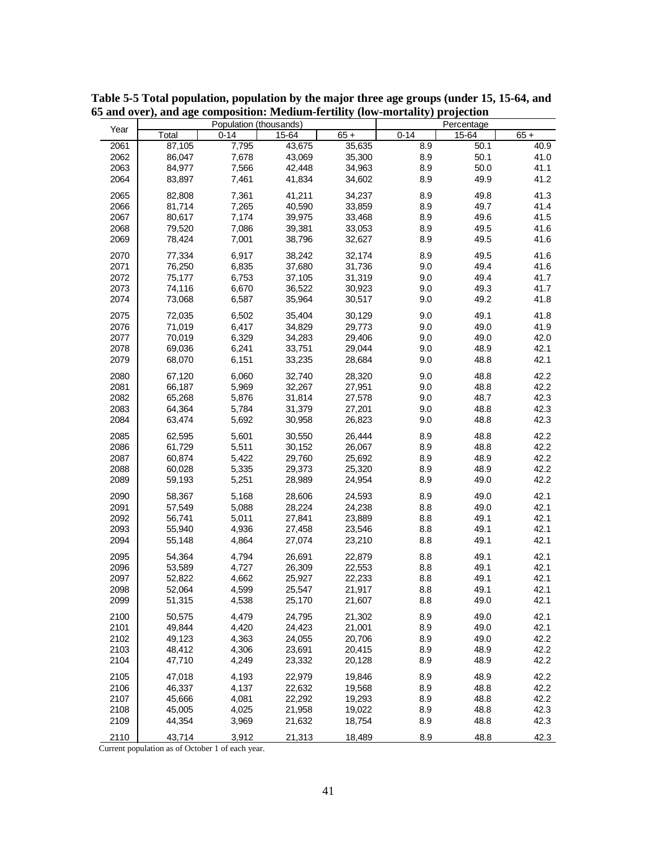|      |        | Population (thousands) |        |        |          | Percentage |        |
|------|--------|------------------------|--------|--------|----------|------------|--------|
| Year | Total  | $0 - 14$               | 15-64  | $65 +$ | $0 - 14$ | 15-64      | $65 +$ |
| 2061 | 87,105 | 7,795                  | 43,675 | 35,635 | 8.9      | 50.1       | 40.9   |
| 2062 | 86,047 | 7,678                  | 43,069 | 35,300 | 8.9      | 50.1       | 41.0   |
| 2063 | 84,977 | 7,566                  | 42,448 | 34,963 | 8.9      | 50.0       | 41.1   |
| 2064 | 83,897 | 7,461                  | 41,834 | 34,602 | 8.9      | 49.9       | 41.2   |
| 2065 | 82,808 | 7,361                  | 41,211 | 34,237 | 8.9      | 49.8       | 41.3   |
| 2066 | 81,714 | 7,265                  | 40,590 | 33,859 | 8.9      | 49.7       | 41.4   |
| 2067 | 80,617 | 7,174                  | 39,975 | 33,468 | 8.9      | 49.6       | 41.5   |
| 2068 | 79,520 | 7,086                  | 39,381 | 33,053 | 8.9      | 49.5       | 41.6   |
| 2069 | 78,424 | 7,001                  | 38,796 | 32,627 | 8.9      | 49.5       | 41.6   |
| 2070 | 77,334 | 6,917                  | 38,242 | 32,174 | 8.9      | 49.5       | 41.6   |
| 2071 | 76,250 | 6,835                  | 37,680 | 31,736 | 9.0      | 49.4       | 41.6   |
| 2072 | 75,177 | 6,753                  | 37,105 | 31,319 | 9.0      | 49.4       | 41.7   |
| 2073 | 74,116 | 6,670                  | 36,522 | 30,923 | 9.0      | 49.3       | 41.7   |
| 2074 | 73,068 | 6,587                  | 35,964 | 30,517 | 9.0      | 49.2       | 41.8   |
| 2075 | 72,035 | 6,502                  | 35,404 | 30,129 | 9.0      | 49.1       | 41.8   |
| 2076 | 71,019 | 6,417                  | 34,829 | 29,773 | 9.0      | 49.0       | 41.9   |
| 2077 | 70,019 | 6,329                  | 34,283 | 29,406 | 9.0      | 49.0       | 42.0   |
| 2078 | 69,036 | 6,241                  | 33,751 | 29,044 | 9.0      | 48.9       | 42.1   |
| 2079 | 68,070 | 6,151                  | 33,235 | 28,684 | 9.0      | 48.8       | 42.1   |
| 2080 | 67,120 | 6,060                  | 32,740 | 28,320 | 9.0      | 48.8       | 42.2   |
| 2081 | 66,187 | 5,969                  | 32,267 | 27,951 | 9.0      | 48.8       | 42.2   |
| 2082 | 65,268 | 5,876                  | 31,814 | 27,578 | 9.0      | 48.7       | 42.3   |
| 2083 | 64,364 | 5,784                  | 31,379 | 27,201 | 9.0      | 48.8       | 42.3   |
| 2084 | 63,474 | 5,692                  | 30,958 | 26,823 | 9.0      | 48.8       | 42.3   |
|      |        |                        |        |        |          |            |        |
| 2085 | 62,595 | 5,601                  | 30,550 | 26,444 | 8.9      | 48.8       | 42.2   |
| 2086 | 61,729 | 5,511                  | 30,152 | 26,067 | 8.9      | 48.8       | 42.2   |
| 2087 | 60,874 | 5,422                  | 29,760 | 25,692 | 8.9      | 48.9       | 42.2   |
| 2088 | 60,028 | 5,335                  | 29,373 | 25,320 | 8.9      | 48.9       | 42.2   |
| 2089 | 59,193 | 5,251                  | 28,989 | 24,954 | 8.9      | 49.0       | 42.2   |
| 2090 | 58,367 | 5,168                  | 28,606 | 24,593 | 8.9      | 49.0       | 42.1   |
| 2091 | 57,549 | 5,088                  | 28,224 | 24,238 | 8.8      | 49.0       | 42.1   |
| 2092 | 56,741 | 5,011                  | 27,841 | 23,889 | 8.8      | 49.1       | 42.1   |
| 2093 | 55,940 | 4,936                  | 27,458 | 23,546 | 8.8      | 49.1       | 42.1   |
| 2094 | 55,148 | 4,864                  | 27,074 | 23,210 | 8.8      | 49.1       | 42.1   |
| 2095 | 54,364 | 4,794                  | 26,691 | 22,879 | 8.8      | 49.1       | 42.1   |
| 2096 | 53,589 | 4,727                  | 26,309 | 22,553 | 8.8      | 49.1       | 42.1   |
| 2097 | 52,822 | 4,662                  | 25,927 | 22,233 | 8.8      | 49.1       | 42.1   |
| 2098 | 52,064 | 4,599                  | 25,547 | 21,917 | 8.8      | 49.1       | 42.1   |
| 2099 | 51,315 | 4,538                  | 25,170 | 21,607 | 8.8      | 49.0       | 42.1   |
| 2100 | 50,575 | 4,479                  | 24,795 | 21,302 | 8.9      | 49.0       | 42.1   |
| 2101 | 49,844 | 4,420                  | 24,423 | 21,001 | 8.9      | 49.0       | 42.1   |
| 2102 | 49,123 | 4,363                  | 24,055 | 20,706 | 8.9      | 49.0       | 42.2   |
| 2103 | 48,412 | 4,306                  | 23,691 | 20,415 | 8.9      | 48.9       | 42.2   |
| 2104 | 47,710 | 4,249                  | 23,332 | 20,128 | 8.9      | 48.9       | 42.2   |
| 2105 | 47,018 | 4,193                  | 22,979 | 19,846 | 8.9      | 48.9       | 42.2   |
| 2106 | 46,337 | 4,137                  | 22,632 | 19,568 | 8.9      | 48.8       | 42.2   |
| 2107 | 45,666 | 4,081                  | 22,292 | 19,293 | 8.9      | 48.8       | 42.2   |
| 2108 | 45,005 | 4,025                  | 21,958 | 19,022 | 8.9      | 48.8       | 42.3   |
| 2109 | 44,354 | 3,969                  | 21,632 | 18,754 | 8.9      | 48.8       | 42.3   |
| 2110 | 43,714 | 3,912                  | 21,313 | 18,489 | 8.9      | 48.8       | 42.3   |

**Table 5-5 Total population, population by the major three age groups (under 15, 15-64, and 65 and over), and age composition: Medium-fertility (low-mortality) projection**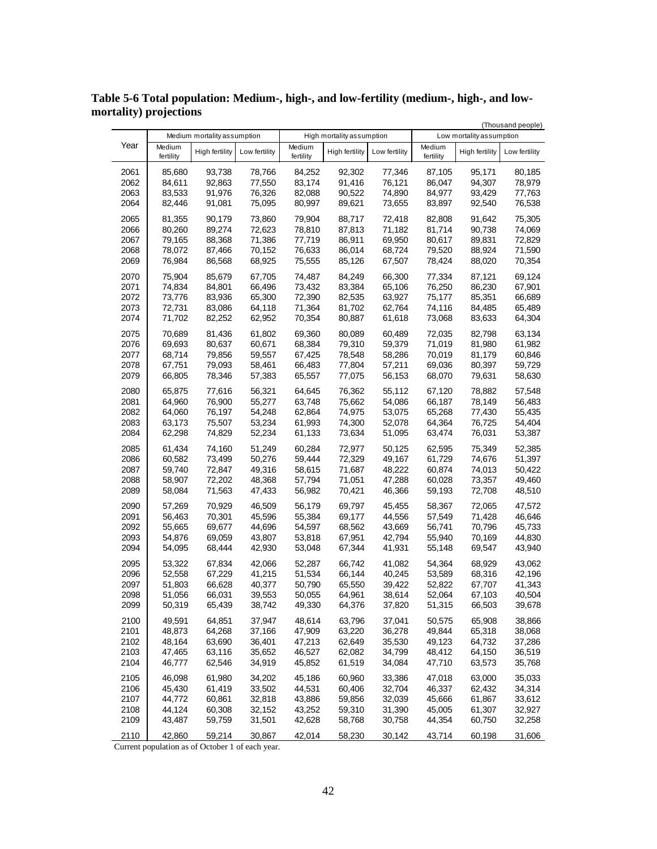|              |                  | Medium mortality assumption |                  | High mortality assumption |                  |                  | (Thousand people)<br>Low mortality assumption |                       |                  |
|--------------|------------------|-----------------------------|------------------|---------------------------|------------------|------------------|-----------------------------------------------|-----------------------|------------------|
| Year         | Medium           | High fertility              | Low fertility    | Medium                    | High fertility   | Low fertility    | Medium                                        | <b>High fertility</b> | Low fertility    |
|              | fertility        |                             |                  | fertility                 |                  |                  | fertility                                     |                       |                  |
| 2061         | 85,680           | 93,738                      | 78,766           | 84,252                    | 92,302           | 77,346           | 87,105                                        | 95,171                | 80,185           |
| 2062         | 84,611           | 92,863                      | 77,550           | 83,174                    | 91,416           | 76,121           | 86,047                                        | 94,307                | 78,979           |
| 2063<br>2064 | 83,533<br>82,446 | 91,976<br>91,081            | 76,326<br>75,095 | 82,088<br>80,997          | 90,522<br>89,621 | 74,890<br>73,655 | 84,977<br>83,897                              | 93,429<br>92,540      | 77,763<br>76,538 |
|              |                  |                             |                  |                           |                  |                  |                                               |                       |                  |
| 2065<br>2066 | 81,355<br>80,260 | 90,179<br>89,274            | 73,860<br>72,623 | 79,904<br>78,810          | 88,717<br>87,813 | 72,418<br>71,182 | 82,808<br>81,714                              | 91,642<br>90,738      | 75,305<br>74,069 |
| 2067         | 79,165           | 88,368                      | 71,386           | 77,719                    | 86,911           | 69,950           | 80,617                                        | 89,831                | 72,829           |
| 2068         | 78,072           | 87,466                      | 70,152           | 76,633                    | 86,014           | 68,724           | 79,520                                        | 88,924                | 71,590           |
| 2069         | 76,984           | 86,568                      | 68,925           | 75,555                    | 85,126           | 67,507           | 78,424                                        | 88,020                | 70,354           |
| 2070         | 75,904           | 85,679                      | 67,705           | 74,487                    | 84,249           | 66,300           | 77,334                                        | 87,121                | 69,124           |
| 2071         | 74,834           | 84,801                      | 66,496           | 73,432                    | 83,384           | 65,106           | 76,250                                        | 86,230                | 67,901           |
| 2072         | 73,776           | 83,936                      | 65,300           | 72,390                    | 82,535           | 63,927           | 75,177                                        | 85,351                | 66,689           |
| 2073<br>2074 | 72,731<br>71,702 | 83,086<br>82,252            | 64,118<br>62,952 | 71,364<br>70,354          | 81,702<br>80,887 | 62,764<br>61,618 | 74,116<br>73,068                              | 84,485<br>83,633      | 65,489<br>64,304 |
| 2075         | 70,689           | 81,436                      | 61,802           | 69,360                    | 80,089           | 60,489           | 72,035                                        | 82,798                | 63,134           |
| 2076         | 69,693           | 80,637                      | 60,671           | 68,384                    | 79,310           | 59,379           | 71,019                                        | 81,980                | 61,982           |
| 2077         | 68,714           | 79,856                      | 59,557           | 67,425                    | 78,548           | 58,286           | 70,019                                        | 81,179                | 60,846           |
| 2078         | 67,751           | 79,093                      | 58,461           | 66,483                    | 77,804           | 57,211           | 69,036                                        | 80,397                | 59,729           |
| 2079         | 66,805           | 78,346                      | 57,383           | 65,557                    | 77,075           | 56,153           | 68,070                                        | 79,631                | 58,630           |
| 2080         | 65,875           | 77,616                      | 56,321           | 64,645                    | 76,362           | 55,112           | 67,120                                        | 78,882                | 57,548           |
| 2081         | 64,960           | 76,900                      | 55,277           | 63,748                    | 75,662           | 54,086           | 66,187                                        | 78,149                | 56,483           |
| 2082<br>2083 | 64,060<br>63,173 | 76,197<br>75,507            | 54,248<br>53,234 | 62,864<br>61,993          | 74,975<br>74,300 | 53,075<br>52,078 | 65,268<br>64,364                              | 77,430<br>76,725      | 55,435<br>54,404 |
| 2084         | 62,298           | 74,829                      | 52,234           | 61,133                    | 73,634           | 51,095           | 63,474                                        | 76,031                | 53,387           |
| 2085         | 61,434           | 74,160                      | 51,249           | 60,284                    | 72,977           | 50,125           | 62,595                                        | 75,349                | 52,385           |
| 2086         | 60,582           | 73,499                      | 50,276           | 59,444                    | 72,329           | 49,167           | 61,729                                        | 74,676                | 51,397           |
| 2087         | 59,740           | 72,847                      | 49,316           | 58,615                    | 71,687           | 48,222           | 60,874                                        | 74,013                | 50,422           |
| 2088         | 58,907           | 72,202                      | 48,368           | 57,794                    | 71,051           | 47,288           | 60,028                                        | 73,357                | 49,460           |
| 2089         | 58,084           | 71,563                      | 47,433           | 56,982                    | 70,421           | 46,366           | 59,193                                        | 72,708                | 48,510           |
| 2090         | 57,269           | 70,929                      | 46,509           | 56,179                    | 69,797           | 45,455           | 58,367                                        | 72,065                | 47,572           |
| 2091         | 56,463           | 70,301                      | 45,596<br>44,696 | 55,384<br>54,597          | 69,177           | 44,556           | 57,549<br>56,741                              | 71,428<br>70,796      | 46,646<br>45,733 |
| 2092<br>2093 | 55,665<br>54,876 | 69,677<br>69,059            | 43,807           | 53,818                    | 68,562<br>67,951 | 43,669<br>42,794 | 55,940                                        | 70,169                | 44,830           |
| 2094         | 54,095           | 68,444                      | 42,930           | 53,048                    | 67,344           | 41,931           | 55,148                                        | 69,547                | 43,940           |
| 2095         | 53,322           | 67,834                      | 42,066           | 52,287                    | 66,742           | 41,082           | 54,364                                        | 68,929                | 43,062           |
| 2096         | 52,558           | 67,229                      | 41,215           | 51,534                    | 66,144           | 40,245           | 53,589                                        | 68,316                | 42,196           |
| 2097         | 51,803           | 66,628                      | 40,377           | 50,790                    | 65,550           | 39,422           | 52,822                                        | 67,707                | 41,343           |
| 2098         | 51,056           | 66,031                      | 39,553           | 50,055                    | 64,961           | 38,614           | 52,064                                        | 67,103                | 40,504           |
| 2099         | 50,319           | 65,439                      | 38,742           | 49,330                    | 64,376           | 37,820           | 51,315                                        | 66,503                | 39,678           |
| 2100<br>2101 | 49,591<br>48,873 | 64,851<br>64,268            | 37,947           | 48,614                    | 63,796           | 37,041<br>36,278 | 50,575<br>49,844                              | 65,908                | 38,866           |
| 2102         | 48,164           | 63,690                      | 37,166<br>36,401 | 47,909<br>47,213          | 63,220<br>62,649 | 35,530           | 49,123                                        | 65,318<br>64,732      | 38,068<br>37,286 |
| 2103         | 47,465           | 63,116                      | 35,652           | 46,527                    | 62,082           | 34,799           | 48,412                                        | 64,150                | 36,519           |
| 2104         | 46,777           | 62,546                      | 34,919           | 45,852                    | 61,519           | 34,084           | 47,710                                        | 63,573                | 35,768           |
| 2105         | 46,098           | 61,980                      | 34,202           | 45,186                    | 60,960           | 33,386           | 47,018                                        | 63,000                | 35,033           |
| 2106         | 45,430           | 61,419                      | 33,502           | 44,531                    | 60,406           | 32,704           | 46,337                                        | 62,432                | 34,314           |
| 2107         | 44,772           | 60,861                      | 32,818           | 43,886                    | 59,856           | 32,039           | 45,666                                        | 61,867                | 33,612           |
| 2108<br>2109 | 44,124<br>43,487 | 60,308<br>59,759            | 32,152<br>31,501 | 43,252<br>42,628          | 59,310<br>58,768 | 31,390<br>30,758 | 45,005<br>44,354                              | 61,307<br>60,750      | 32,927<br>32,258 |
|              |                  |                             |                  |                           |                  |                  |                                               |                       |                  |
| 2110         | 42,860           | 59,214                      | 30,867           | 42,014                    | 58,230           | 30,142           | 43,714                                        | 60,198                | 31,606           |

**Table 5-6 Total population: Medium-, high-, and low-fertility (medium-, high-, and lowmortality) projections**